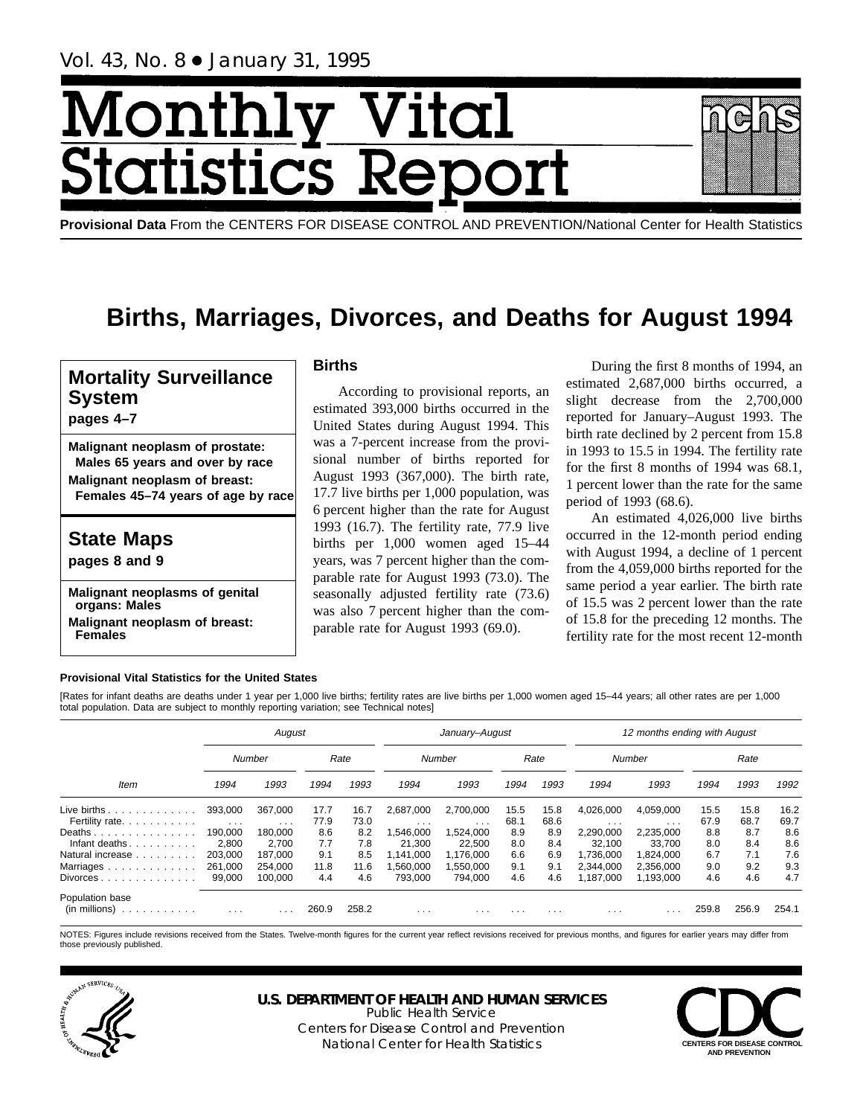# Month Vital tics Re **Statist**

**Provisional Data** From the CENTERS FOR DISEASE CONTROL AND PREVENTION/National Center for Health Statistics

## **Births, Marriages, Divorces, and Deaths for August 1994**

## **Mortality Surveillance System**

## **pages 4–7**

**Malignant neoplasm of prostate: Males 65 years and over by race Malignant neoplasm of breast: Females 45–74 years of age by race**

## **State Maps pages 8 and 9**

**Malignant neoplasms of genital organs: Males**

**Malignant neoplasm of breast: Females**

## **Births**

According to provisional reports, an estimated 393,000 births occurred in the United States during August 1994. This was a 7-percent increase from the provisional number of births reported for August 1993 (367,000). The birth rate, 17.7 live births per 1,000 population, was 6 percent higher than the rate for August 1993 (16.7). The fertility rate, 77.9 live births per 1,000 women aged 15–44 years, was 7 percent higher than the comparable rate for August 1993 (73.0). The seasonally adjusted fertility rate (73.6) was also 7 percent higher than the comparable rate for August 1993 (69.0).

During the first 8 months of 1994, an estimated 2,687,000 births occurred, a slight decrease from the 2,700,000 reported for January–August 1993. The birth rate declined by 2 percent from 15.8 in 1993 to 15.5 in 1994. The fertility rate for the first 8 months of 1994 was 68.1, 1 percent lower than the rate for the same period of 1993 (68.6).

An estimated 4,026,000 live births occurred in the 12-month period ending with August 1994, a decline of 1 percent from the 4,059,000 births reported for the same period a year earlier. The birth rate of 15.5 was 2 percent lower than the rate of 15.8 for the preceding 12 months. The fertility rate for the most recent 12-month

## **Provisional Vital Statistics for the United States**

[Rates for infant deaths are deaths under 1 year per 1,000 live births; fertility rates are live births per 1,000 women aged 15–44 years; all other rates are per 1,000 total population. Data are subject to monthly reporting variation; see Technical notes]

|                                                               |                                    | August                  |              |              |                         | January-August                       |              |                         |                         | 12 months ending with August |              |              |              |
|---------------------------------------------------------------|------------------------------------|-------------------------|--------------|--------------|-------------------------|--------------------------------------|--------------|-------------------------|-------------------------|------------------------------|--------------|--------------|--------------|
|                                                               |                                    | Number                  |              | Rate         |                         | Number                               |              | Rate                    |                         | Number                       |              | Rate         |              |
| Item                                                          | 1994                               | 1993                    | 1994         | 1993         | 1994                    | 1993                                 | 1994         | 1993                    | 1994                    | 1993                         | 1994         | 1993         | 1992         |
| Live births $\ldots$<br>Fertility rate.                       | 393,000<br>$\sim 100$ km s $^{-1}$ | 367.000<br>$\cdots$     | 17.7<br>77.9 | 16.7<br>73.0 | 2,687,000<br>$\cdots$   | 2,700,000<br>$\cdot$ $\cdot$ $\cdot$ | 15.5<br>68.1 | 15.8<br>68.6            | 4,026,000<br>$\cdots$   | 4,059,000<br>$\cdots$        | 15.5<br>67.9 | 15.8<br>68.7 | 16.2<br>69.7 |
| Deaths<br>Infant deaths                                       | 190.000<br>2,800                   | 180.000<br>2,700        | 8.6<br>7.7   | 8.2<br>7.8   | ,546,000<br>21.300      | 1,524,000<br>22.500                  | 8.9<br>8.0   | 8.9<br>8.4              | 2,290,000<br>32.100     | 2,235,000<br>33.700          | 8.8<br>8.0   | 8.7<br>8.4   | 8.6<br>8.6   |
| Natural increase<br>Marriages                                 | 203.000<br>261,000                 | 187.000<br>254.000      | 9.1<br>11.8  | 8.5<br>11.6  | .141.000<br>,560,000    | 1.176.000<br>1,550,000               | 6.6<br>9.1   | 6.9<br>9.1              | 1.736.000<br>2.344.000  | 1.824.000<br>2.356.000       | 6.7<br>9.0   | 7.1<br>9.2   | 7.6<br>9.3   |
| $Divorces \dots \dots \dots \dots \dots$                      | 99,000                             | 100.000                 | 4.4          | 4.6          | 793.000                 | 794.000                              | 4.6          | 4.6                     | 1.187.000               | 1.193.000                    | 4.6          | 4.6          | 4.7          |
| Population base<br>(in millions)<br>design and a straight and | $\cdot$ $\cdot$ $\cdot$            | $\cdot$ $\cdot$ $\cdot$ | 260.9        | 258.2        | $\cdot$ $\cdot$ $\cdot$ | $\cdot$ $\cdot$ $\cdot$              | $\cdots$     | $\cdot$ $\cdot$ $\cdot$ | $\cdot$ $\cdot$ $\cdot$ |                              | 259.8        | 256.9        | 254.1        |

NOTES: Figures include revisions received from the States. Twelve-month figures for the current year reflect revisions received for previous months, and figures for earlier years may differ from those previously published.



## **U.S. DEPARTMENT OF HEALTH AND HUMAN SERVICES**

Public Health Service Centers for Disease Control and Prevention National Center for Health Statistics **CENTERS FOR DISEASE CONTROL** 

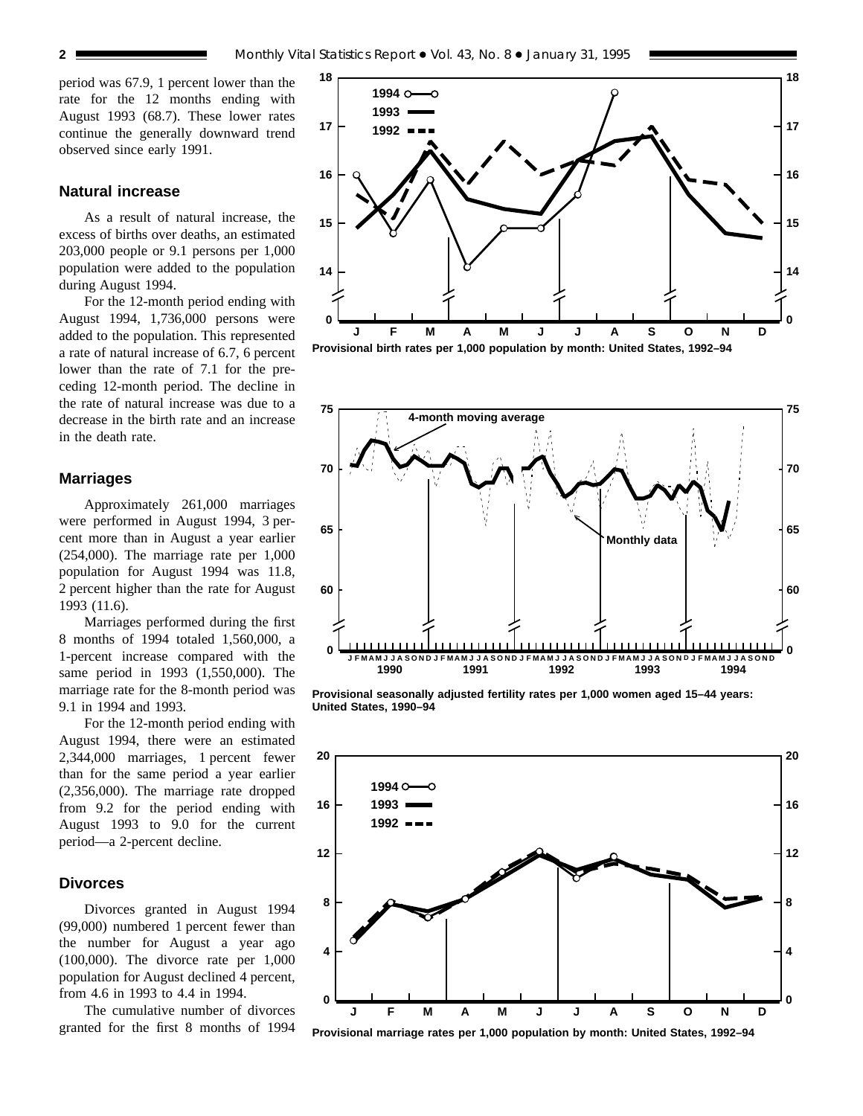period was 67.9, 1 percent lower than the rate for the 12 months ending with August 1993 (68.7). These lower rates continue the generally downward trend observed since early 1991.

## **Natural increase**

As a result of natural increase, the excess of births over deaths, an estimated 203,000 people or 9.1 persons per 1,000 population were added to the population during August 1994.

For the 12-month period ending with August 1994, 1,736,000 persons were added to the population. This represented a rate of natural increase of 6.7, 6 percent lower than the rate of 7.1 for the preceding 12-month period. The decline in the rate of natural increase was due to a decrease in the birth rate and an increase in the death rate.

## **Marriages**

Approximately 261,000 marriages were performed in August 1994, 3 percent more than in August a year earlier (254,000). The marriage rate per 1,000 population for August 1994 was 11.8, 2 percent higher than the rate for August 1993 (11.6).

Marriages performed during the first 8 months of 1994 totaled 1,560,000, a 1-percent increase compared with the same period in 1993 (1,550,000). The marriage rate for the 8-month period was 9.1 in 1994 and 1993.

For the 12-month period ending with August 1994, there were an estimated 2,344,000 marriages, 1 percent fewer than for the same period a year earlier (2,356,000). The marriage rate dropped from 9.2 for the period ending with August 1993 to 9.0 for the current period—a 2-percent decline.

### **Divorces**

Divorces granted in August 1994 (99,000) numbered 1 percent fewer than the number for August a year ago (100,000). The divorce rate per 1,000 population for August declined 4 percent, from 4.6 in 1993 to 4.4 in 1994.

The cumulative number of divorces granted for the first 8 months of 1994







**Provisional seasonally adjusted fertility rates per 1,000 women aged 15–44 years: United States, 1990–94**



**Provisional marriage rates per 1,000 population by month: United States, 1992–94**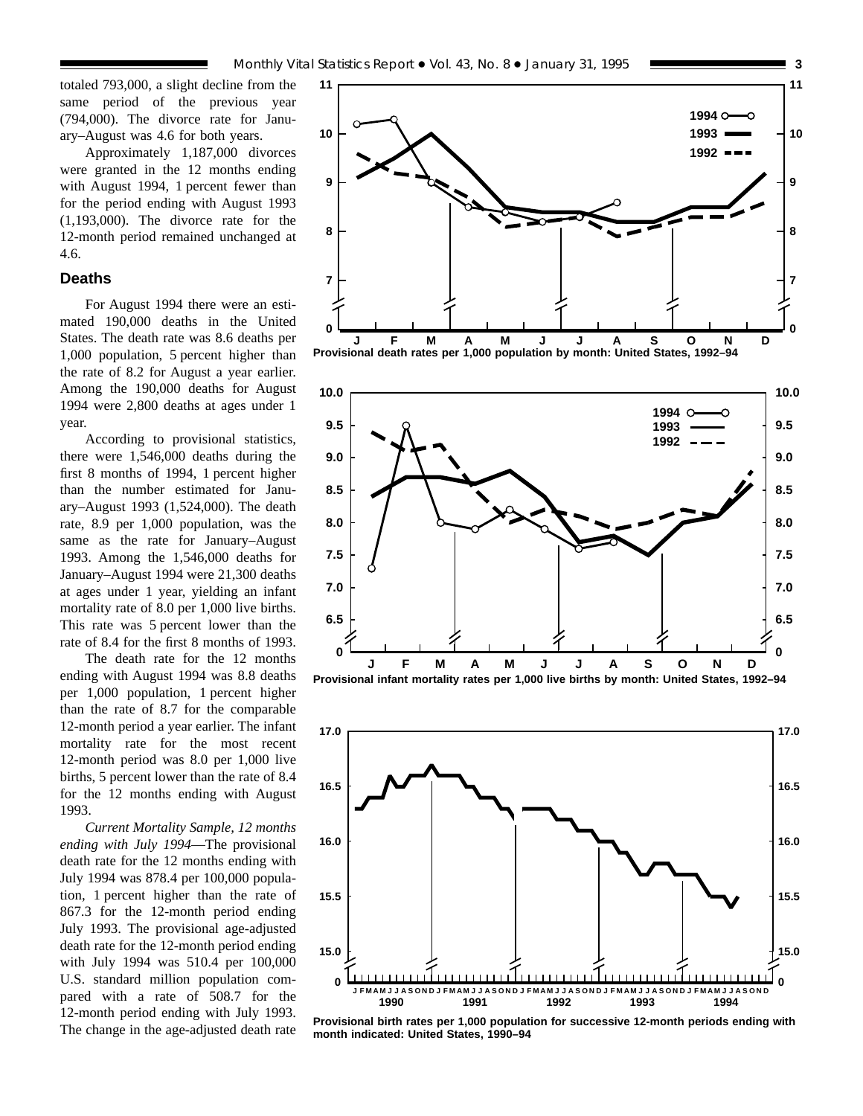totaled 793,000, a slight decline from the same period of the previous year (794,000). The divorce rate for January–August was 4.6 for both years.

Approximately 1,187,000 divorces were granted in the 12 months ending with August 1994, 1 percent fewer than for the period ending with August 1993 (1,193,000). The divorce rate for the 12-month period remained unchanged at 4.6.

## **Deaths**

For August 1994 there were an estimated 190,000 deaths in the United States. The death rate was 8.6 deaths per 1,000 population, 5 percent higher than the rate of 8.2 for August a year earlier. Among the 190,000 deaths for August 1994 were 2,800 deaths at ages under 1 year.

According to provisional statistics, there were 1,546,000 deaths during the first 8 months of 1994, 1 percent higher than the number estimated for January–August 1993 (1,524,000). The death rate, 8.9 per 1,000 population, was the same as the rate for January–August 1993. Among the 1,546,000 deaths for January–August 1994 were 21,300 deaths at ages under 1 year, yielding an infant mortality rate of 8.0 per 1,000 live births. This rate was 5 percent lower than the rate of 8.4 for the first 8 months of 1993.

The death rate for the 12 months ending with August 1994 was 8.8 deaths per 1,000 population, 1 percent higher than the rate of 8.7 for the comparable 12-month period a year earlier. The infant mortality rate for the most recent 12-month period was 8.0 per 1,000 live births, 5 percent lower than the rate of 8.4 for the 12 months ending with August 1993.

*Current Mortality Sample, 12 months ending with July 1994*—The provisional death rate for the 12 months ending with July 1994 was 878.4 per 100,000 population, 1 percent higher than the rate of 867.3 for the 12-month period ending July 1993. The provisional age-adjusted death rate for the 12-month period ending with July 1994 was 510.4 per 100,000 U.S. standard million population compared with a rate of 508.7 for the 12-month period ending with July 1993. The change in the age-adjusted death rate









**Provisional birth rates per 1,000 population for successive 12-month periods ending with month indicated: United States, 1990–94**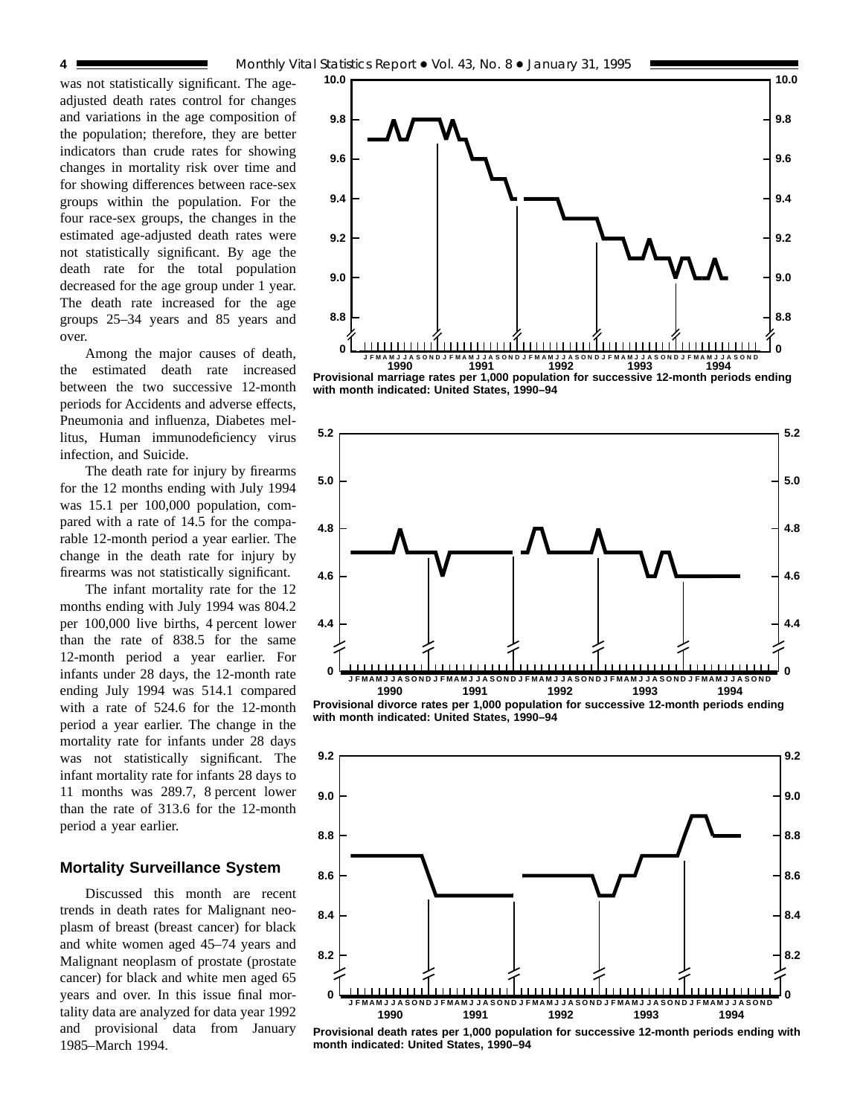was not statistically significant. The ageadjusted death rates control for changes and variations in the age composition of the population; therefore, they are better indicators than crude rates for showing changes in mortality risk over time and for showing differences between race-sex groups within the population. For the four race-sex groups, the changes in the estimated age-adjusted death rates were not statistically significant. By age the death rate for the total population decreased for the age group under 1 year. The death rate increased for the age groups 25–34 years and 85 years and over.

Among the major causes of death, the estimated death rate increased between the two successive 12-month periods for Accidents and adverse effects, Pneumonia and influenza, Diabetes mellitus, Human immunodeficiency virus infection, and Suicide.

The death rate for injury by firearms for the 12 months ending with July 1994 was 15.1 per 100,000 population, compared with a rate of 14.5 for the comparable 12-month period a year earlier. The change in the death rate for injury by firearms was not statistically significant.

The infant mortality rate for the 12 months ending with July 1994 was 804.2 per 100,000 live births, 4 percent lower than the rate of 838.5 for the same 12-month period a year earlier. For infants under 28 days, the 12-month rate ending July 1994 was 514.1 compared with a rate of 524.6 for the 12-month period a year earlier. The change in the mortality rate for infants under 28 days was not statistically significant. The infant mortality rate for infants 28 days to 11 months was 289.7, 8 percent lower than the rate of 313.6 for the 12-month period a year earlier.

## **Mortality Surveillance System**

Discussed this month are recent trends in death rates for Malignant neoplasm of breast (breast cancer) for black and white women aged 45–74 years and Malignant neoplasm of prostate (prostate cancer) for black and white men aged 65 years and over. In this issue final mortality data are analyzed for data year 1992 and provisional data from January 1985–March 1994.



**Provisional marriage rates per 1,000 population for successive 12-month periods ending with month indicated: United States, 1990–94**





**Provisional death rates per 1,000 population for successive 12-month periods ending with month indicated: United States, 1990–94**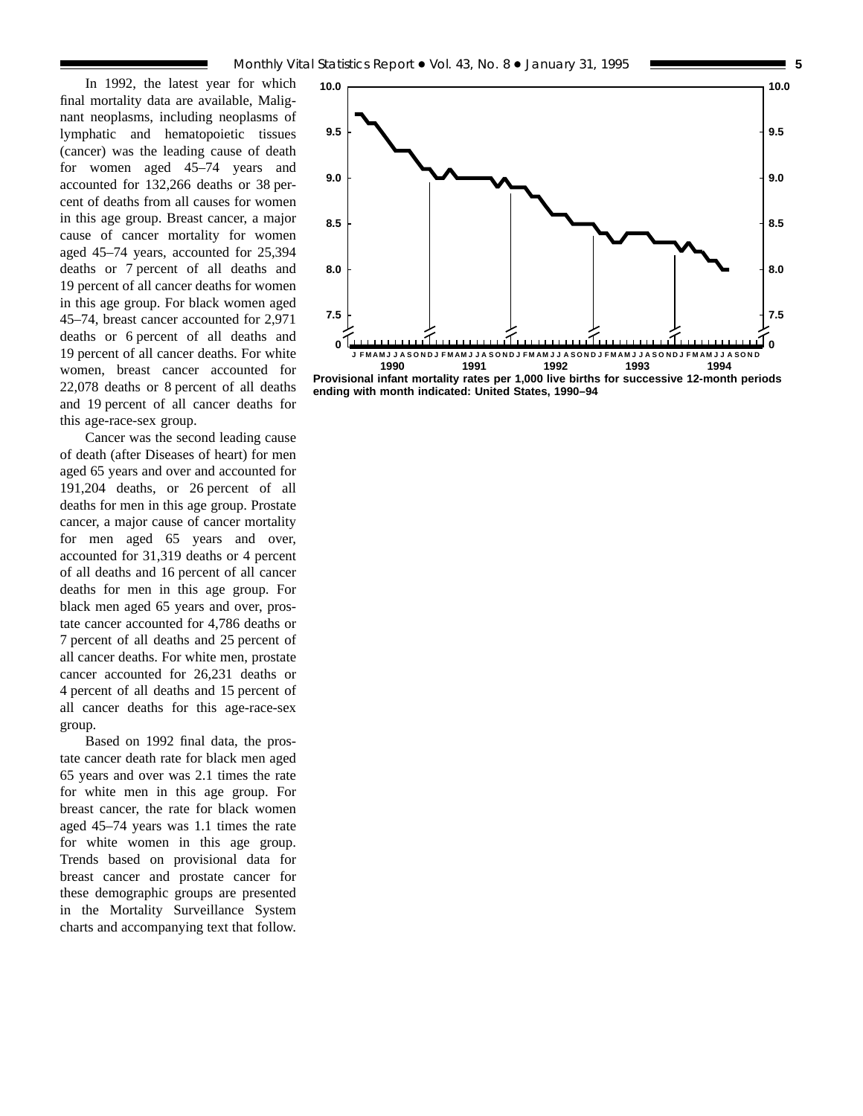In 1992, the latest year for which final mortality data are available, Malignant neoplasms, including neoplasms of lymphatic and hematopoietic tissues (cancer) was the leading cause of death for women aged 45–74 years and accounted for 132,266 deaths or 38 percent of deaths from all causes for women in this age group. Breast cancer, a major cause of cancer mortality for women aged 45–74 years, accounted for 25,394 deaths or 7 percent of all deaths and 19 percent of all cancer deaths for women in this age group. For black women aged 45–74, breast cancer accounted for 2,971 deaths or 6 percent of all deaths and 19 percent of all cancer deaths. For white women, breast cancer accounted for 22,078 deaths or 8 percent of all deaths and 19 percent of all cancer deaths for this age-race-sex group.

Cancer was the second leading cause of death (after Diseases of heart) for men aged 65 years and over and accounted for 191,204 deaths, or 26 percent of all deaths for men in this age group. Prostate cancer, a major cause of cancer mortality for men aged 65 years and over, accounted for 31,319 deaths or 4 percent of all deaths and 16 percent of all cancer deaths for men in this age group. For black men aged 65 years and over, prostate cancer accounted for 4,786 deaths or 7 percent of all deaths and 25 percent of all cancer deaths. For white men, prostate cancer accounted for 26,231 deaths or 4 percent of all deaths and 15 percent of all cancer deaths for this age-race-sex group.

Based on 1992 final data, the prostate cancer death rate for black men aged 65 years and over was 2.1 times the rate for white men in this age group. For breast cancer, the rate for black women aged 45–74 years was 1.1 times the rate for white women in this age group. Trends based on provisional data for breast cancer and prostate cancer for these demographic groups are presented in the Mortality Surveillance System charts and accompanying text that follow.



**Provisional infant mortality rates per 1,000 live births for successive 12-month periods ending with month indicated: United States, 1990–94**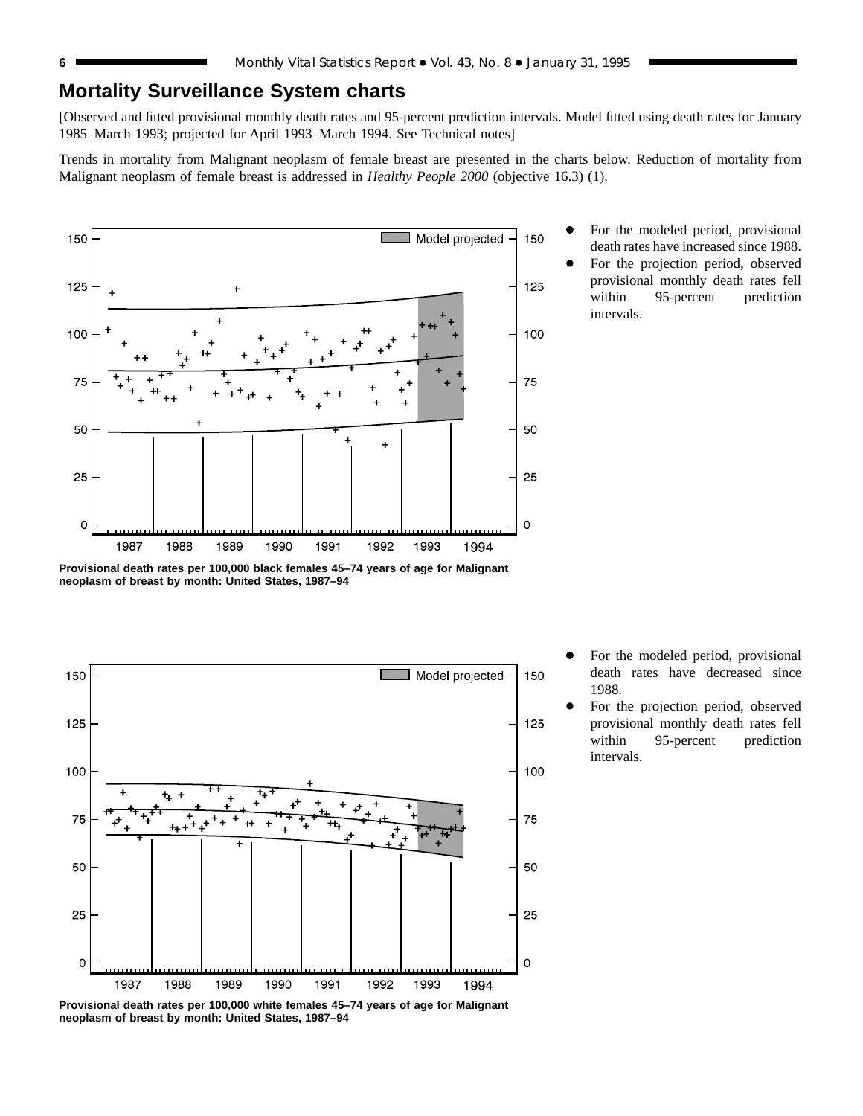## **Mortality Surveillance System charts**

[Observed and fitted provisional monthly death rates and 95-percent prediction intervals. Model fitted using death rates for January 1985–March 1993; projected for April 1993–March 1994. See Technical notes]

Trends in mortality from Malignant neoplasm of female breast are presented in the charts below. Reduction of mortality from Malignant neoplasm of female breast is addressed in *Healthy People 2000* (objective 16.3) (1).



- For the modeled period, provisional death rates have increased since 1988.
- For the projection period, observed provisional monthly death rates fell within 95-percent prediction intervals.

**Provisional death rates per 100,000 black females 45–74 years of age for Malignant neoplasm of breast by month: United States, 1987–94**



- For the modeled period, provisional death rates have decreased since 1988.
- For the projection period, observed provisional monthly death rates fell within 95-percent prediction intervals.

**Provisional death rates per 100,000 white females 45–74 years of age for Malignant neoplasm of breast by month: United States, 1987–94**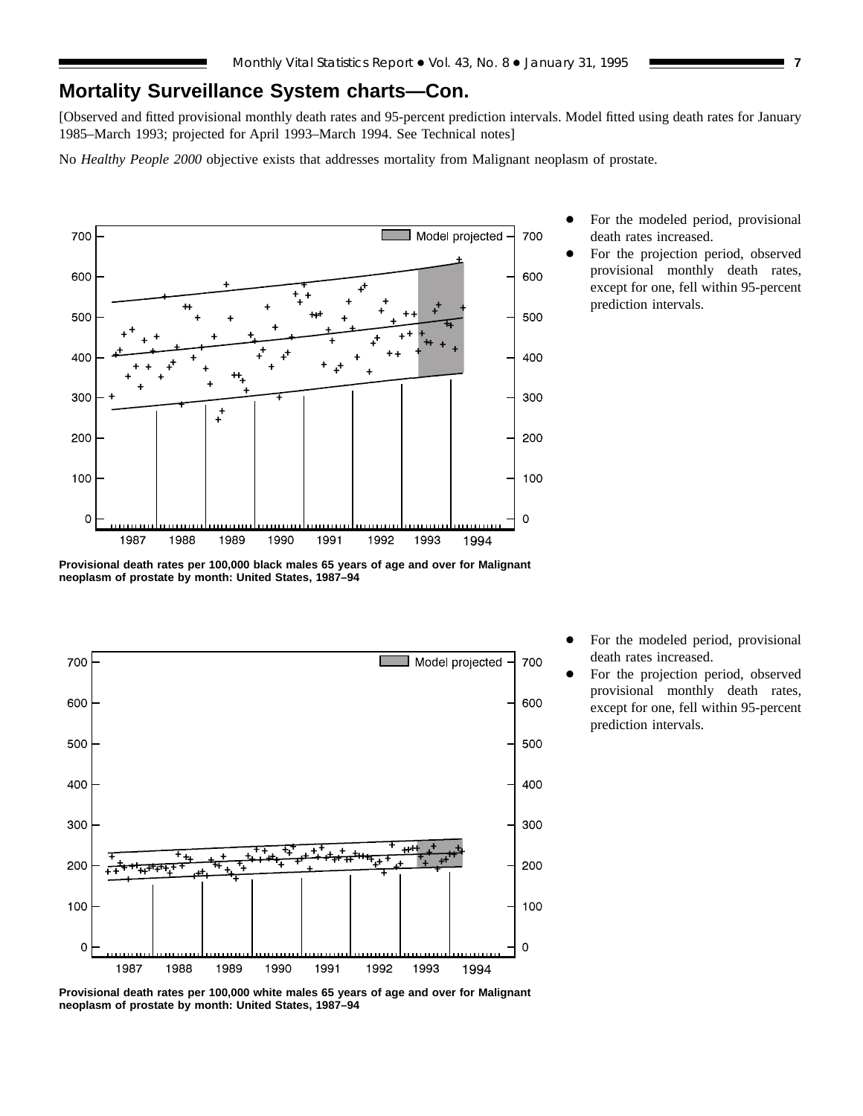## **Mortality Surveillance System charts—Con.**

[Observed and fitted provisional monthly death rates and 95-percent prediction intervals. Model fitted using death rates for January 1985–March 1993; projected for April 1993–March 1994. See Technical notes]

No *Healthy People 2000* objective exists that addresses mortality from Malignant neoplasm of prostate.



- For the modeled period, provisional death rates increased.
- For the projection period, observed provisional monthly death rates, except for one, fell within 95-percent prediction intervals.

**Provisional death rates per 100,000 black males 65 years of age and over for Malignant neoplasm of prostate by month: United States, 1987–94**



For the modeled period, provisional death rates increased.

For the projection period, observed provisional monthly death rates, except for one, fell within 95-percent prediction intervals.

**Provisional death rates per 100,000 white males 65 years of age and over for Malignant neoplasm of prostate by month: United States, 1987–94**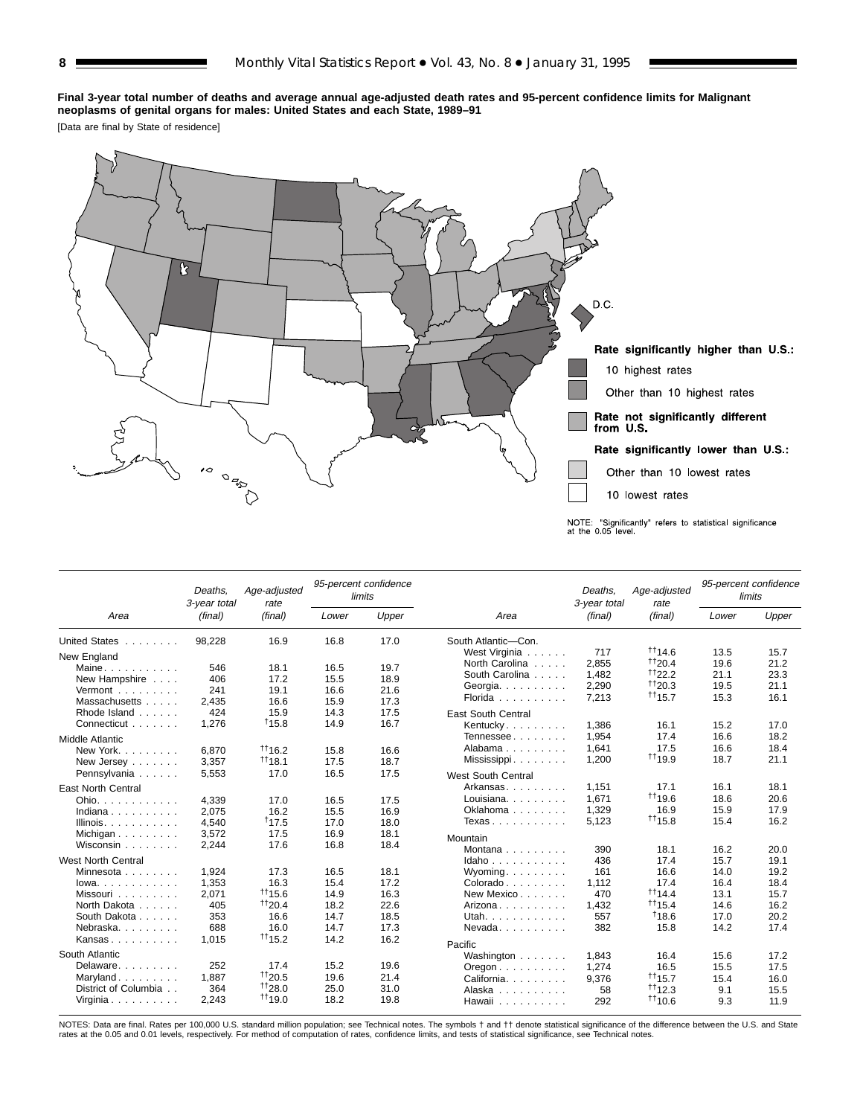#### **Final 3-year total number of deaths and average annual age-adjusted death rates and 95-percent confidence limits for Malignant neoplasms of genital organs for males: United States and each State, 1989–91**

[Data are final by State of residence]



|                                         | Deaths.<br>3-year total | Age-adjusted<br>rate |       | 95-percent confidence<br>limits |                                          | Deaths.<br>3-year total | Age-adjusted<br>rate       |              | 95-percent confidence<br>limits |
|-----------------------------------------|-------------------------|----------------------|-------|---------------------------------|------------------------------------------|-------------------------|----------------------------|--------------|---------------------------------|
| Area                                    | (final)                 | (final)              | Lower | Upper                           | Area                                     | (final)                 | (final)                    | Lower        | Upper                           |
| <b>United States</b><br>1.1.1.1.1.1.1.1 | 98,228                  | 16.9                 | 16.8  | 17.0                            | South Atlantic-Con.                      |                         |                            |              |                                 |
| New England                             |                         |                      |       |                                 | West Virginia                            | 717                     | 1114.6                     | 13.5         | 15.7                            |
| Maine                                   | 546                     | 18.1                 | 16.5  | 19.7                            | North Carolina                           | 2.855                   | $^{++20.4}$                | 19.6         | 21.2                            |
| New Hampshire                           | 406                     | 17.2                 | 15.5  | 18.9                            | South Carolina                           | 1,482                   | 1122.2                     | 21.1         | 23.3                            |
| Vermont                                 | 241                     | 19.1                 | 16.6  | 21.6                            | Georgia.                                 | 2,290                   | $+120.3$                   | 19.5         | 21.1                            |
| Massachusetts                           | 2,435                   | 16.6                 | 15.9  | 17.3                            | Florida                                  | 7,213                   | $+115.7$                   | 15.3         | 16.1                            |
| Rhode Island                            | 424                     | 15.9                 | 14.3  | 17.5                            | <b>East South Central</b>                |                         |                            |              |                                 |
| Connecticut                             | 1,276                   | 115.8                | 14.9  | 16.7                            | Kentucky                                 | 1,386                   | 16.1                       | 15.2         | 17.0                            |
| <b>Middle Atlantic</b>                  |                         |                      |       |                                 | Tennessee                                | 1,954                   | 17.4                       | 16.6         | 18.2                            |
| New York.                               | 6.870                   | 1116.2               | 15.8  | 16.6                            | Alabama                                  | 1,641                   | 17.5                       | 16.6         | 18.4                            |
| New Jersey                              | 3,357                   | $+118.1$             | 17.5  | 18.7                            | Mississippi                              | 1,200                   | $+119.9$                   | 18.7         | 21.1                            |
| Pennsylvania                            | 5,553                   | 17.0                 | 16.5  | 17.5                            | <b>West South Central</b>                |                         |                            |              |                                 |
|                                         |                         |                      |       |                                 |                                          |                         |                            |              |                                 |
| <b>East North Central</b>               |                         |                      |       |                                 | Arkansas<br>Louisiana.                   | 1.151<br>1,671          | 17.1<br><sup>+1</sup> 19.6 | 16.1<br>18.6 | 18.1<br>20.6                    |
| Ohio.                                   | 4,339                   | 17.0                 | 16.5  | 17.5                            | Oklahoma                                 | 1,329                   | 16.9                       | 15.9         | 17.9                            |
| Indiana                                 | 2,075                   | 16.2                 | 15.5  | 16.9                            |                                          | 5,123                   | 1115.8                     | 15.4         | 16.2                            |
| Illinois. $\ldots$ .                    | 4,540                   | 117.5                | 17.0  | 18.0                            | Texas                                    |                         |                            |              |                                 |
| Michigan                                | 3,572                   | 17.5                 | 16.9  | 18.1                            | Mountain                                 |                         |                            |              |                                 |
| Wisconsin                               | 2,244                   | 17.6                 | 16.8  | 18.4                            | Montana                                  | 390                     | 18.1                       | 16.2         | 20.0                            |
| West North Central                      |                         |                      |       |                                 | Idaho                                    | 436                     | 17.4                       | 15.7         | 19.1                            |
| Minnesota                               | 1,924                   | 17.3                 | 16.5  | 18.1                            | Wyoming                                  | 161                     | 16.6                       | 14.0         | 19.2                            |
| $lowa. \ldots. \ldots.$                 | 1.353                   | 16.3                 | 15.4  | 17.2                            | Colorado                                 | 1.112                   | 17.4                       | 16.4         | 18.4                            |
| Missouri                                | 2,071                   | $+115.6$             | 14.9  | 16.3                            | New Mexico                               | 470                     | 1114.4                     | 13.1         | 15.7                            |
| North Dakota                            | 405                     | 1120.4               | 18.2  | 22.6                            | Arizona                                  | 1,432                   | $+115.4$                   | 14.6         | 16.2                            |
| South Dakota                            | 353                     | 16.6                 | 14.7  | 18.5                            | Utah.                                    | 557                     | 118.6                      | 17.0         | 20.2                            |
| Nebraska.                               | 688                     | 16.0                 | 14.7  | 17.3                            | Nevada                                   | 382                     | 15.8                       | 14.2         | 17.4                            |
| Kansas                                  | 1.015                   | $+115.2$             | 14.2  | 16.2                            | Pacific                                  |                         |                            |              |                                 |
| South Atlantic                          |                         |                      |       |                                 | Washington                               | 1.843                   | 16.4                       | 15.6         | 17.2                            |
| Delaware                                | 252                     | 17.4                 | 15.2  | 19.6                            | $O$ regon $\ldots$ , $\ldots$ , $\ldots$ | 1,274                   | 16.5                       | 15.5         | 17.5                            |
| Maryland                                | 1,887                   | 1120.5               | 19.6  | 21.4                            | California.                              | 9,376                   | 1115.7                     | 15.4         | 16.0                            |
| District of Columbia                    | 364                     | 1128.0               | 25.0  | 31.0                            | Alaska                                   | 58                      | 1112.3                     | 9.1          | 15.5                            |
| Virginia $\ldots$ , $\ldots$ , $\ldots$ | 2,243                   | 1119.0               | 18.2  | 19.8                            | Hawaii                                   | 292                     | 1110.6                     | 9.3          | 11.9                            |

NOTES: Data are final. Rates per 100,000 U.S. standard million population; see Technical notes. The symbols † and †† denote statistical significance of the difference between the U.S. and State<br>rates at the 0.05 and 0.01 l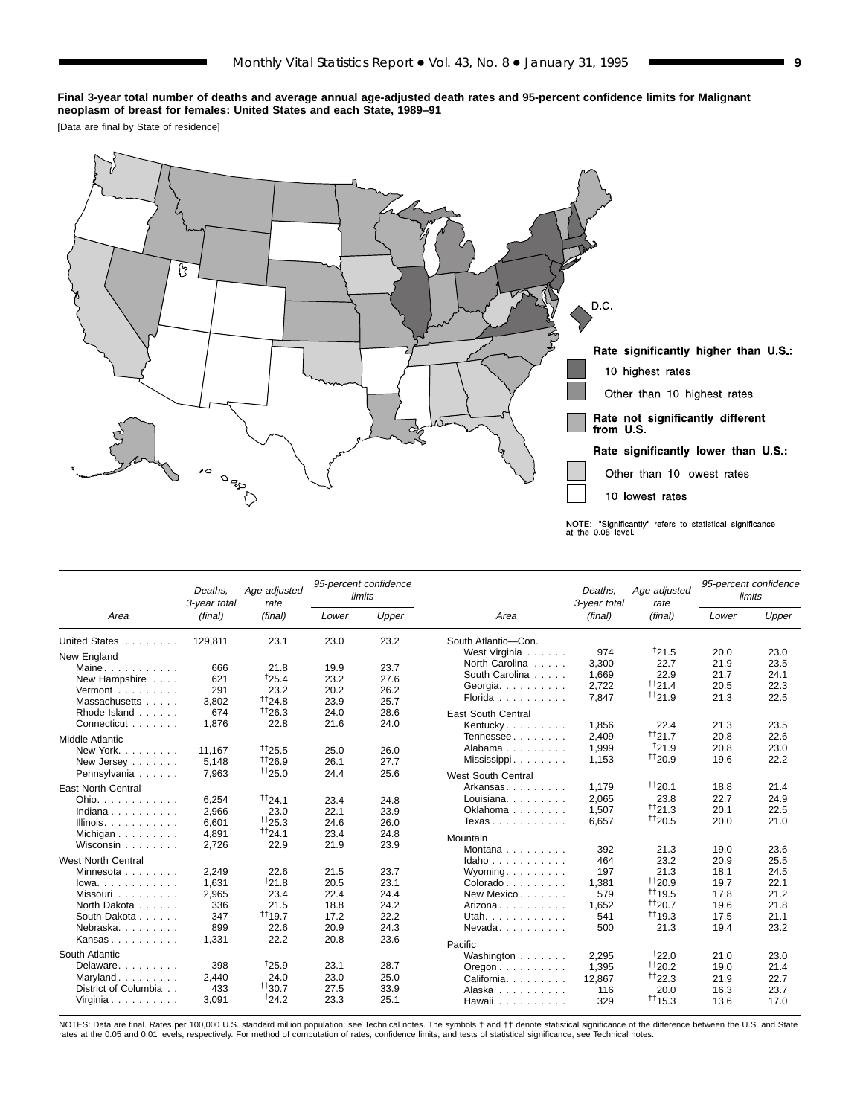#### **Final 3-year total number of deaths and average annual age-adjusted death rates and 95-percent confidence limits for Malignant neoplasm of breast for females: United States and each State, 1989–91**

[Data are final by State of residence]



|                           | Deaths.<br>3-year total | Age-adjusted<br>rate |              | 95-percent confidence<br>limits |                                          | Deaths.<br>3-year total | Age-adjusted<br>rate |       | 95-percent confidence<br>limits |
|---------------------------|-------------------------|----------------------|--------------|---------------------------------|------------------------------------------|-------------------------|----------------------|-------|---------------------------------|
| Area                      | (final)                 | (final)              | Lower        | Upper                           | Area                                     | (final)                 | (final)              | Lower | Upper                           |
| United States             | 129.811                 | 23.1                 | 23.0         | 23.2                            | South Atlantic-Con.                      |                         |                      |       |                                 |
| New England               |                         |                      |              |                                 | West Virginia                            | 974                     | 121.5                | 20.0  | 23.0                            |
| Maine                     | 666                     | 21.8                 | 19.9         | 23.7                            | North Carolina                           | 3,300                   | 22.7                 | 21.9  | 23.5                            |
| New Hampshire             | 621                     | 125.4                | 23.2         | 27.6                            | South Carolina                           | 1,669                   | 22.9                 | 21.7  | 24.1                            |
| Vermont                   | 291                     | 23.2                 | 20.2         | 26.2                            | Georgia.                                 | 2.722                   | 1121.4               | 20.5  | 22.3                            |
| Massachusetts             | 3,802                   | <sup>++</sup> 24.8   | 23.9         | 25.7                            | Florida                                  | 7,847                   | 1121.9               | 21.3  | 22.5                            |
| Rhode Island              | 674                     | 1126.3               | 24.0         | 28.6                            | East South Central                       |                         |                      |       |                                 |
| Connecticut               | 1.876                   | 22.8                 | 21.6         | 24.0                            | Kentucky                                 | 1,856                   | 22.4                 | 21.3  | 23.5                            |
| <b>Middle Atlantic</b>    |                         |                      |              |                                 | Tennessee                                | 2.409                   | $+121.7$             | 20.8  | 22.6                            |
|                           |                         | $^{++25.5}$          |              |                                 | Alabama                                  | 1,999                   | 121.9                | 20.8  | 23.0                            |
| New York.                 | 11,167                  | <sup>+1</sup> 26.9   | 25.0<br>26.1 | 26.0<br>27.7                    | Mississippi                              | 1,153                   | 1120.9               | 19.6  | 22.2                            |
| New Jersey                | 5,148                   |                      |              |                                 |                                          |                         |                      |       |                                 |
| Pennsylvania              | 7,963                   | $+125.0$             | 24.4         | 25.6                            | <b>West South Central</b>                |                         |                      |       |                                 |
| <b>East North Central</b> |                         |                      |              |                                 | Arkansas                                 | 1.179                   | 1120.1               | 18.8  | 21.4                            |
| Ohio.                     | 6,254                   | 1124.1               | 23.4         | 24.8                            | Louisiana.                               | 2,065                   | 23.8                 | 22.7  | 24.9                            |
| Indiana                   | 2,966                   | 23.0                 | 22.1         | 23.9                            | Oklahoma $\ldots$ , $\ldots$             | 1,507                   | $+121.3$             | 20.1  | 22.5                            |
| Illinois. $\ldots$ .      | 6,601                   | $+125.3$             | 24.6         | 26.0                            | Texas                                    | 6,657                   | $^{++20.5}$          | 20.0  | 21.0                            |
| Michigan                  | 4,891                   | 1124.1               | 23.4         | 24.8                            | Mountain                                 |                         |                      |       |                                 |
| Wisconsin                 | 2,726                   | 22.9                 | 21.9         | 23.9                            | Montana                                  | 392                     | 21.3                 | 19.0  | 23.6                            |
| <b>West North Central</b> |                         |                      |              |                                 | Idaho                                    | 464                     | 23.2                 | 20.9  | 25.5                            |
| Minnesota                 | 2.249                   | 22.6                 | 21.5         | 23.7                            | Wyoming. $\ldots$                        | 197                     | 21.3                 | 18.1  | 24.5                            |
| $lowa.$                   | 1,631                   | 121.8                | 20.5         | 23.1                            | Colorado.                                | 1,381                   | 1120.9               | 19.7  | 22.1                            |
| Missouri                  | 2,965                   | 23.4                 | 22.4         | 24.4                            | New Mexico                               | 579                     | $+119.5$             | 17.8  | 21.2                            |
| North Dakota              | 336                     | 21.5                 | 18.8         | 24.2                            | Arizona                                  | 1.652                   | $+120.7$             | 19.6  | 21.8                            |
| South Dakota              | 347                     | $+119.7$             | 17.2         | 22.2                            | Utah.                                    | 541                     | $+119.3$             | 17.5  | 21.1                            |
| Nebraska                  | 899                     | 22.6                 | 20.9         | 24.3                            | $N$ evada. $\ldots$                      | 500                     | 21.3                 | 19.4  | 23.2                            |
| Kansas                    | 1,331                   | 22.2                 | 20.8         | 23.6                            |                                          |                         |                      |       |                                 |
|                           |                         |                      |              |                                 | Pacific                                  |                         |                      |       |                                 |
| South Atlantic            |                         |                      |              |                                 | Washington                               | 2,295                   | 122.0                | 21.0  | 23.0                            |
| Delaware                  | 398                     | 125.9                | 23.1         | 28.7                            | $O$ regon $\ldots$ , $\ldots$ , $\ldots$ | 1,395                   | 1120.2               | 19.0  | 21.4                            |
| Maryland                  | 2,440                   | 24.0                 | 23.0         | 25.0                            | California.                              | 12,867                  | $^{++22.3}$          | 21.9  | 22.7                            |
| District of Columbia      | 433                     | $+130.7$             | 27.5         | 33.9                            | Alaska                                   | 116                     | 20.0                 | 16.3  | 23.7                            |
| Virginia                  | 3.091                   | 124.2                | 23.3         | 25.1                            | Hawaii                                   | 329                     | $+115.3$             | 13.6  | 17.0                            |

NOTES: Data are final. Rates per 100,000 U.S. standard million population; see Technical notes. The symbols † and †† denote statistical significance of the difference between the U.S. and State<br>rates at the 0.05 and 0.01 l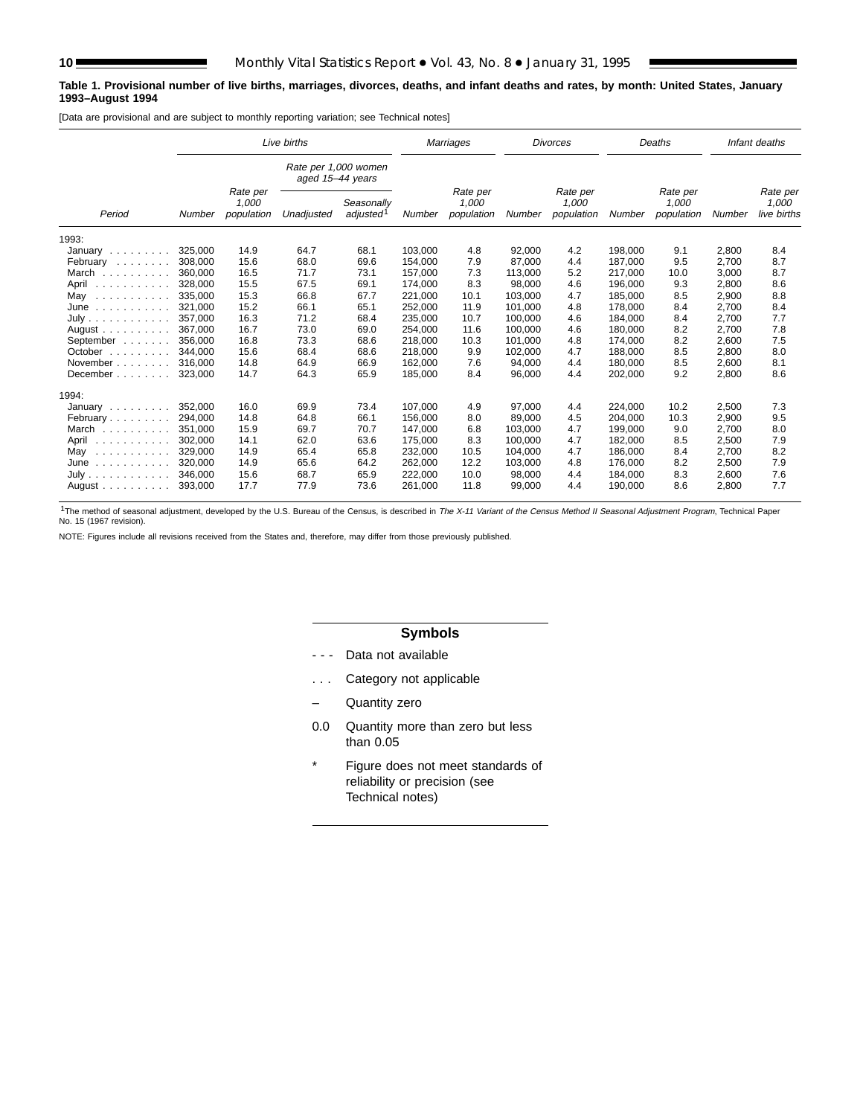#### **Table 1. Provisional number of live births, marriages, divorces, deaths, and infant deaths and rates, by month: United States, January 1993–August 1994**

[Data are provisional and are subject to monthly reporting variation; see Technical notes]

|                                                                                               |         |                                 | Live births                              |                                     |         | Marriages                       |         | <b>Divorces</b>                 |         | Deaths                          |        | Infant deaths                    |
|-----------------------------------------------------------------------------------------------|---------|---------------------------------|------------------------------------------|-------------------------------------|---------|---------------------------------|---------|---------------------------------|---------|---------------------------------|--------|----------------------------------|
|                                                                                               |         |                                 | Rate per 1,000 women<br>aged 15-44 years |                                     |         |                                 |         |                                 |         |                                 |        |                                  |
| Period                                                                                        | Number  | Rate per<br>1,000<br>population | Unadjusted                               | Seasonally<br>adjusted <sup>1</sup> | Number  | Rate per<br>1,000<br>population | Number  | Rate per<br>1,000<br>population | Number  | Rate per<br>1,000<br>population | Number | Rate per<br>1,000<br>live births |
| 1993:                                                                                         |         |                                 |                                          |                                     |         |                                 |         |                                 |         |                                 |        |                                  |
| January $\ldots$ , $\ldots$                                                                   | 325,000 | 14.9                            | 64.7                                     | 68.1                                | 103.000 | 4.8                             | 92,000  | 4.2                             | 198.000 | 9.1                             | 2,800  | 8.4                              |
| February<br>and a state of the                                                                | 308,000 | 15.6                            | 68.0                                     | 69.6                                | 154,000 | 7.9                             | 87.000  | 4.4                             | 187.000 | 9.5                             | 2,700  | 8.7                              |
| March                                                                                         | 360,000 | 16.5                            | 71.7                                     | 73.1                                | 157.000 | 7.3                             | 113,000 | 5.2                             | 217.000 | 10.0                            | 3,000  | 8.7                              |
| April                                                                                         | 328,000 | 15.5                            | 67.5                                     | 69.1                                | 174,000 | 8.3                             | 98,000  | 4.6                             | 196,000 | 9.3                             | 2,800  | 8.6                              |
| May<br>.                                                                                      | 335,000 | 15.3                            | 66.8                                     | 67.7                                | 221.000 | 10.1                            | 103.000 | 4.7                             | 185.000 | 8.5                             | 2,900  | 8.8                              |
| June<br>$\begin{array}{cccccccccccccc} . & . & . & . & . & . & . & . & . & . & . \end{array}$ | 321,000 | 15.2                            | 66.1                                     | 65.1                                | 252,000 | 11.9                            | 101,000 | 4.8                             | 178,000 | 8.4                             | 2,700  | 8.4                              |
| July                                                                                          | 357.000 | 16.3                            | 71.2                                     | 68.4                                | 235,000 | 10.7                            | 100.000 | 4.6                             | 184.000 | 8.4                             | 2.700  | 7.7                              |
| August $\ldots$ , $\ldots$ ,                                                                  | 367,000 | 16.7                            | 73.0                                     | 69.0                                | 254,000 | 11.6                            | 100,000 | 4.6                             | 180,000 | 8.2                             | 2,700  | 7.8                              |
| September                                                                                     | 356,000 | 16.8                            | 73.3                                     | 68.6                                | 218.000 | 10.3                            | 101.000 | 4.8                             | 174.000 | 8.2                             | 2,600  | 7.5                              |
| October                                                                                       | 344.000 | 15.6                            | 68.4                                     | 68.6                                | 218.000 | 9.9                             | 102.000 | 4.7                             | 188.000 | 8.5                             | 2.800  | 8.0                              |
| November                                                                                      | 316,000 | 14.8                            | 64.9                                     | 66.9                                | 162,000 | 7.6                             | 94,000  | 4.4                             | 180,000 | 8.5                             | 2,600  | 8.1                              |
| December.<br>and a straight                                                                   | 323,000 | 14.7                            | 64.3                                     | 65.9                                | 185,000 | 8.4                             | 96,000  | 4.4                             | 202,000 | 9.2                             | 2,800  | 8.6                              |
| 1994:                                                                                         |         |                                 |                                          |                                     |         |                                 |         |                                 |         |                                 |        |                                  |
| January $\ldots$ , $\ldots$                                                                   | 352.000 | 16.0                            | 69.9                                     | 73.4                                | 107.000 | 4.9                             | 97,000  | 4.4                             | 224,000 | 10.2                            | 2,500  | 7.3                              |
| February                                                                                      | 294.000 | 14.8                            | 64.8                                     | 66.1                                | 156.000 | 8.0                             | 89.000  | 4.5                             | 204.000 | 10.3                            | 2,900  | 9.5                              |
| March                                                                                         | 351,000 | 15.9                            | 69.7                                     | 70.7                                | 147,000 | 6.8                             | 103.000 | 4.7                             | 199,000 | 9.0                             | 2,700  | 8.0                              |
| April<br>.                                                                                    | 302.000 | 14.1                            | 62.0                                     | 63.6                                | 175,000 | 8.3                             | 100,000 | 4.7                             | 182.000 | 8.5                             | 2,500  | 7.9                              |
| May<br>.                                                                                      | 329.000 | 14.9                            | 65.4                                     | 65.8                                | 232,000 | 10.5                            | 104.000 | 4.7                             | 186.000 | 8.4                             | 2.700  | 8.2                              |
| June<br>a a a a a a a a a a a                                                                 | 320,000 | 14.9                            | 65.6                                     | 64.2                                | 262,000 | 12.2                            | 103,000 | 4.8                             | 176.000 | 8.2                             | 2,500  | 7.9                              |
| July                                                                                          | 346,000 | 15.6                            | 68.7                                     | 65.9                                | 222,000 | 10.0                            | 98,000  | 4.4                             | 184,000 | 8.3                             | 2,600  | 7.6                              |
| August $\ldots$ , $\ldots$ , $\ldots$                                                         | 393,000 | 17.7                            | 77.9                                     | 73.6                                | 261,000 | 11.8                            | 99,000  | 4.4                             | 190,000 | 8.6                             | 2,800  | 7.7                              |

<sup>1</sup>The method of seasonal adjustment, developed by the U.S. Bureau of the Census, is described in The X-11 Variant of the Census Method II Seasonal Adjustment Program, Technical Paper<br>No. 15 (1967 revision).

NOTE: Figures include all revisions received from the States and, therefore, may differ from those previously published.

## **Symbols**

- - Data not available
- . . . Category not applicable
- Quantity zero
- 0.0 Quantity more than zero but less than 0.05
- \* Figure does not meet standards of reliability or precision (see Technical notes)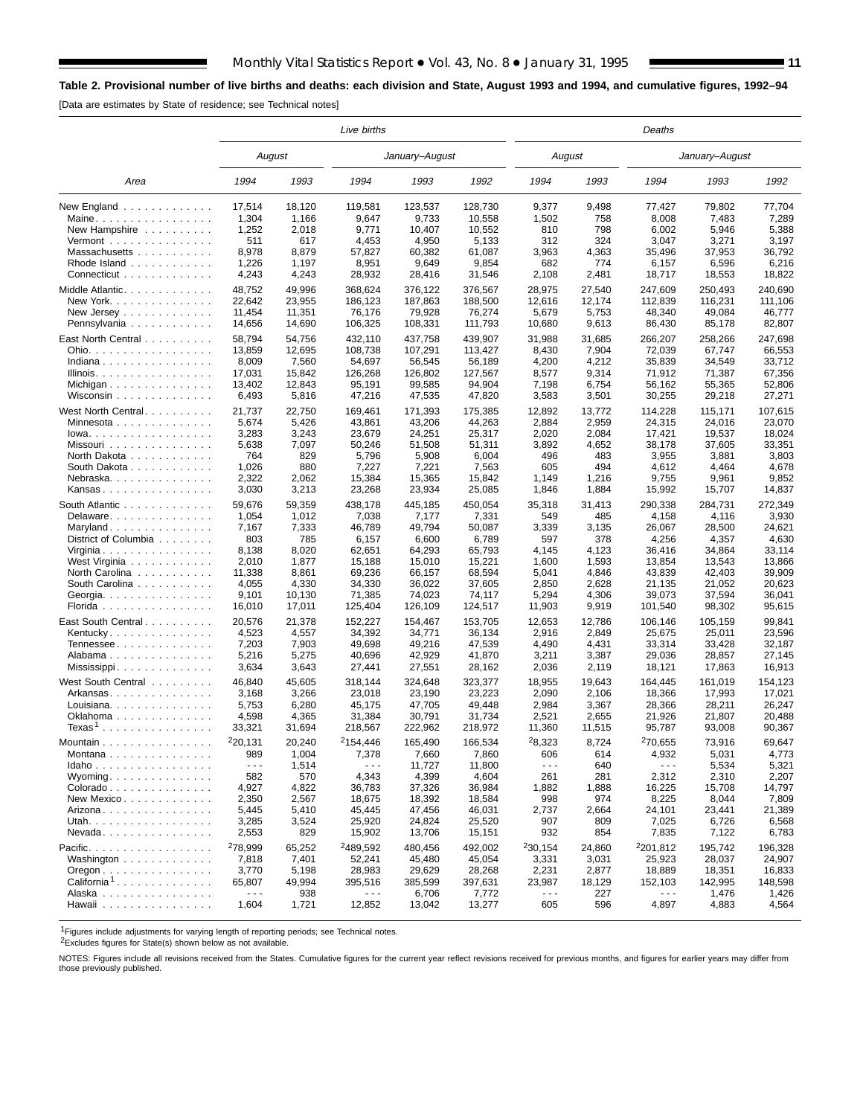[Data are estimates by State of residence; see Technical notes]

|                                                                  |                      |        | Live births                   |                |                 |                      |        | Deaths                        |                |         |
|------------------------------------------------------------------|----------------------|--------|-------------------------------|----------------|-----------------|----------------------|--------|-------------------------------|----------------|---------|
|                                                                  | August               |        |                               | January–August |                 | August               |        |                               | January–August |         |
| Area                                                             | 1994                 | 1993   | 1994                          | 1993           | 1992            | 1994                 | 1993   | 1994                          | 1993           | 1992    |
| New England $\ldots$                                             | 17,514               | 18,120 | 119,581                       | 123,537        | 128,730         | 9,377                | 9,498  | 77,427                        | 79,802         | 77,704  |
| Maine                                                            | 1,304                | 1,166  | 9,647                         | 9,733          | 10,558          | 1,502                | 758    | 8,008                         | 7,483          | 7,289   |
| New Hampshire                                                    | 1,252                | 2,018  | 9,771                         | 10,407         | 10,552          | 810                  | 798    | 6,002                         | 5,946          | 5,388   |
| Vermont $\ldots$ , $\ldots$ , $\ldots$ , $\ldots$                | 511                  | 617    | 4,453                         | 4,950          | 5,133           | 312                  | 324    | 3,047                         | 3,271          | 3,197   |
| Massachusetts                                                    | 8,978                | 8,879  | 57,827                        | 60,382         | 61,087          | 3,963                | 4,363  | 35,496                        | 37,953         | 36,792  |
| Rhode Island                                                     | 1,226                | 1,197  | 8,951                         | 9,649          | 9,854           | 682                  | 774    | 6,157                         | 6,596          | 6,216   |
| Connecticut                                                      | 4,243                | 4,243  | 28,932                        | 28,416         | 31,546          | 2,108                | 2,481  | 18,717                        | 18,553         | 18,822  |
| Middle Atlantic.                                                 | 48,752               | 49,996 | 368,624                       | 376,122        | 376,567         | 28,975               | 27,540 | 247,609                       | 250,493        | 240,690 |
| New York                                                         | 22,642               | 23,955 | 186,123                       | 187,863        | 188,500         | 12,616               | 12,174 | 112,839                       | 116,231        | 111,106 |
|                                                                  | 11,454               | 11,351 | 76,176                        | 79,928         | 76,274          | 5,679                | 5,753  | 48,340                        | 49,084         | 46,777  |
| New Jersey $\ldots$ $\ldots$ $\ldots$ $\ldots$ .<br>Pennsylvania | 14,656               | 14,690 | 106,325                       | 108,331        | 111,793         | 10,680               | 9,613  | 86,430                        | 85,178         | 82,807  |
|                                                                  |                      |        |                               |                |                 |                      |        |                               |                |         |
| East North Central                                               | 58,794               | 54,756 | 432,110                       | 437,758        | 439,907         | 31,988               | 31,685 | 266,207                       | 258,266        | 247,698 |
| Ohio.                                                            | 13,859               | 12,695 | 108,738                       | 107,291        | 113,427         | 8,430                | 7,904  | 72,039                        | 67,747         | 66,553  |
| Indiana                                                          | 8,009                | 7,560  | 54,697                        | 56,545         | 56,189          | 4,200                | 4,212  | 35,839                        | 34,549         | 33,712  |
| Illinois.                                                        | 17,031               | 15,842 | 126,268                       | 126,802        | 127,567         | 8,577                | 9,314  | 71,912                        | 71,387         | 67,356  |
| Michigan                                                         | 13,402               | 12,843 | 95,191                        | 99,585         | 94,904          | 7,198                | 6,754  | 56,162                        | 55,365         | 52,806  |
| Wisconsin                                                        | 6,493                | 5,816  | 47,216                        | 47,535         | 47,820          | 3,583                | 3,501  | 30,255                        | 29,218         | 27,271  |
| West North Central.                                              | 21,737               | 22,750 | 169,461                       | 171,393        | 175,385         | 12,892               | 13,772 | 114,228                       | 115,171        | 107,615 |
| Minnesota                                                        | 5,674                | 5,426  | 43,861                        | 43,206         | 44,263          | 2,884                | 2,959  | 24,315                        | 24,016         | 23,070  |
| $Iowa.$                                                          | 3,283                | 3,243  | 23,679                        | 24,251         | 25,317          | 2,020                | 2,084  | 17,421                        | 19,537         | 18,024  |
| Missouri                                                         | 5,638                | 7,097  | 50,246                        | 51,508         | 51,311          | 3,892                | 4,652  | 38,178                        | 37,605         | 33,351  |
| North Dakota                                                     | 764                  | 829    | 5,796                         | 5,908          | 6,004           | 496                  | 483    | 3,955                         | 3,881          | 3,803   |
|                                                                  |                      | 880    |                               |                |                 | 605                  |        |                               |                |         |
| South Dakota                                                     | 1,026                |        | 7,227                         | 7,221          | 7,563<br>15,842 |                      | 494    | 4,612                         | 4,464          | 4,678   |
| Nebraska.                                                        | 2,322                | 2,062  | 15,384                        | 15,365         |                 | 1,149                | 1,216  | 9,755                         | 9,961          | 9,852   |
| Kansas                                                           | 3,030                | 3,213  | 23,268                        | 23,934         | 25,085          | 1,846                | 1,884  | 15,992                        | 15,707         | 14,837  |
| South Atlantic                                                   | 59,676               | 59,359 | 438,178                       | 445,185        | 450,054         | 35,318               | 31,413 | 290,338                       | 284,731        | 272,349 |
| Delaware                                                         | 1,054                | 1,012  | 7,038                         | 7,177          | 7,331           | 549                  | 485    | 4,158                         | 4,116          | 3,930   |
| Maryland                                                         | 7,167                | 7,333  | 46,789                        | 49,794         | 50,087          | 3,339                | 3,135  | 26,067                        | 28,500         | 24,621  |
| District of Columbia                                             | 803                  | 785    | 6,157                         | 6,600          | 6,789           | 597                  | 378    | 4,256                         | 4,357          | 4,630   |
| Virginia                                                         | 8,138                | 8,020  | 62,651                        | 64,293         | 65,793          | 4,145                | 4,123  | 36,416                        | 34,864         | 33,114  |
| West Virginia                                                    | 2,010                | 1,877  | 15,188                        | 15,010         | 15,221          | 1,600                | 1,593  | 13,854                        | 13,543         | 13,866  |
| North Carolina                                                   | 11,338               | 8,861  | 69,236                        | 66,157         | 68,594          | 5,041                | 4,846  | 43,839                        | 42,403         | 39,909  |
| South Carolina                                                   | 4,055                | 4,330  | 34,330                        | 36,022         | 37,605          | 2,850                | 2,628  | 21,135                        | 21,052         | 20,623  |
| Georgia. $\ldots$ .                                              | 9,101                | 10,130 | 71,385                        | 74,023         | 74,117          | 5,294                | 4,306  | 39,073                        | 37,594         | 36,041  |
| Florida                                                          | 16,010               | 17,011 | 125,404                       | 126,109        | 124,517         | 11,903               | 9,919  | 101,540                       | 98,302         | 95,615  |
|                                                                  |                      |        |                               |                |                 |                      |        |                               |                |         |
| East South Central                                               | 20,576               | 21,378 | 152,227                       | 154,467        | 153,705         | 12,653               | 12,786 | 106,146                       | 105,159        | 99,841  |
| Kentucky                                                         | 4,523                | 4,557  | 34,392                        | 34,771         | 36,134          | 2,916                | 2,849  | 25,675                        | 25,011         | 23,596  |
| Tennessee                                                        | 7,203                | 7,903  | 49,698                        | 49,216         | 47,539          | 4,490                | 4,431  | 33,314                        | 33,428         | 32,187  |
| Alabama                                                          | 5,216                | 5,275  | 40,696                        | 42,929         | 41,870          | 3,211                | 3,387  | 29,036                        | 28,857         | 27,145  |
| Mississippi                                                      | 3,634                | 3,643  | 27,441                        | 27,551         | 28,162          | 2,036                | 2,119  | 18,121                        | 17,863         | 16,913  |
| West South Central                                               | 46,840               | 45,605 | 318,144                       | 324,648        | 323,377         | 18,955               | 19,643 | 164,445                       | 161,019        | 154,123 |
| Arkansas                                                         | 3,168                | 3,266  | 23,018                        | 23,190         | 23,223          | 2,090                | 2,106  | 18,366                        | 17,993         | 17,021  |
| Louisiana                                                        | 5,753                | 6,280  | 45,175                        | 47,705         | 49,448          | 2,984                | 3,367  | 28,366                        | 28,211         | 26,247  |
| Oklahoma                                                         | 4,598                | 4,365  | 31,384                        | 30,791         | 31,734          | 2,521                | 2,655  | 21,926                        | 21,807         | 20,488  |
| $Texas1$                                                         | 33,321               | 31,694 | 218,567                       | 222,962        | 218,972         | 11,360               | 11,515 | 95,787                        | 93,008         | 90,367  |
|                                                                  | <sup>2</sup> 20,131  | 20,240 | 2154,446                      | 165,490        | 166,534         | 28,323               | 8,724  | 270,655                       | 73,916         | 69,647  |
| Mountain $\ldots \ldots \ldots$                                  | 989                  |        |                               |                |                 | 606                  |        |                               |                |         |
| Montana                                                          | $\sim$ $\sim$ $\sim$ | 1,004  | 7,378<br>$\sim$ $\sim$ $\sim$ | 7,660          | 7,860           | $\sim$ $\sim$ $\sim$ | 614    | 4,932<br>$\sim$ $\sim$ $\sim$ | 5,031          | 4,773   |
| Idaho                                                            |                      | 1,514  |                               | 11,727         | 11,800          |                      | 640    |                               | 5,534          | 5,321   |
| Wyoming                                                          | 582                  | 570    | 4,343                         | 4,399          | 4,604           | 261                  | 281    | 2,312                         | 2,310          | 2,207   |
| Colorado                                                         | 4,927                | 4,822  | 36,783                        | 37,326         | 36,984          | 1,882                | 1,888  | 16,225                        | 15,708         | 14,797  |
| New Mexico                                                       | 2,350                | 2,567  | 18,675                        | 18,392         | 18,584          | 998                  | 974    | 8,225                         | 8,044          | 7,809   |
| Arizona.                                                         | 5,445                | 5,410  | 45,445                        | 47,456         | 46,031          | 2,737                | 2,664  | 24,101                        | 23,441         | 21,389  |
| Utah.                                                            | 3,285                | 3,524  | 25,920                        | 24,824         | 25,520          | 907                  | 809    | 7,025                         | 6,726          | 6,568   |
| $N$ evada                                                        | 2,553                | 829    | 15,902                        | 13,706         | 15,151          | 932                  | 854    | 7,835                         | 7,122          | 6,783   |
| Pacific.                                                         | 278,999              | 65,252 | 2489,592                      | 480,456        | 492,002         | 230,154              | 24,860 | 2201,812                      | 195,742        | 196,328 |
| Washington                                                       | 7,818                | 7,401  | 52,241                        | 45,480         | 45,054          | 3,331                | 3,031  | 25,923                        | 28,037         | 24,907  |
| $O$ regon $\ldots \ldots \ldots \ldots \ldots$                   | 3,770                | 5,198  | 28,983                        | 29,629         | 28,268          | 2,231                | 2,877  | 18,889                        | 18,351         | 16,833  |
| California <sup>1</sup>                                          | 65,807               | 49,994 | 395,516                       | 385,599        | 397,631         | 23,987               | 18,129 | 152,103                       | 142,995        | 148,598 |
| Alaska                                                           | $\sim$ $\sim$ $\sim$ | 938    | $\sim$ $\sim$ $\sim$          | 6,706          | 7,772           | $\sim$ $\sim$ $\sim$ | 227    | $\sim$ $\sim$ $\sim$          | 1,476          | 1,426   |
| Hawaii                                                           | 1,604                | 1,721  | 12,852                        | 13,042         | 13,277          | 605                  | 596    | 4,897                         | 4,883          | 4,564   |
|                                                                  |                      |        |                               |                |                 |                      |        |                               |                |         |

 $1$ Figures include adjustments for varying length of reporting periods; see Technical notes.

2Excludes figures for State(s) shown below as not available.

NOTES: Figures include all revisions received from the States. Cumulative figures for the current year reflect revisions received for previous months, and figures for earlier years may differ from those previously published.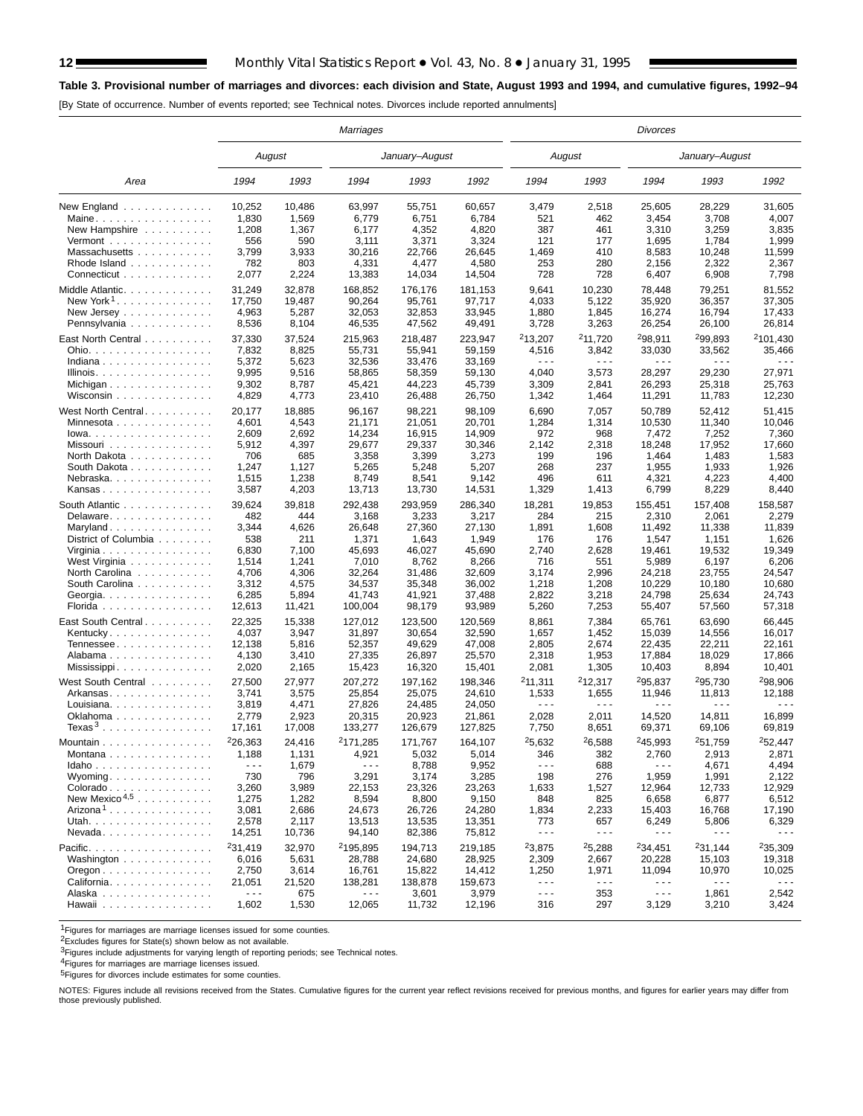## 12 Monthly Vital Statistics Report • Vol. 43, No. 8 • January 31, 1995

### **Table 3. Provisional number of marriages and divorces: each division and State, August 1993 and 1994, and cumulative figures, 1992–94**

[By State of occurrence. Number of events reported; see Technical notes. Divorces include reported annulments]

|                                                          |                               |        | Marriages                                                                                                                                                                                                                                                                                                                                                                                    |                |         |                      |                      | Divorces             |                      |                      |
|----------------------------------------------------------|-------------------------------|--------|----------------------------------------------------------------------------------------------------------------------------------------------------------------------------------------------------------------------------------------------------------------------------------------------------------------------------------------------------------------------------------------------|----------------|---------|----------------------|----------------------|----------------------|----------------------|----------------------|
|                                                          | August                        |        |                                                                                                                                                                                                                                                                                                                                                                                              | January–August |         |                      | August               |                      | January-August       |                      |
| Area                                                     | 1994                          | 1993   | 1994                                                                                                                                                                                                                                                                                                                                                                                         | 1993           | 1992    | 1994                 | 1993                 | 1994                 | 1993                 | 1992                 |
| New England                                              | 10,252                        | 10,486 | 63,997                                                                                                                                                                                                                                                                                                                                                                                       | 55,751         | 60,657  | 3,479                | 2,518                | 25,605               | 28,229               | 31,605               |
| Maine                                                    | 1,830                         | 1,569  | 6,779                                                                                                                                                                                                                                                                                                                                                                                        | 6,751          | 6,784   | 521                  | 462                  | 3,454                | 3,708                | 4,007                |
| New Hampshire                                            | 1,208                         | 1,367  | 6,177                                                                                                                                                                                                                                                                                                                                                                                        | 4,352          | 4,820   | 387                  | 461                  | 3,310                | 3,259                | 3,835                |
| $Vermont$                                                | 556                           | 590    | 3,111                                                                                                                                                                                                                                                                                                                                                                                        | 3,371          | 3,324   | 121                  | 177                  | 1,695                | 1,784                | 1,999                |
| Massachusetts                                            | 3,799                         | 3,933  | 30,216                                                                                                                                                                                                                                                                                                                                                                                       | 22,766         | 26,645  | 1,469                | 410                  | 8,583                | 10,248               | 11,599               |
| Rhode Island                                             | 782                           | 803    | 4,331                                                                                                                                                                                                                                                                                                                                                                                        | 4,477          | 4,580   | 253                  | 280                  | 2,156                | 2,322                | 2,367                |
| Connecticut                                              | 2,077                         | 2,224  | 13,383                                                                                                                                                                                                                                                                                                                                                                                       | 14,034         | 14,504  | 728                  | 728                  | 6,407                | 6,908                | 7,798                |
| Middle Atlantic.                                         | 31,249                        | 32,878 | 168,852                                                                                                                                                                                                                                                                                                                                                                                      | 176,176        | 181,153 | 9,641                | 10,230               | 78,448               | 79,251               | 81,552               |
| New York <sup>1</sup> .                                  | 17,750                        | 19,487 | 90,264                                                                                                                                                                                                                                                                                                                                                                                       | 95,761         | 97,717  | 4,033                | 5,122                | 35,920               | 36,357               | 37,305               |
| New Jersey                                               | 4,963                         | 5,287  | 32,053                                                                                                                                                                                                                                                                                                                                                                                       | 32,853         | 33,945  | 1,880                | 1,845                | 16,274               | 16,794               | 17,433               |
| Pennsylvania                                             | 8,536                         | 8,104  | 46,535                                                                                                                                                                                                                                                                                                                                                                                       | 47,562         | 49,491  | 3,728                | 3,263                | 26,254               | 26,100               | 26,814               |
|                                                          |                               |        |                                                                                                                                                                                                                                                                                                                                                                                              |                |         |                      |                      |                      |                      |                      |
| East North Central                                       | 37,330                        | 37,524 | 215,963                                                                                                                                                                                                                                                                                                                                                                                      | 218,487        | 223,947 | <sup>2</sup> 13,207  | 211,720              | <sup>2</sup> 98.911  | <sup>2</sup> 99.893  | <sup>2</sup> 101,430 |
| Ohio.                                                    | 7,832                         | 8,825  | 55,731                                                                                                                                                                                                                                                                                                                                                                                       | 55,941         | 59,159  | 4,516                | 3,842                | 33,030               | 33,562               | 35,466               |
| Indiana                                                  | 5,372                         | 5,623  | 32,536                                                                                                                                                                                                                                                                                                                                                                                       | 33,476         | 33,169  | $ -$                 | .                    | - - -                | $\sim$ $\sim$ $\sim$ |                      |
| Illinois.                                                | 9,995                         | 9,516  | 58,865                                                                                                                                                                                                                                                                                                                                                                                       | 58,359         | 59,130  | 4,040                | 3,573                | 28,297               | 29,230               | 27,971               |
| Michigan                                                 | 9,302                         | 8,787  | 45,421                                                                                                                                                                                                                                                                                                                                                                                       | 44,223         | 45,739  | 3,309                | 2,841                | 26,293               | 25,318               | 25,763               |
| Wisconsin                                                | 4,829                         | 4,773  | 23,410                                                                                                                                                                                                                                                                                                                                                                                       | 26,488         | 26,750  | 1,342                | 1,464                | 11,291               | 11,783               | 12,230               |
| West North Central                                       | 20,177                        | 18,885 | 96,167                                                                                                                                                                                                                                                                                                                                                                                       | 98,221         | 98,109  | 6,690                | 7,057                | 50,789               | 52,412               | 51,415               |
| Minnesota                                                | 4,601                         | 4,543  | 21,171                                                                                                                                                                                                                                                                                                                                                                                       | 21,051         | 20,701  | 1,284                | 1,314                | 10,530               | 11,340               | 10,046               |
| $Iowa.$                                                  | 2,609                         | 2,692  | 14,234                                                                                                                                                                                                                                                                                                                                                                                       | 16,915         | 14,909  | 972                  | 968                  | 7,472                | 7,252                | 7,360                |
| Missouri                                                 | 5,912                         | 4,397  | 29,677                                                                                                                                                                                                                                                                                                                                                                                       | 29,337         | 30,346  | 2,142                | 2,318                | 18,248               | 17,952               | 17,660               |
| North Dakota                                             | 706                           | 685    | 3,358                                                                                                                                                                                                                                                                                                                                                                                        | 3,399          | 3,273   | 199                  | 196                  | 1,464                | 1,483                | 1,583                |
| South Dakota                                             | 1,247                         | 1,127  | 5,265                                                                                                                                                                                                                                                                                                                                                                                        | 5,248          | 5,207   | 268                  | 237                  | 1,955                | 1,933                | 1,926                |
| Nebraska                                                 | 1,515                         | 1,238  | 8,749                                                                                                                                                                                                                                                                                                                                                                                        | 8,541          | 9,142   | 496                  | 611                  | 4,321                | 4,223                | 4,400                |
|                                                          |                               |        | 13,713                                                                                                                                                                                                                                                                                                                                                                                       |                |         | 1,329                |                      | 6,799                |                      |                      |
| Kansas                                                   | 3,587                         | 4,203  |                                                                                                                                                                                                                                                                                                                                                                                              | 13,730         | 14,531  |                      | 1,413                |                      | 8,229                | 8,440                |
| South Atlantic                                           | 39,624                        | 39,818 | 292,438                                                                                                                                                                                                                                                                                                                                                                                      | 293,959        | 286,340 | 18,281               | 19,853               | 155,451              | 157,408              | 158,587              |
| Delaware                                                 | 482                           | 444    | 3,168                                                                                                                                                                                                                                                                                                                                                                                        | 3,233          | 3,217   | 284                  | 215                  | 2,310                | 2,061                | 2,279                |
| Maryland                                                 | 3,344                         | 4,626  | 26,648                                                                                                                                                                                                                                                                                                                                                                                       | 27,360         | 27,130  | 1,891                | 1,608                | 11,492               | 11,338               | 11,839               |
| District of Columbia                                     | 538                           | 211    | 1,371                                                                                                                                                                                                                                                                                                                                                                                        | 1,643          | 1,949   | 176                  | 176                  | 1,547                | 1,151                | 1,626                |
| Virginia                                                 | 6,830                         | 7,100  | 45,693                                                                                                                                                                                                                                                                                                                                                                                       | 46,027         | 45,690  | 2,740                | 2,628                | 19,461               | 19,532               | 19,349               |
| West Virginia                                            | 1,514                         | 1,241  | 7,010                                                                                                                                                                                                                                                                                                                                                                                        | 8,762          | 8,266   | 716                  | 551                  | 5,989                | 6,197                | 6,206                |
| North Carolina                                           | 4,706                         | 4,306  | 32,264                                                                                                                                                                                                                                                                                                                                                                                       | 31,486         | 32,609  | 3,174                | 2,996                | 24,218               | 23,755               | 24,547               |
| South Carolina                                           | 3,312                         | 4,575  | 34,537                                                                                                                                                                                                                                                                                                                                                                                       | 35,348         | 36,002  | 1,218                | 1,208                | 10,229               | 10,180               | 10,680               |
| Georgia.                                                 | 6,285                         | 5,894  | 41,743                                                                                                                                                                                                                                                                                                                                                                                       | 41,921         | 37,488  | 2,822                | 3,218                | 24,798               | 25,634               | 24,743               |
| Florida                                                  | 12,613                        | 11,421 | 100,004                                                                                                                                                                                                                                                                                                                                                                                      | 98,179         | 93,989  | 5,260                | 7,253                | 55,407               | 57,560               | 57,318               |
| East South Central.                                      | 22,325                        | 15,338 | 127,012                                                                                                                                                                                                                                                                                                                                                                                      | 123,500        | 120,569 | 8,861                | 7,384                | 65,761               | 63,690               | 66,445               |
|                                                          |                               | 3,947  |                                                                                                                                                                                                                                                                                                                                                                                              | 30,654         | 32,590  | 1,657                |                      | 15,039               |                      | 16,017               |
| Kentucky                                                 | 4,037                         |        | 31,897                                                                                                                                                                                                                                                                                                                                                                                       |                |         |                      | 1,452                |                      | 14,556               |                      |
| Tennessee                                                | 12,138                        | 5,816  | 52,357                                                                                                                                                                                                                                                                                                                                                                                       | 49,629         | 47,008  | 2,805                | 2,674                | 22,435               | 22,211               | 22,161               |
| Alabama                                                  | 4,130                         | 3,410  | 27,335                                                                                                                                                                                                                                                                                                                                                                                       | 26,897         | 25,570  | 2,318                | 1,953                | 17,884               | 18,029               | 17,866               |
| Mississippi                                              | 2,020                         | 2,165  | 15,423                                                                                                                                                                                                                                                                                                                                                                                       | 16,320         | 15,401  | 2,081                | 1,305                | 10,403               | 8,894                | 10,401               |
| West South Central ........                              | 27,500                        | 27,977 | 207,272                                                                                                                                                                                                                                                                                                                                                                                      | 197,162        | 198,346 | 211,311              | <sup>2</sup> 12,317  | 295,837              | <sup>2</sup> 95,730  | 298,906              |
| Arkansas                                                 | 3,741                         | 3,575  | 25,854                                                                                                                                                                                                                                                                                                                                                                                       | 25,075         | 24,610  | 1,533                | 1,655                | 11,946               | 11,813               | 12,188               |
| Louisiana                                                | 3,819                         | 4,471  | 27,826                                                                                                                                                                                                                                                                                                                                                                                       | 24,485         | 24,050  | $\sim$ $\sim$ $\sim$ | $\sim$ $\sim$ $\sim$ | .                    | $\sim$ $\sim$ $\sim$ | $\sim$ $\sim$ $\sim$ |
| Oklahoma                                                 | 2,779                         | 2,923  | 20,315                                                                                                                                                                                                                                                                                                                                                                                       | 20,923         | 21,861  | 2,028                | 2,011                | 14,520               | 14,811               | 16,899               |
| $T$ exas $^3$                                            | 17,161                        | 17,008 | 133,277                                                                                                                                                                                                                                                                                                                                                                                      | 126,679        | 127,825 | 7,750                | 8,651                | 69,371               | 69,106               | 69,819               |
| Mountain                                                 | 226,363                       | 24.416 | <sup>2</sup> 171.285                                                                                                                                                                                                                                                                                                                                                                         | 171.767        | 164.107 | 25,632               | 26,588               | 245.993              | <sup>2</sup> 51,759  | <sup>2</sup> 52,447  |
|                                                          |                               | 1,131  |                                                                                                                                                                                                                                                                                                                                                                                              |                | 5,014   |                      |                      |                      |                      |                      |
| Montana<br>Idaho                                         | 1,188<br>$\sim$ $\sim$ $\sim$ | 1,679  | 4,921<br>.                                                                                                                                                                                                                                                                                                                                                                                   | 5,032<br>8,788 | 9,952   | 346<br>- - -         | 382<br>688           | 2,760<br>$- - -$     | 2,913<br>4,671       | 2,871<br>4,494       |
| Wyoming                                                  | 730                           | 796    | 3,291                                                                                                                                                                                                                                                                                                                                                                                        | 3,174          | 3,285   | 198                  | 276                  | 1,959                | 1,991                | 2,122                |
|                                                          | 3,260                         | 3,989  | 22,153                                                                                                                                                                                                                                                                                                                                                                                       | 23,326         |         | 1,633                | 1,527                | 12,964               |                      | 12,929               |
| Colorado<br>New Mexico <sup><math>4,5</math></sup>       |                               |        |                                                                                                                                                                                                                                                                                                                                                                                              |                | 23,263  |                      |                      |                      | 12,733               |                      |
| $A$ rizona <sup>1</sup>                                  | 1,275                         | 1,282  | 8,594                                                                                                                                                                                                                                                                                                                                                                                        | 8,800          | 9,150   | 848                  | 825                  | 6,658                | 6,877                | 6,512                |
|                                                          | 3,081                         | 2,686  | 24,673                                                                                                                                                                                                                                                                                                                                                                                       | 26,726         | 24,280  | 1,834                | 2,233                | 15,403               | 16,768               | 17,190               |
| Utah.                                                    | 2,578                         | 2,117  | 13,513                                                                                                                                                                                                                                                                                                                                                                                       | 13,535         | 13,351  | 773                  | 657                  | 6,249                | 5,806                | 6,329                |
| $N$ evada                                                | 14,251                        | 10,736 | 94,140                                                                                                                                                                                                                                                                                                                                                                                       | 82,386         | 75,812  | $\sim$ $\sim$ $\sim$ | $\sim$ $\sim$ $\sim$ | - - -                | $- - -$              | $\sim$ $\sim$ $\sim$ |
| Pacific.                                                 | 231,419                       | 32,970 | <sup>2</sup> 195,895                                                                                                                                                                                                                                                                                                                                                                         | 194,713        | 219,185 | 23,875               | 25,288               | 234,451              | <sup>2</sup> 31,144  | <sup>2</sup> 35,309  |
| Washington                                               | 6,016                         | 5,631  | 28,788                                                                                                                                                                                                                                                                                                                                                                                       | 24,680         | 28,925  | 2,309                | 2,667                | 20,228               | 15,103               | 19,318               |
| $O$ regon $\ldots$ $\ldots$ $\ldots$ $\ldots$ $\ldots$ . | 2,750                         | 3,614  | 16,761                                                                                                                                                                                                                                                                                                                                                                                       | 15,822         | 14,412  | 1,250                | 1,971                | 11,094               | 10,970               | 10,025               |
| California                                               | 21,051                        | 21,520 | 138,281                                                                                                                                                                                                                                                                                                                                                                                      | 138,878        | 159,673 | $\sim$ $\sim$ $\sim$ | $\sim$ $\sim$ $\sim$ | $\sim$ $\sim$ $\sim$ | $\sim$ $\sim$ $\sim$ | $\sim$ $\sim$ $\sim$ |
| Alaska                                                   | $\sim$ $\sim$ $\sim$          | 675    | $\frac{1}{2} \frac{1}{2} \frac{1}{2} \frac{1}{2} \frac{1}{2} \frac{1}{2} \frac{1}{2} \frac{1}{2} \frac{1}{2} \frac{1}{2} \frac{1}{2} \frac{1}{2} \frac{1}{2} \frac{1}{2} \frac{1}{2} \frac{1}{2} \frac{1}{2} \frac{1}{2} \frac{1}{2} \frac{1}{2} \frac{1}{2} \frac{1}{2} \frac{1}{2} \frac{1}{2} \frac{1}{2} \frac{1}{2} \frac{1}{2} \frac{1}{2} \frac{1}{2} \frac{1}{2} \frac{1}{2} \frac{$ | 3,601          | 3,979   | $\sim$ $\sim$ $\sim$ | 353                  | $\sim$ $\sim$ $\sim$ | 1,861                | 2,542                |
| Hawaii                                                   | 1,602                         | 1,530  | 12,065                                                                                                                                                                                                                                                                                                                                                                                       | 11,732         | 12,196  | 316                  | 297                  | 3,129                | 3,210                | 3,424                |
|                                                          |                               |        |                                                                                                                                                                                                                                                                                                                                                                                              |                |         |                      |                      |                      |                      |                      |

1Figures for marriages are marriage licenses issued for some counties.

2Excludes figures for State(s) shown below as not available.

<sup>3</sup>Figures include adjustments for varying length of reporting periods; see Technical notes.

4Figures for marriages are marriage licenses issued.

5Figures for divorces include estimates for some counties.

NOTES: Figures include all revisions received from the States. Cumulative figures for the current year reflect revisions received for previous months, and figures for earlier years may differ from those previously published.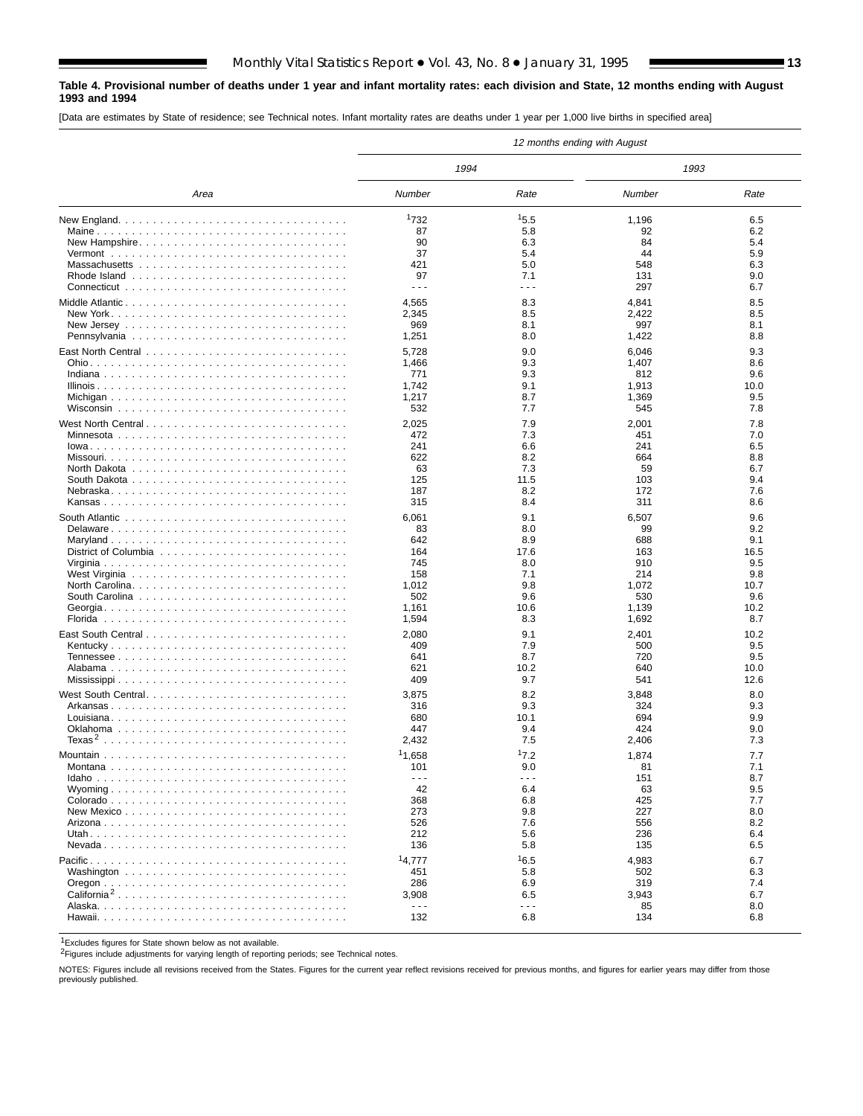### **Table 4. Provisional number of deaths under 1 year and infant mortality rates: each division and State, 12 months ending with August 1993 and 1994**

[Data are estimates by State of residence; see Technical notes. Infant mortality rates are deaths under 1 year per 1,000 live births in specified area]

|                    |                      |            | 12 months ending with August |             |
|--------------------|----------------------|------------|------------------------------|-------------|
|                    | 1994                 |            | 1993                         |             |
| Area               | Number               | Rate       | Number                       | Rate        |
|                    | 1732                 | 15.5       | 1,196                        | 6.5         |
|                    | 87                   | 5.8        | 92                           | 6.2         |
| New Hampshire      | 90                   | 6.3        | 84                           | 5.4         |
|                    | 37                   | 5.4        | 44                           | 5.9         |
|                    | 421                  | 5.0        | 548                          | 6.3         |
|                    | 97                   | 7.1        | 131                          | 9.0         |
|                    | $\sim$ $\sim$ $\sim$ | .          | 297                          | 6.7         |
|                    | 4,565                | 8.3        | 4,841                        | 8.5         |
|                    | 2,345                | 8.5        | 2,422                        | 8.5         |
|                    | 969                  | 8.1        | 997                          | 8.1         |
|                    | 1,251                | 8.0        | 1,422                        | 8.8         |
|                    | 5,728                | 9.0        | 6,046                        | 9.3         |
|                    | 1,466                | 9.3        | 1,407                        | 8.6         |
|                    | 771                  | 9.3        | 812                          | 9.6         |
|                    | 1,742                | 9.1        | 1,913                        | 10.0        |
|                    | 1,217                | 8.7        | 1,369                        | 9.5         |
|                    | 532                  | 7.7        | 545                          | 7.8         |
|                    |                      |            |                              |             |
| West North Central | 2,025                | 7.9        | 2,001                        | 7.8         |
|                    | 472                  | 7.3        | 451                          | 7.0         |
|                    | 241                  | 6.6<br>8.2 | 241                          | 6.5         |
|                    | 622<br>63            | 7.3        | 664<br>59                    | 8.8         |
|                    | 125                  | 11.5       | 103                          | 6.7<br>9.4  |
|                    | 187                  | 8.2        | 172                          | 7.6         |
|                    | 315                  | 8.4        | 311                          | 8.6         |
|                    |                      |            |                              |             |
|                    | 6,061                | 9.1        | 6,507                        | 9.6         |
| Delaware           | 83                   | 8.0        | 99                           | 9.2         |
|                    | 642                  | 8.9        | 688                          | 9.1         |
|                    | 164                  | 17.6       | 163                          | 16.5        |
|                    | 745                  | 8.0        | 910                          | 9.5         |
|                    | 158                  | 7.1<br>9.8 | 214<br>1,072                 | 9.8<br>10.7 |
|                    | 1,012                | 9.6        | 530                          | 9.6         |
|                    | 502<br>1,161         | 10.6       |                              | 10.2        |
|                    | 1,594                | 8.3        | 1,139<br>1,692               | 8.7         |
|                    |                      |            |                              |             |
|                    | 2,080                | 9.1        | 2,401                        | 10.2        |
|                    | 409                  | 7.9        | 500                          | 9.5         |
|                    | 641                  | 8.7        | 720                          | 9.5         |
|                    | 621                  | 10.2       | 640                          | 10.0        |
|                    | 409                  | 9.7        | 541                          | 12.6        |
| West South Central | 3,875                | 8.2        | 3,848                        | 8.0         |
|                    | 316                  | 9.3        | 324                          | 9.3         |
|                    | 680                  | 10.1       | 694                          | 9.9         |
|                    | 447                  | 9.4        | 424                          | 9.0         |
|                    | 2,432                | 7.5        | 2,406                        | 7.3         |
|                    | <sup>1</sup> 1,658   | 17.2       | 1,874                        | 7.7         |
|                    | 101                  | 9.0        | 81                           | 7.1         |
|                    | $\sim$ $\sim$ $\sim$ | - - -      | 151                          | 8.7         |
|                    | 42                   | 6.4        | 63                           | 9.5         |
|                    | 368                  | 6.8        | 425                          | 7.7         |
|                    | 273                  | 9.8        | 227                          | 8.0         |
|                    | 526                  | 7.6        | 556                          | 8.2         |
|                    | 212                  | 5.6        | 236                          | 6.4         |
|                    | 136                  | 5.8        | 135                          | 6.5         |
|                    | 14,777               | 16.5       | 4,983                        | 6.7         |
|                    | 451                  | 5.8        | 502                          | 6.3         |
|                    | 286                  | 6.9        | 319                          | 7.4         |
|                    | 3,908                | 6.5        | 3,943                        | 6.7         |
|                    | $\sim$ $\sim$ $\sim$ | .          | 85                           | 8.0         |
|                    | 132                  | 6.8        | 134                          | 6.8         |
|                    |                      |            |                              |             |

1Excludes figures for State shown below as not available.

2Figures include adjustments for varying length of reporting periods; see Technical notes.

NOTES: Figures include all revisions received from the States. Figures for the current year reflect revisions received for previous months, and figures for earlier years may differ from those previously published.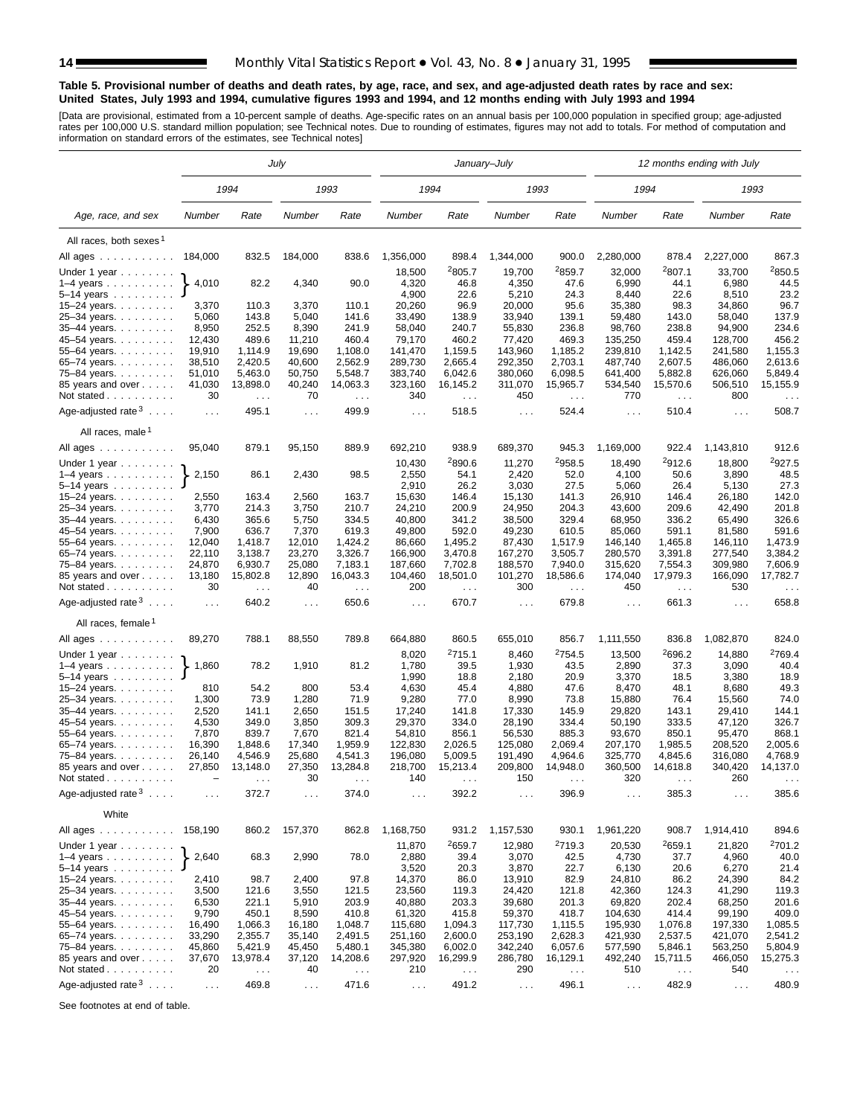#### **Table 5. Provisional number of deaths and death rates, by age, race, and sex, and age-adjusted death rates by race and sex: United States, July 1993 and 1994, cumulative figures 1993 and 1994, and 12 months ending with July 1993 and 1994**

[Data are provisional, estimated from a 10-percent sample of deaths. Age-specific rates on an annual basis per 100,000 population in specified group; age-adjusted<br>rates per 100,000 U.S. standard million population; see Tec

|                                    |                |                                  | July           |                      |                  |                                  | January–July         |                           |                             |                      | 12 months ending with July |                                  |
|------------------------------------|----------------|----------------------------------|----------------|----------------------|------------------|----------------------------------|----------------------|---------------------------|-----------------------------|----------------------|----------------------------|----------------------------------|
|                                    |                | 1994                             |                | 1993                 | 1994             |                                  | 1993                 |                           | 1994                        |                      | 1993                       |                                  |
| Age, race, and sex                 | Number         | Rate                             | Number         | Rate                 | Number           | Rate                             | Number               | Rate                      | Number                      | Rate                 | Number                     | Rate                             |
| All races, both sexes <sup>1</sup> |                |                                  |                |                      |                  |                                  |                      |                           |                             |                      |                            |                                  |
| All ages                           | 184,000        | 832.5                            | 184,000        | 838.6                | 1,356,000        | 898.4                            | 1,344,000            | 900.0                     | 2,280,000                   | 878.4                | 2,227,000                  | 867.3                            |
| Under 1 year                       |                |                                  |                |                      | 18,500           | <sup>2</sup> 805.7               | 19,700               | 2859.7                    | 32,000                      | 2807.1               | 33,700                     | 2850.5                           |
| $1-4$ years                        | 4,010          | 82.2                             | 4,340          | 90.0                 | 4,320            | 46.8                             | 4,350                | 47.6                      | 6,990                       | 44.1                 | 6,980                      | 44.5                             |
| 5–14 years $\ldots$                |                |                                  |                |                      | 4,900            | 22.6                             | 5,210                | 24.3                      | 8,440                       | 22.6                 | 8,510                      | 23.2                             |
| 15-24 years.                       | 3,370          | 110.3                            | 3,370          | 110.1                | 20,260           | 96.9                             | 20,000               | 95.6                      | 35,380                      | 98.3                 | 34,860                     | 96.7                             |
| 25-34 years.                       | 5,060          | 143.8                            | 5,040          | 141.6                | 33,490           | 138.9                            | 33,940               | 139.1                     | 59,480                      | 143.0                | 58,040                     | 137.9                            |
| 35-44 years.                       | 8,950          | 252.5                            | 8,390          | 241.9                | 58,040           | 240.7                            | 55,830               | 236.8                     | 98,760                      | 238.8                | 94,900                     | 234.6                            |
| 45-54 years.                       | 12,430         | 489.6                            | 11,210         | 460.4                | 79,170           | 460.2                            | 77,420               | 469.3                     | 135,250                     | 459.4                | 128,700                    | 456.2                            |
| 55-64 years.                       | 19,910         | 1,114.9                          | 19,690         | 1,108.0              | 141,470          | 1,159.5                          | 143,960              | 1,185.2                   | 239,810                     | 1,142.5              | 241,580                    | 1,155.3                          |
| 65-74 years.                       | 38,510         | 2,420.5                          | 40,600         | 2,562.9              | 289,730          | 2,665.4                          | 292,350              | 2,703.1                   | 487,740                     | 2,607.5              | 486,060                    | 2,613.6                          |
| 75-84 years.                       | 51,010         | 5,463.0                          | 50,750         | 5,548.7              | 383,740          | 6,042.6                          | 380,060              | 6,098.5                   | 641,400                     | 5,882.8              | 626,060                    | 5,849.4                          |
| 85 years and over                  | 41,030         | 13,898.0                         | 40,240         | 14,063.3             | 323,160          | 16,145.2                         | 311,070              | 15,965.7                  | 534,540                     | 15,570.6             | 506,510                    | 15,155.9                         |
| Not stated $\ldots$                | 30             | $\ldots$                         | 70             | $\cdots$             | 340              | $\ldots$                         | 450                  | $\sim 10$                 | 770                         | .                    | 800                        | $\cdots$                         |
| Age-adjusted rate $3 \ldots$ .     | $\sim 100$     | 495.1                            | $\sim 10$      | 499.9                | $\cdots$         | 518.5                            | $\sim 100$           | 524.4                     | $\sim 100$                  | 510.4                | $\sim 100$                 | 508.7                            |
| All races, male <sup>1</sup>       |                |                                  |                |                      |                  |                                  |                      |                           |                             |                      |                            |                                  |
| All ages                           | 95,040         | 879.1                            | 95,150         | 889.9                | 692,210          | 938.9                            | 689,370              | 945.3                     | 1,169,000                   | 922.4                | 1,143,810                  | 912.6                            |
| Under 1 year $\ldots \ldots$       |                |                                  |                |                      | 10,430           | 2890.6                           | 11,270               | 2958.5                    | 18,490                      | 2912.6               | 18,800                     | <sup>2</sup> 927.5               |
| $1-4$ years                        | 2,150          | 86.1                             | 2,430          | 98.5                 | 2,550            | 54.1                             | 2,420                | 52.0                      | 4,100                       | 50.6                 | 3,890                      | 48.5                             |
| 5-14 years                         |                |                                  |                |                      | 2,910            | 26.2                             | 3,030                | 27.5                      | 5,060                       | 26.4                 | 5,130                      | 27.3                             |
| 15–24 years. $\ldots$              | 2,550          | 163.4                            | 2,560          | 163.7                | 15,630           | 146.4                            | 15,130               | 141.3                     | 26,910                      | 146.4                | 26,180<br>42.490           | 142.0                            |
| 25-34 years.<br>35-44 years.       | 3,770<br>6,430 | 214.3<br>365.6                   | 3,750<br>5,750 | 210.7<br>334.5       | 24,210<br>40,800 | 200.9<br>341.2                   | 24,950<br>38,500     | 204.3<br>329.4            | 43,600<br>68,950            | 209.6<br>336.2       | 65,490                     | 201.8<br>326.6                   |
| 45–54 years                        | 7,900          | 636.7                            | 7,370          | 619.3                | 49,800           | 592.0                            | 49,230               | 610.5                     | 85,060                      | 591.1                | 81,580                     | 591.6                            |
| 55-64 years.                       | 12,040         | 1,418.7                          | 12,010         | 1,424.2              | 86,660           | 1,495.2                          | 87,430               | 1,517.9                   | 146,140                     | 1,465.8              | 146,110                    | 1,473.9                          |
| 65-74 years.                       | 22,110         | 3,138.7                          | 23,270         | 3,326.7              | 166,900          | 3.470.8                          | 167,270              | 3,505.7                   | 280,570                     | 3,391.8              | 277,540                    | 3,384.2                          |
| 75-84 years.                       | 24,870         | 6,930.7                          | 25,080         | 7,183.1              | 187,660          | 7,702.8                          | 188,570              | 7,940.0                   | 315,620                     | 7,554.3              | 309,980                    | 7,606.9                          |
| 85 years and over<br>Not stated    | 13,180<br>30   | 15,802.8<br>$\sim$ $\sim$ $\sim$ | 12,890<br>40   | 16,043.3<br>$\sim$ . | 104,460<br>200   | 18,501.0<br>$\sim$ $\sim$ $\sim$ | 101,270<br>300       | 18,586.6<br>$\sim$ $\sim$ | 174,040<br>450              | 17,979.3<br>$\cdots$ | 166,090<br>530             | 17,782.7<br>$\sim$ $\sim$ $\sim$ |
| Age-adjusted rate $3 \ldots$ .     | $\ldots$       | 640.2                            | $\ldots$       | 650.6                | $\sim$ .         | 670.7                            | $\ldots$             | 679.8                     | $\ldots$                    | 661.3                | $\sim 100$                 | 658.8                            |
| All races, female <sup>1</sup>     |                |                                  |                |                      |                  |                                  |                      |                           |                             |                      |                            |                                  |
| All ages                           | 89,270         | 788.1                            | 88,550         | 789.8                | 664,880          | 860.5                            | 655,010              | 856.7                     | 1,111,550                   | 836.8                | 1,082,870                  | 824.0                            |
| Under 1 year                       |                |                                  |                |                      | 8,020            | <sup>2</sup> 715.1               | 8,460                | <sup>2</sup> 754.5        | 13,500                      | 2696.2               | 14,880                     | <sup>2</sup> 769.4               |
| $1-4$ years $\ldots$               | 1,860          | 78.2                             | 1,910          | 81.2                 | 1,780            | 39.5                             | 1,930                | 43.5                      | 2,890                       | 37.3                 | 3,090                      | 40.4                             |
| 5–14 years $\dots \dots$           |                |                                  |                |                      | 1,990            | 18.8                             | 2,180                | 20.9                      | 3,370                       | 18.5                 | 3,380                      | 18.9                             |
| 15-24 years.                       | 810            | 54.2                             | 800            | 53.4                 | 4,630            | 45.4                             | 4,880                | 47.6                      | 8,470                       | 48.1                 | 8,680                      | 49.3                             |
| 25-34 years.                       | 1,300          | 73.9                             | 1,280          | 71.9                 | 9,280            | 77.0                             | 8,990                | 73.8                      | 15,880                      | 76.4                 | 15,560                     | 74.0                             |
| 35-44 years.                       | 2,520          | 141.1<br>349.0                   | 2,650          | 151.5                | 17,240           | 141.8<br>334.0                   | 17,330               | 145.9<br>334.4            | 29,820                      | 143.1<br>333.5       | 29,410<br>47,120           | 144.1<br>326.7                   |
| 45-54 years.<br>55-64 years.       | 4,530<br>7,870 | 839.7                            | 3,850<br>7,670 | 309.3<br>821.4       | 29,370<br>54,810 | 856.1                            | 28,190<br>56,530     | 885.3                     | 50,190<br>93,670            | 850.1                | 95,470                     | 868.1                            |
| 65-74 years.                       | 16,390         | 1,848.6                          | 17,340         | 1,959.9              | 122,830          | 2,026.5                          | 125,080              | 2,069.4                   | 207,170                     | 1,985.5              | 208,520                    | 2,005.6                          |
| 75-84 years.                       | 26,140         | 4,546.9                          | 25,680         | 4,541.3              | 196,080          | 5,009.5                          | 191,490              | 4,964.6                   | 325,770                     | 4,845.6              | 316,080                    | 4,768.9                          |
| 85 years and over                  | 27,850         | 13,148.0                         | 27,350         | 13,284.8             | 218,700          | 15,213.4                         | 209,800              | 14,948.0                  | 360,500                     | 14,618.8             | 340,420                    | 14,137.0                         |
| Not stated $\ldots$                |                |                                  | 30             |                      | 140              |                                  | 150                  |                           | 320                         |                      | 260                        |                                  |
| Age-adjusted rate $3 \ldots$ .     | $\cdots$       | 372.7                            | $\sim$ .       | 374.0                | .                | 392.2                            | $\sim$ $\sim$ $\sim$ | 396.9                     | $\sim$ $\sim$ $\sim$        | 385.3                | $\sim$ $\sim$ $\sim$       | 385.6                            |
| White                              |                |                                  |                |                      |                  |                                  |                      |                           |                             |                      |                            |                                  |
| All ages                           | 158,190        | 860.2                            | 157,370        | 862.8                | 1,168,750        | 931.2                            | 1,157,530            | 930.1                     | 1,961,220                   | 908.7                | 1,914,410                  | 894.6                            |
| Under 1 year                       |                |                                  |                |                      | 11,870           | 2659.7                           | 12,980               | 2719.3                    | 20,530                      | <sup>2</sup> 659.1   | 21,820                     | 2701.2                           |
| $1-4$ years                        | 2,640          | 68.3                             | 2,990          | 78.0                 | 2,880            | 39.4                             | 3,070                | 42.5                      | 4,730                       | 37.7                 | 4,960                      | 40.0                             |
| 5-14 years<br>$15 - 24$ years.     | 2,410          | 98.7                             | 2,400          | 97.8                 | 3,520<br>14,370  | 20.3<br>86.0                     | 3,870<br>13,910      | 22.7<br>82.9              | 6,130<br>24,810             | 20.6<br>86.2         | 6,270<br>24,390            | 21.4<br>84.2                     |
| 25-34 years.                       | 3,500          | 121.6                            | 3,550          | 121.5                | 23,560           | 119.3                            | 24,420               | 121.8                     | 42,360                      | 124.3                | 41,290                     | 119.3                            |
| 35-44 years.                       | 6,530          | 221.1                            | 5,910          | 203.9                | 40,880           | 203.3                            | 39,680               | 201.3                     | 69,820                      | 202.4                | 68,250                     | 201.6                            |
| 45-54 years.                       | 9,790          | 450.1                            | 8,590          | 410.8                | 61,320           | 415.8                            | 59,370               | 418.7                     | 104,630                     | 414.4                | 99,190                     | 409.0                            |
| 55-64 years.                       | 16,490         | 1,066.3                          | 16,180         | 1,048.7              | 115,680          | 1,094.3                          | 117,730              | 1,115.5                   | 195,930                     | 1,076.8              | 197,330                    | 1,085.5                          |
| 65-74 years.                       | 33,290         | 2,355.7                          | 35,140         | 2,491.5              | 251,160          | 2,600.0                          | 253,190              | 2,628.3                   | 421,930                     | 2,537.5              | 421,070                    | 2,541.2                          |
| 75-84 years.                       | 45,860         | 5,421.9                          | 45,450         | 5,480.1              | 345,380          | 6,002.0                          | 342,240              | 6,057.6                   | 577,590                     | 5,846.1              | 563,250                    | 5,804.9                          |
| 85 years and over                  | 37,670         | 13,978.4                         | 37,120         | 14,208.6             | 297,920          | 16,299.9                         | 286,780              | 16,129.1                  | 492,240                     | 15,711.5             | 466,050                    | 15,275.3                         |
| Not stated                         | 20             | $\epsilon \rightarrow \infty$    | 40             | $\sim$ $\sim$        | 210              | $\sim$ $\sim$ $\sim$             | 290                  | $\sim$ $\sim$ $\sim$      | 510                         | $\sim$ $\sim$        | 540                        | $\sim$ $\sim$                    |
| Age-adjusted rate $3 \ldots$ .     | $\ldots$       | 469.8                            | $\sim 10$      | 471.6                | $\sim$ $\sim$    | 491.2                            | $\sim$ $\sim$        | 496.1                     | $\mathcal{L}^{\mathcal{L}}$ | 482.9                | $\sim$ $\sim$              | 480.9                            |

See footnotes at end of table.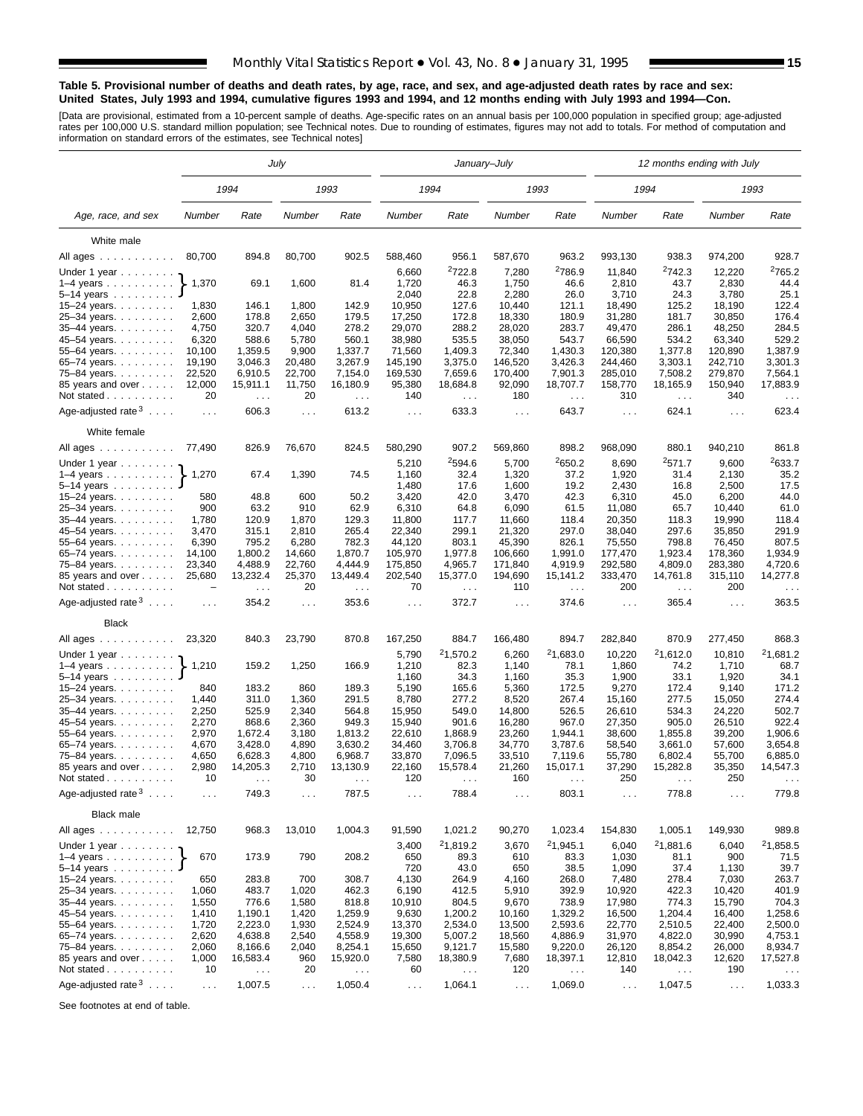#### **Table 5. Provisional number of deaths and death rates, by age, race, and sex, and age-adjusted death rates by race and sex: United States, July 1993 and 1994, cumulative figures 1993 and 1994, and 12 months ending with July 1993 and 1994—Con.**

[Data are provisional, estimated from a 10-percent sample of deaths. Age-specific rates on an annual basis per 100,000 population in specified group; age-adjusted<br>rates per 100,000 U.S. standard million population; see Tec

|                                                          |                                    |                                  | July           |                           |                      | January–July              |                      |                           |                      | 12 months ending with July |                  |                                  |
|----------------------------------------------------------|------------------------------------|----------------------------------|----------------|---------------------------|----------------------|---------------------------|----------------------|---------------------------|----------------------|----------------------------|------------------|----------------------------------|
|                                                          |                                    | 1994                             |                | 1993                      |                      | 1994                      |                      | 1993                      |                      | 1994                       |                  | 1993                             |
| Age, race, and sex                                       | Number                             | Rate                             | Number         | Rate                      | Number               | Rate                      | Number               | Rate                      | Number               | Rate                       | Number           | Rate                             |
| White male                                               |                                    |                                  |                |                           |                      |                           |                      |                           |                      |                            |                  |                                  |
| All ages                                                 | 80,700                             | 894.8                            | 80,700         | 902.5                     | 588,460              | 956.1                     | 587,670              | 963.2                     | 993,130              | 938.3                      | 974,200          | 928.7                            |
|                                                          |                                    |                                  |                |                           | 6,660                | <sup>2</sup> 722.8        | 7,280                | <sup>2</sup> 786.9        | 11,840               | 2742.3                     | 12,220           | <sup>2</sup> 765.2               |
| Under 1 year<br>$1-4$ years $\ldots$ $\ldots$ $\ldots$ . | 1,370                              | 69.1                             | 1,600          | 81.4                      | 1,720                | 46.3                      | 1,750                | 46.6                      | 2,810                | 43.7                       | 2,830            | 44.4                             |
| $5 - 14$ years                                           |                                    |                                  |                |                           | 2,040                | 22.8                      | 2,280                | 26.0                      | 3,710                | 24.3                       | 3,780            | 25.1                             |
| 15-24 years.                                             | 1,830                              | 146.1                            | 1,800          | 142.9                     | 10,950               | 127.6                     | 10,440               | 121.1                     | 18,490               | 125.2                      | 18,190           | 122.4                            |
| 25-34 years.                                             | 2,600                              | 178.8                            | 2,650          | 179.5                     | 17,250               | 172.8                     | 18,330               | 180.9                     | 31,280               | 181.7                      | 30,850           | 176.4                            |
| 35-44 years.                                             | 4,750                              | 320.7                            | 4,040          | 278.2                     | 29,070               | 288.2                     | 28,020               | 283.7                     | 49,470               | 286.1                      | 48,250           | 284.5                            |
| 45-54 years.                                             | 6,320                              | 588.6                            | 5,780          | 560.1                     | 38,980               | 535.5                     | 38,050               | 543.7                     | 66,590               | 534.2                      | 63,340           | 529.2                            |
| 55-64 years.                                             | 10,100                             | 1,359.5                          | 9,900          | 1,337.7                   | 71,560               | 1,409.3                   | 72,340               | 1,430.3                   | 120,380              | 1,377.8                    | 120,890          | 1,387.9                          |
| 65-74 years                                              | 19,190                             | 3,046.3                          | 20,480         | 3,267.9                   | 145,190              | 3,375.0                   | 146,520              | 3,426.3                   | 244,460              | 3,303.1                    | 242,710          | 3,301.3                          |
| 75-84 years.                                             | 22,520                             | 6,910.5                          | 22,700         | 7,154.0                   | 169,530              | 7,659.6                   | 170,400              | 7,901.3                   | 285,010              | 7,508.2                    | 279,870          | 7,564.1                          |
| 85 years and over<br>Not stated $\ldots$                 | 12,000<br>20                       | 15,911.1<br>$\sim 100$           | 11,750<br>20   | 16,180.9<br>$\ldots$      | 95,380<br>140        | 18,684.8<br>$\sim$ $\sim$ | 92,090<br>180        | 18,707.7<br>$\ldots$      | 158,770<br>310       | 18,165.9<br>$\ldots$       | 150,940<br>340   | 17,883.9<br>$\cdots$             |
| Age-adjusted rate $3 \ldots$ .                           | $\ldots$                           | 606.3                            | $\ldots$       | 613.2                     | $\sim 100$           | 633.3                     | $\sim 100$           | 643.7                     | $\sim 100$           | 624.1                      | $\sim 100$       | 623.4                            |
| White female                                             |                                    |                                  |                |                           |                      |                           |                      |                           |                      |                            |                  |                                  |
| All ages                                                 | 77,490                             | 826.9                            | 76,670         | 824.5                     | 580,290              | 907.2                     | 569,860              | 898.2                     | 968,090              | 880.1                      | 940,210          | 861.8                            |
| Under 1 year                                             |                                    |                                  |                |                           | 5,210                | 2594.6                    | 5,700                | 2650.2                    | 8,690                | 2571.7                     | 9,600            | <sup>2</sup> 633.7               |
| $1-4$ years                                              | 1,270                              | 67.4                             | 1,390          | 74.5                      | 1,160                | 32.4                      | 1,320                | 37.2                      | 1,920                | 31.4                       | 2,130            | 35.2                             |
| 5-14 years                                               |                                    |                                  |                |                           | 1,480                | 17.6                      | 1,600                | 19.2                      | 2,430                | 16.8                       | 2,500            | 17.5                             |
| 15-24 years.                                             | 580                                | 48.8                             | 600            | 50.2                      | 3,420                | 42.0                      | 3,470                | 42.3                      | 6,310                | 45.0                       | 6,200            | 44.0                             |
| 25-34 years.                                             | 900                                | 63.2                             | 910            | 62.9                      | 6,310                | 64.8                      | 6,090                | 61.5                      | 11,080               | 65.7                       | 10.440           | 61.0                             |
| 35-44 years.<br>45-54 years.                             | 1,780<br>3,470                     | 120.9<br>315.1                   | 1,870<br>2,810 | 129.3<br>265.4            | 11,800<br>22,340     | 117.7<br>299.1            | 11,660<br>21,320     | 118.4<br>297.0            | 20,350<br>38,040     | 118.3<br>297.6             | 19,990<br>35,850 | 118.4<br>291.9                   |
| 55-64 years.                                             | 6,390                              | 795.2                            | 6,280          | 782.3                     | 44,120               | 803.1                     | 45,390               | 826.1                     | 75,550               | 798.8                      | 76,450           | 807.5                            |
| 65-74 years.                                             | 14,100                             | 1,800.2                          | 14,660         | 1,870.7                   | 105,970              | 1,977.8                   | 106,660              | 1,991.0                   | 177,470              | 1,923.4                    | 178,360          | 1,934.9                          |
| 75-84 years.                                             | 23,340                             | 4,488.9                          | 22,760         | 4,444.9                   | 175,850              | 4,965.7                   | 171,840              | 4,919.9                   | 292,580              | 4,809.0                    | 283,380          | 4,720.6                          |
| 85 years and over<br>Not stated                          | 25,680<br>$\overline{\phantom{0}}$ | 13,232.4<br>$\sim$ $\sim$ $\sim$ | 25,370<br>20   | 13,449.4<br>$\sim$ $\sim$ | 202,540<br>70        | 15,377.0<br>$\sim$ $\sim$ | 194,690<br>110       | 15,141.2<br>$\sim$ $\sim$ | 333,470<br>200       | 14,761.8<br>$\sim$ .       | 315,110<br>200   | 14,277.8<br>$\sim$ $\sim$ $\sim$ |
| Age-adjusted rate $3 \ldots$ .                           | $\sim 10$                          | 354.2                            | $\cdots$       | 353.6                     | $\sim 100$           | 372.7                     | $\ldots$             | 374.6                     | $\ldots$             | 365.4                      | $\cdots$         | 363.5                            |
| <b>Black</b>                                             |                                    |                                  |                |                           |                      |                           |                      |                           |                      |                            |                  |                                  |
| All ages                                                 | 23,320                             | 840.3                            | 23,790         | 870.8                     | 167,250              | 884.7                     | 166,480              | 894.7                     | 282,840              | 870.9                      | 277,450          | 868.3                            |
| Under 1 year                                             |                                    |                                  |                |                           | 5,790                | 21,570.2                  | 6,260                | 21,683.0                  | 10,220               | 21,612.0                   | 10,810           | <sup>2</sup> 1,681.2             |
| $1-4$ years<br>5–14 years $\ldots$                       | 1,210                              | 159.2                            | 1,250          | 166.9                     | 1,210<br>1,160       | 82.3<br>34.3              | 1,140<br>1,160       | 78.1<br>35.3              | 1,860<br>1,900       | 74.2<br>33.1               | 1,710<br>1,920   | 68.7<br>34.1                     |
| 15-24 years.                                             | 840                                | 183.2                            | 860            | 189.3                     | 5,190                | 165.6                     | 5,360                | 172.5                     | 9,270                | 172.4                      | 9,140            | 171.2                            |
| 25-34 years.                                             | 1,440                              | 311.0                            | 1,360          | 291.5                     | 8,780                | 277.2                     | 8,520                | 267.4                     | 15,160               | 277.5                      | 15,050           | 274.4                            |
| 35-44 years.                                             | 2,250                              | 525.9                            | 2,340          | 564.8                     | 15,950               | 549.0                     | 14,800               | 526.5                     | 26,610               | 534.3                      | 24,220           | 502.7                            |
| 45–54 years                                              | 2,270                              | 868.6                            | 2,360          | 949.3                     | 15,940               | 901.6                     | 16,280               | 967.0                     | 27,350               | 905.0                      | 26,510           | 922.4                            |
| 55-64 years.                                             | 2,970                              | 1,672.4                          | 3,180          | 1,813.2                   | 22,610               | 1,868.9                   | 23,260               | 1,944.1                   | 38,600               | 1,855.8                    | 39,200           | 1,906.6                          |
| 65-74 years.                                             | 4,670                              | 3,428.0                          | 4,890          | 3,630.2                   | 34,460               | 3,706.8                   | 34,770               | 3,787.6                   | 58,540               | 3,661.0                    | 57,600           | 3,654.8                          |
| 75-84 years.                                             | 4,650                              | 6,628.3                          | 4,800          | 6,968.7                   | 33,870               | 7,096.5                   | 33,510               | 7,119.6                   | 55,780               | 6,802.4                    | 55,700           | 6,885.0                          |
| 85 years and over<br>Not stated $\ldots$                 | 2,980<br>10                        | 14,205.3                         | 2,710<br>30    | 13,130.9                  | 22,160<br>120        | 15,578.4                  | 21,260<br>160        | 15,017.1                  | 37,290<br>250        | 15,282.8                   | 35,350<br>250    | 14,547.3                         |
| Age-adjusted rate $3 \ldots$ .                           | $\sim$ $\sim$ $\sim$               | 749.3                            | $\sim$ .       | 787.5                     | $\sim$ $\sim$ $\sim$ | 788.4                     | $\sim$ $\sim$ $\sim$ | 803.1                     | $\sim$ $\sim$ $\sim$ | 778.8                      | $\sim$ $\sim$    | 779.8                            |
| Black male                                               |                                    |                                  |                |                           |                      |                           |                      |                           |                      |                            |                  |                                  |
| All ages                                                 | 12,750                             | 968.3                            | 13,010         | 1,004.3                   | 91,590               | 1,021.2                   | 90,270               | 1,023.4                   | 154,830              | 1,005.1                    | 149,930          | 989.8                            |
| Under 1 year                                             |                                    |                                  |                |                           | 3,400                | <sup>2</sup> 1,819.2      | 3,670                | <sup>2</sup> 1,945.1      | 6,040                | <sup>2</sup> 1,881.6       | 6,040            | 21,858.5                         |
| $1-4$ years                                              | 670                                | 173.9                            | 790            | 208.2                     | 650                  | 89.3                      | 610                  | 83.3                      | 1,030                | 81.1                       | 900              | 71.5                             |
| 5–14 years $\ldots$                                      |                                    |                                  |                |                           | 720                  | 43.0                      | 650                  | 38.5                      | 1,090                | 37.4                       | 1,130            | 39.7                             |
| $15 - 24$ years.                                         | 650                                | 283.8                            | 700            | 308.7                     | 4,130                | 264.9                     | 4,160                | 268.0                     | 7,480                | 278.4                      | 7,030            | 263.7                            |
| 25-34 years.                                             | 1,060                              | 483.7                            | 1,020          | 462.3                     | 6,190                | 412.5                     | 5,910                | 392.9                     | 10,920               | 422.3                      | 10,420           | 401.9                            |
| 35-44 years.                                             | 1,550                              | 776.6                            | 1,580          | 818.8                     | 10,910               | 804.5                     | 9,670                | 738.9                     | 17,980               | 774.3                      | 15,790           | 704.3                            |
| 45-54 years.<br>55-64 years.                             | 1,410<br>1,720                     | 1,190.1<br>2,223.0               | 1,420<br>1,930 | 1,259.9<br>2,524.9        | 9,630<br>13,370      | 1,200.2<br>2,534.0        | 10,160<br>13,500     | 1,329.2<br>2,593.6        | 16,500<br>22,770     | 1,204.4<br>2,510.5         | 16,400<br>22,400 | 1,258.6<br>2,500.0               |
| 65-74 years.                                             | 2,620                              | 4,638.8                          | 2,540          | 4,558.9                   | 19,300               | 5,007.2                   | 18,560               | 4,886.9                   | 31,970               | 4,822.0                    | 30,990           | 4,753.1                          |
| 75-84 years.                                             | 2,060                              | 8,166.6                          | 2,040          | 8,254.1                   | 15,650               | 9,121.7                   | 15,580               | 9,220.0                   | 26,120               | 8,854.2                    | 26,000           | 8,934.7                          |
| 85 years and over                                        | 1,000                              | 16,583.4                         | 960            | 15,920.0                  | 7,580                | 18,380.9                  | 7,680                | 18,397.1                  | 12,810               | 18,042.3                   | 12,620           | 17,527.8                         |
| Not stated                                               | 10                                 | $\epsilon \rightarrow \infty$    | 20             | $\sim$ $\sim$             | 60                   | $\sim$ $\sim$             | 120                  | $\sim$ $\sim$             | 140                  | $\sim$ $\sim$ $\sim$       | 190              |                                  |
| Age-adjusted rate $3 \ldots$ .                           | $\sim$ $\sim$                      | 1,007.5                          | $\sim$ $\sim$  | 1,050.4                   | $\sim$ $\sim$        | 1,064.1                   | $\sim 100$           | 1,069.0                   | $\sim 10$            | 1,047.5                    | $\sim$ $\sim$    | 1,033.3                          |

See footnotes at end of table.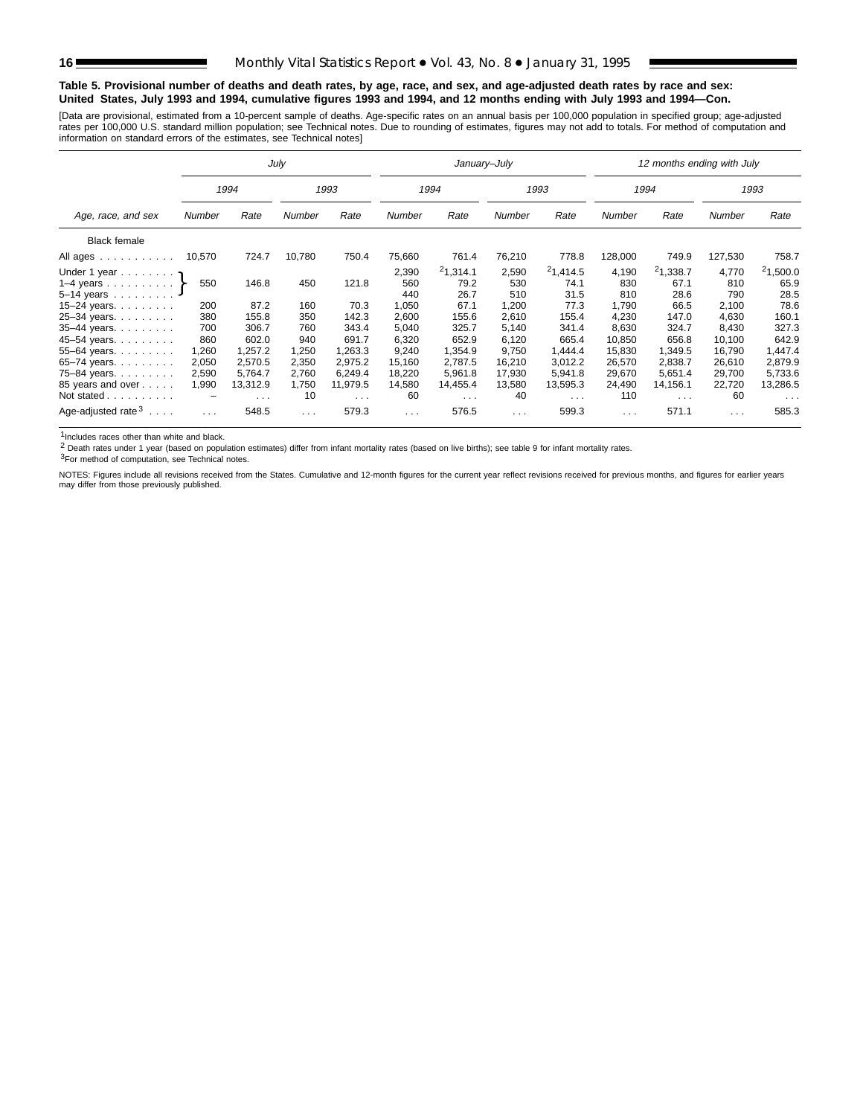### **Table 5. Provisional number of deaths and death rates, by age, race, and sex, and age-adjusted death rates by race and sex: United States, July 1993 and 1994, cumulative figures 1993 and 1994, and 12 months ending with July 1993 and 1994—Con.**

[Data are provisional, estimated from a 10-percent sample of deaths. Age-specific rates on an annual basis per 100,000 population in specified group; age-adjusted<br>rates per 100,000 U.S. standard million population; see Tec

|                                                                                                                                                                                                                     |                |                                   | July                 |                                   |                        | January-July                                |                        |                                   |                         | 12 months ending with July      |                        |                                             |
|---------------------------------------------------------------------------------------------------------------------------------------------------------------------------------------------------------------------|----------------|-----------------------------------|----------------------|-----------------------------------|------------------------|---------------------------------------------|------------------------|-----------------------------------|-------------------------|---------------------------------|------------------------|---------------------------------------------|
|                                                                                                                                                                                                                     |                | 1994                              |                      | 1993                              |                        | 1994                                        |                        | 1993                              |                         | 1994                            |                        | 1993                                        |
| Age, race, and sex                                                                                                                                                                                                  | Number         | Rate                              | <b>Number</b>        | Rate                              | <b>Number</b>          | Rate                                        | <b>Number</b>          | Rate                              | <b>Number</b>           | Rate                            | <b>Number</b>          | Rate                                        |
| <b>Black female</b>                                                                                                                                                                                                 |                |                                   |                      |                                   |                        |                                             |                        |                                   |                         |                                 |                        |                                             |
| All ages<br>$\mathbf{1} \cdot \mathbf{1} \cdot \mathbf{1} \cdot \mathbf{1} \cdot \mathbf{1} \cdot \mathbf{1} \cdot \mathbf{1} \cdot \mathbf{1} \cdot \mathbf{1} \cdot \mathbf{1} \cdot \mathbf{1} \cdot \mathbf{1}$ | 10,570         | 724.7                             | 10,780               | 750.4                             | 75,660                 | 761.4                                       | 76,210                 | 778.8                             | 128,000                 | 749.9                           | 127,530                | 758.7                                       |
| Under 1 year<br>1-4 years $\uparrow$<br>$5 - 14$ years                                                                                                                                                              | 550            | 146.8                             | 450                  | 121.8                             | 2,390<br>560<br>440    | 21,314.1<br>79.2<br>26.7                    | 2,590<br>530<br>510    | 21,414.5<br>74.1<br>31.5          | 4,190<br>830<br>810     | 21,338.7<br>67.1<br>28.6        | 4,770<br>810<br>790    | 21,500.0<br>65.9<br>28.5                    |
| 15-24 years.                                                                                                                                                                                                        | 200            | 87.2                              | 160                  | 70.3                              | 1,050                  | 67.1                                        | 1,200                  | 77.3                              | 1,790                   | 66.5                            | 2,100                  | 78.6                                        |
| 25-34 years.<br>35-44 years.                                                                                                                                                                                        | 380<br>700     | 155.8<br>306.7                    | 350<br>760           | 142.3<br>343.4                    | 2,600<br>5,040         | 155.6<br>325.7                              | 2,610<br>5,140         | 155.4<br>341.4                    | 4,230<br>8,630          | 147.0<br>324.7                  | 4,630<br>8,430         | 160.1<br>327.3                              |
| 45-54 years.                                                                                                                                                                                                        | 860            | 602.0                             | 940                  | 691.7                             | 6,320                  | 652.9                                       | 6,120                  | 665.4                             | 10,850                  | 656.8                           | 10,100                 | 642.9                                       |
| 55-64 years.<br>65–74 years.                                                                                                                                                                                        | 1,260<br>2,050 | 1.257.2<br>2,570.5                | 1,250<br>2,350       | 1.263.3<br>2,975.2                | 9,240<br>15,160        | 1,354.9<br>2,787.5                          | 9.750<br>16,210        | 1,444.4<br>3,012.2                | 15.830<br>26,570        | 1.349.5<br>2,838.7              | 16.790<br>26,610       | 1,447.4<br>2,879.9                          |
| 75-84 years.<br>85 years and over<br>Not stated                                                                                                                                                                     | 2,590<br>1,990 | 5,764.7<br>13,312.9<br>$\sim 100$ | 2,760<br>1,750<br>10 | 6.249.4<br>11,979.5<br>$\sim 100$ | 18,220<br>14,580<br>60 | 5,961.8<br>14,455.4<br>$\sim$ $\sim$ $\sim$ | 17,930<br>13,580<br>40 | 5,941.8<br>13,595.3<br>$\sim 100$ | 29,670<br>24,490<br>110 | 5,651.4<br>14,156.1<br>$\cdots$ | 29,700<br>22,720<br>60 | 5,733.6<br>13,286.5<br>$\sim$ $\sim$ $\sim$ |
| Age-adjusted rate $3 \ldots$ .                                                                                                                                                                                      | $\cdots$       | 548.5                             | $\cdots$             | 579.3                             | $\cdots$               | 576.5                                       | $\cdots$               | 599.3                             | $\cdots$                | 571.1                           | $\cdots$               | 585.3                                       |

1Includes races other than white and black.

2 Death rates under 1 year (based on population estimates) differ from infant mortality rates (based on live births); see table 9 for infant mortality rates.

3For method of computation, see Technical notes.

NOTES: Figures include all revisions received from the States. Cumulative and 12-month figures for the current year reflect revisions received for previous months, and figures for earlier years may differ from those previously published.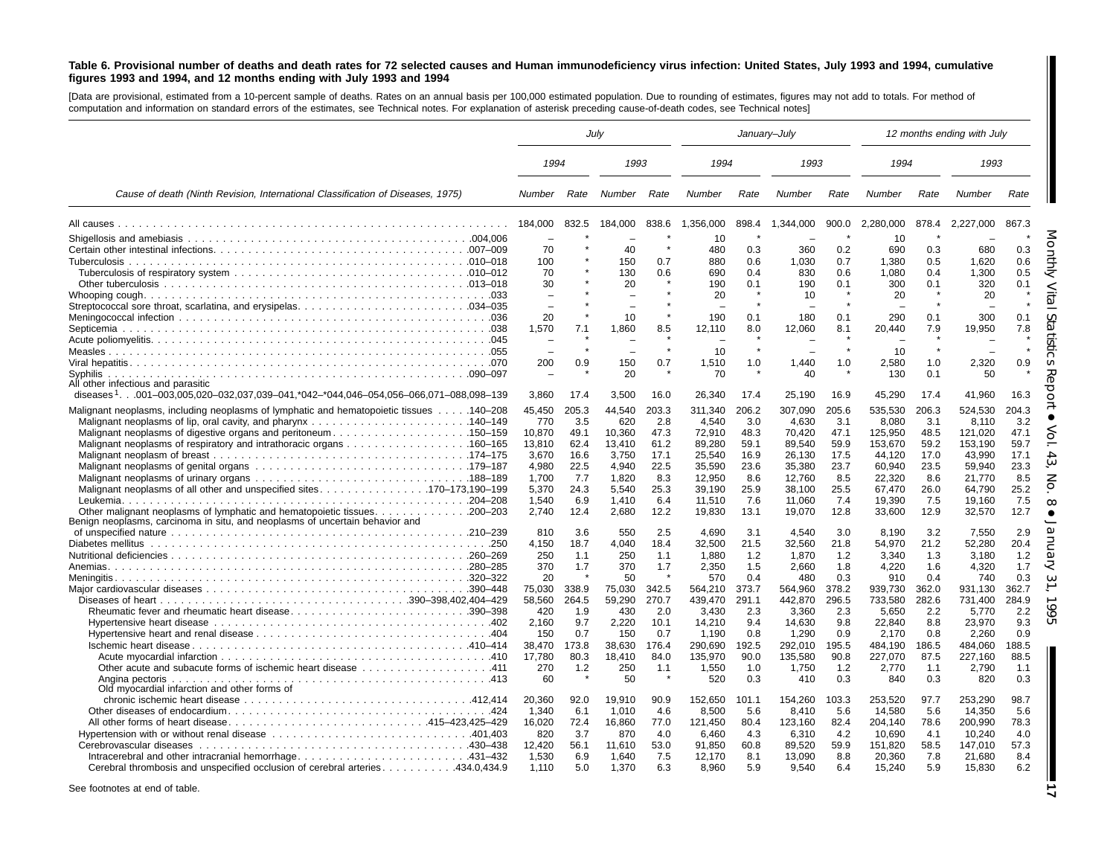#### Table 6. Provisional number of deaths and death rates for 72 selected causes and Human immunodeficiency virus infection: United States, July 1993 and 1994, cumulative figures 1993 and 1994, and 12 months ending with July 1993 and 1994

[Data are provisional, estimated from <sup>a</sup> 10-percent sample of deaths. Rates on an annual basis per 100,000 estimated population. Due to rounding of estimates, figures may not add to totals. For method of computation and information on standard errors of the estimates, see Technical notes. For explanation of asterisk preceding cause-of-death codes, see Technical notes]

|                                                                                                                               |                  | July          |                  |               |                    | January-July  |                    |               |                    |               | 12 months ending with July |               |
|-------------------------------------------------------------------------------------------------------------------------------|------------------|---------------|------------------|---------------|--------------------|---------------|--------------------|---------------|--------------------|---------------|----------------------------|---------------|
|                                                                                                                               | 1994             |               | 1993             |               | 1994               |               | 1993               |               | 1994               |               | 1993                       |               |
| Cause of death (Ninth Revision, International Classification of Diseases, 1975)                                               | Number           | Rate          | Number           | Rate          | Number             | Rate          | Number             | Rate          | Number             | Rate          | Number                     | Rate          |
|                                                                                                                               | 184.000          | 832.5         | 184.000          | 838.6         | 1.356.000          | 898.4         | 1.344.000          | 900.0         | 2.280.000          | 878.4         | 2.227.000                  | 867.3         |
|                                                                                                                               |                  |               |                  |               | 10                 |               |                    |               | 10                 |               |                            |               |
|                                                                                                                               | 70               |               | 40               |               | 480                | 0.3           | 360                | 0.2           | 690                | 0.3           | 680                        | 0.3           |
|                                                                                                                               | 100              |               | 150              | 0.7           | 880                | 0.6           | 1,030              | 0.7           | 1,380              | 0.5           | 1,620                      | 0.6           |
|                                                                                                                               | 70<br>30         |               | 130              | 0.6           | 690                | 0.4<br>0.1    | 830                | 0.6           | 1.080              | 0.4           | 1.300                      | 0.5<br>0.1    |
|                                                                                                                               |                  |               | 20               |               | 190<br>20          |               | 190<br>10          | 0.1           | 300<br>20          | 0.1           | 320<br>20                  |               |
|                                                                                                                               | ÷                |               |                  |               |                    |               |                    | $\bullet$     |                    |               |                            |               |
|                                                                                                                               | 20               |               | 10               |               | 190                | 0.1           | 180                | 0.1           | 290                | 0.1           | 300                        | 0.1           |
|                                                                                                                               | 1,570            | 7.1           | 1,860            | 8.5           | 12,110             | 8.0           | 12,060             | 8.1           | 20,440             | 7.9           | 19,950                     | 7.8           |
|                                                                                                                               |                  |               |                  |               |                    |               |                    |               |                    |               |                            |               |
|                                                                                                                               |                  |               |                  |               | 10                 |               |                    |               | 10                 |               |                            |               |
|                                                                                                                               | 200              | 0.9           | 150              | 0.7           | 1,510              | 1.0           | 1,440              | 1.0           | 2,580              | 1.0           | 2,320                      | 0.9           |
|                                                                                                                               |                  |               | 20               |               | 70                 |               | 40                 |               | 130                | 0.1           | 50                         |               |
| All other infectious and parasitic<br>diseases $1.001-003.005.020-032.037.039-041.^*042-*044.046-054.056-066.071-088.098-139$ | 3.860            | 17.4          | 3,500            | 16.0          | 26.340             | 17.4          | 25,190             | 16.9          | 45.290             | 17.4          | 41,960                     | 16.3          |
|                                                                                                                               |                  |               |                  |               |                    |               |                    |               |                    |               |                            |               |
| Malignant neoplasms, including neoplasms of lymphatic and hematopoietic tissues 140–208                                       | 45.450           | 205.3         | 44.540           | 203.3         | 311.340            | 206.2         | 307.090            | 205.6         | 535,530            | 206.3         | 524.530                    | 204.3         |
|                                                                                                                               | 770<br>10,870    | 3.5<br>49.1   | 620<br>10,360    | 2.8<br>47.3   | 4,540<br>72,910    | 3.0<br>48.3   | 4,630<br>70,420    | 3.1<br>47.1   | 8,080<br>125,950   | 3.1<br>48.5   | 8.110<br>121,020           | 3.2<br>47.1   |
|                                                                                                                               | 13,810           | 62.4          | 13.410           | 61.2          | 89,280             | 59.1          | 89,540             | 59.9          | 153,670            | 59.2          | 153.190                    | 59.7          |
|                                                                                                                               | 3,670            | 16.6          | 3.750            | 17.1          | 25,540             | 16.9          | 26,130             | 17.5          | 44,120             | 17.0          | 43.990                     | 17.1          |
|                                                                                                                               | 4,980            | 22.5          | 4,940            | 22.5          | 35,590             | 23.6          | 35,380             | 23.7          | 60,940             | 23.5          | 59,940                     | 23.3          |
|                                                                                                                               | 1,700            | 7.7           | 1,820            | 8.3           | 12,950             | 8.6           | 12,760             | 8.5           | 22,320             | 8.6           | 21,770                     | 8.5           |
| Malignant neoplasms of all other and unspecified sites170–173,190–199                                                         | 5,370            | 24.3          | 5.540            | 25.3          | 39.190             | 25.9          | 38,100             | 25.5          | 67.470             | 26.0          | 64,790                     | 25.2          |
|                                                                                                                               | 1.540            | 6.9           | 1.410            | 6.4           | 11,510             | 7.6           | 11,060             | 7.4           | 19,390             | 7.5           | 19.160                     | 7.5           |
| Other malignant neoplasms of lymphatic and hematopoietic tissues. 200–203                                                     | 2,740            | 12.4          | 2,680            | 12.2          | 19,830             | 13.1          | 19,070             | 12.8          | 33,600             | 12.9          | 32,570                     | 12.7          |
| Benign neoplasms, carcinoma in situ, and neoplasms of uncertain behavior and                                                  |                  | 3.6           | 550              | 2.5           | 4.690              | 3.1           | 4.540              | 3.0           | 8.190              | 3.2           | 7.550                      | 2.9           |
|                                                                                                                               | 810<br>4,150     | 18.7          | 4.040            | 18.4          | 32,500             | 21.5          | 32,560             | 21.8          | 54,970             | 21.2          | 52,280                     | 20.4          |
|                                                                                                                               | 250              | 1.1           | 250              | 1.1           | 1.880              | 1.2           | 1,870              | 1.2           | 3,340              | 1.3           | 3.180                      | 1.2           |
|                                                                                                                               | 370              | 1.7           | 370              | 1.7           | 2,350              | 1.5           | 2,660              | 1.8           | 4,220              | 1.6           | 4,320                      | 1.7           |
|                                                                                                                               | 20               |               | 50               |               | 570                | 0.4           | 480                | 0.3           | 910                | 0.4           | 740                        | 0.3           |
|                                                                                                                               | 75,030           | 338.9         | 75,030           | 342.5         | 564,210            | 373.7         | 564,960            | 378.2         | 939,730            | 362.0         | 931,130                    | 362.7         |
|                                                                                                                               | 58.560           | 264.5         | 59.290           | 270.7         | 439.470            | 291.1         | 442.870            | 296.5         | 733.580            | 282.6         | 731.400                    | 284.9         |
| Rheumatic fever and rheumatic heart disease390–398                                                                            | 420              | 1.9           | 430              | 2.0           | 3.430              | 2.3           | 3,360              | 2.3           | 5,650              | 2.2           | 5.770                      | 2.2           |
|                                                                                                                               | 2.160            | 9.7           | 2,220            | 10.1          | 14,210             | 9.4           | 14.630             | 9.8           | 22,840             | 8.8           | 23.970                     | 9.3           |
|                                                                                                                               | 150              | 0.7           | 150              | 0.7           | 1,190              | 0.8           | 1,290              | 0.9           | 2,170              | 0.8           | 2,260                      | 0.9           |
|                                                                                                                               | 38.470<br>17,780 | 173.8<br>80.3 | 38.630<br>18,410 | 176.4<br>84.0 | 290,690<br>135,970 | 192.5<br>90.0 | 292,010<br>135,580 | 195.5<br>90.8 | 484,190<br>227,070 | 186.5<br>87.5 | 484,060<br>227,160         | 188.5<br>88.5 |
| 111. 411 Other acute and subacute forms of ischemic heart disease 411                                                         | 270              | 1.2           | 250              | 1.1           | 1,550              | 1.0           | 1,750              | 1.2           | 2,770              | 1.1           | 2,790                      | 1.1           |
|                                                                                                                               | 60               |               | 50               |               | 520                | 0.3           | 410                | 0.3           | 840                | 0.3           | 820                        | 0.3           |
| Old myocardial infarction and other forms of                                                                                  |                  |               |                  |               |                    |               |                    |               |                    |               |                            |               |
|                                                                                                                               | 20,360           | 92.0          | 19,910           | 90.9          | 152,650            | 101.1         | 154,260            | 103.3         | 253,520            | 97.7          | 253,290                    | 98.7          |
|                                                                                                                               | 1.340            | 6.1           | 1.010            | 4.6           | 8.500              | 5.6           | 8.410              | 5.6           | 14,580             | 5.6           | 14.350                     | 5.6           |
| All other forms of heart disease415–423,425–429                                                                               | 16.020           | 72.4          | 16,860           | 77.0          | 121,450            | 80.4          | 123,160            | 82.4          | 204,140            | 78.6          | 200.990                    | 78.3          |
|                                                                                                                               | 820              | 3.7           | 870              | 4.0           | 6,460              | 4.3           | 6,310              | 4.2           | 10,690             | 4.1           | 10,240                     | 4.0           |
|                                                                                                                               | 12.420           | 56.1          | 11.610           | 53.0          | 91,850             | 60.8          | 89,520             | 59.9          | 151.820            | 58.5          | 147.010                    | 57.3          |
| Intracerebral and other intracranial hemorrhage431-432                                                                        | 1.530            | 6.9           | 1.640            | 7.5           | 12,170             | 8.1           | 13.090             | 8.8           | 20.360             | 7.8           | 21,680                     | 8.4           |
| Cerebral thrombosis and unspecified occlusion of cerebral arteries434.0,434.9                                                 | 1.110            | 5.0           | 1,370            | 6.3           | 8.960              | 5.9           | 9.540              | 6.4           | 15,240             | 5.9           | 15,830                     | 6.2           |

See footnotes at end of table.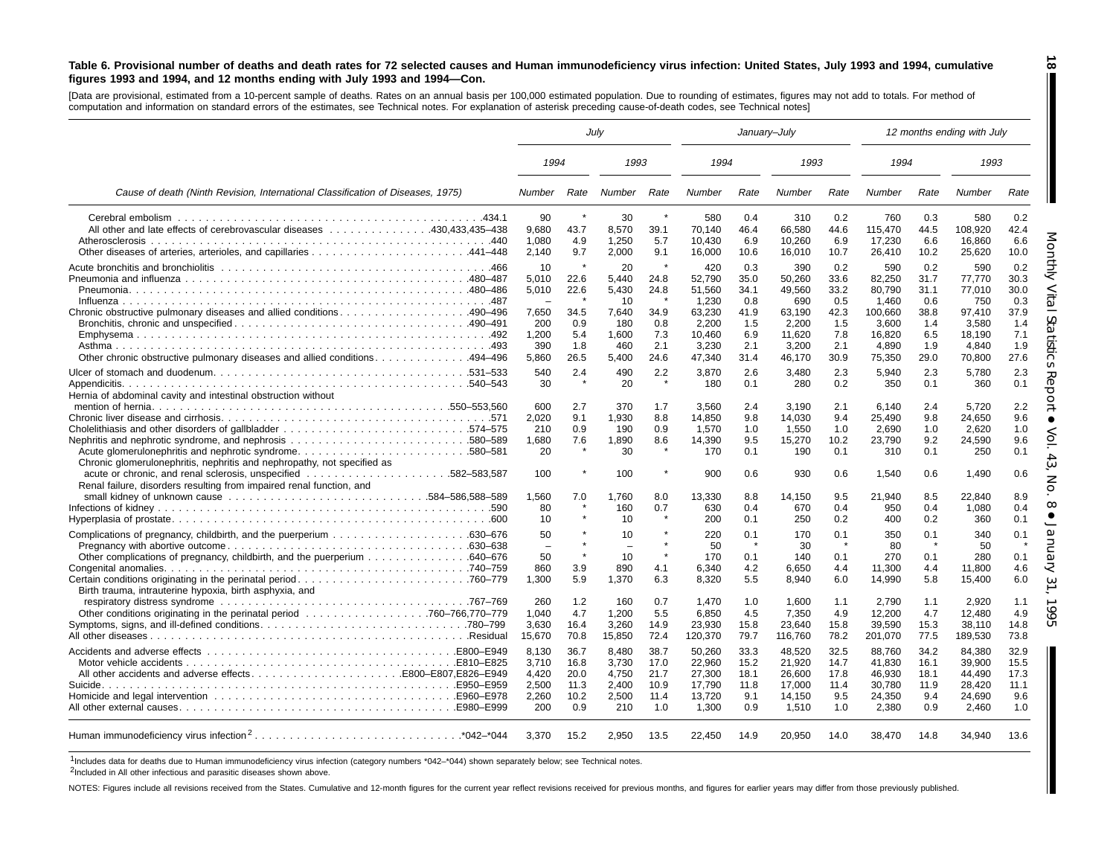#### Table 6. Provisional number of deaths and death rates for 72 selected causes and Human immunodeficiency virus infection: United States, July 1993 and 1994, cumulative figures 1993 and 1994, and 12 months ending with July 1993 and 1994-Con.

[Data are provisional, estimated from a 10-percent sample of deaths. Rates on an annual basis per 100,000 estimated population. Due to rounding of estimates, figures may not add to totals. For method of computation and information on standard errors of the estimates, see Technical notes. For explanation of asterisk preceding cause-of-death codes, see Technical notes]

|                                                                                                                                            |                                                                  |                                             | July                                                       |                                                            |                                                                        |                                                         | January-July                                                         |                                                         |                                                                         |                                                         | 12 months ending with July                                           |                                                                 |
|--------------------------------------------------------------------------------------------------------------------------------------------|------------------------------------------------------------------|---------------------------------------------|------------------------------------------------------------|------------------------------------------------------------|------------------------------------------------------------------------|---------------------------------------------------------|----------------------------------------------------------------------|---------------------------------------------------------|-------------------------------------------------------------------------|---------------------------------------------------------|----------------------------------------------------------------------|-----------------------------------------------------------------|
|                                                                                                                                            | 1994                                                             |                                             | 1993                                                       |                                                            | 1994                                                                   |                                                         | 1993                                                                 |                                                         | 1994                                                                    |                                                         | 1993                                                                 |                                                                 |
| Cause of death (Ninth Revision, International Classification of Diseases, 1975)                                                            | <b>Number</b>                                                    | Rate                                        | Number                                                     | Rate                                                       | Number                                                                 | Rate                                                    | <b>Number</b>                                                        | Rate                                                    | Number                                                                  | Rate                                                    | Number                                                               | Rate                                                            |
| All other and late effects of cerebrovascular diseases 430,433,435–438                                                                     | 90<br>9,680<br>1.080<br>2.140                                    | 43.7<br>4.9<br>9.7                          | 30<br>8,570<br>1.250<br>2.000                              | 39.1<br>5.7<br>9.1                                         | 580<br>70,140<br>10.430<br>16,000                                      | 0.4<br>46.4<br>6.9<br>10.6                              | 310<br>66,580<br>10,260<br>16.010                                    | 0.2<br>44.6<br>6.9<br>10.7                              | 760<br>115,470<br>17.230<br>26,410                                      | 0.3<br>44.5<br>6.6<br>10.2                              | 580<br>108,920<br>16.860<br>25.620                                   | 0.2<br>42.4<br>6.6<br>10.0                                      |
|                                                                                                                                            | 10<br>5,010<br>5.010<br>$\equiv$<br>7.650<br>200<br>1,200<br>390 | 22.6<br>22.6<br>34.5<br>0.9<br>5.4<br>1.8   | 20<br>5,440<br>5.430<br>10<br>7.640<br>180<br>1,600<br>460 | 24.8<br>24.8<br>$\rightarrow$<br>34.9<br>0.8<br>7.3<br>2.1 | 420<br>52,790<br>51.560<br>1,230<br>63,230<br>2,200<br>10,460<br>3,230 | 0.3<br>35.0<br>34.1<br>0.8<br>41.9<br>1.5<br>6.9<br>2.1 | 390<br>50,260<br>49.560<br>690<br>63.190<br>2,200<br>11,620<br>3.200 | 0.2<br>33.6<br>33.2<br>0.5<br>42.3<br>1.5<br>7.8<br>2.1 | 590<br>82,250<br>80.790<br>1.460<br>100.660<br>3.600<br>16,820<br>4.890 | 0.2<br>31.7<br>31.1<br>0.6<br>38.8<br>1.4<br>6.5<br>1.9 | 590<br>77,770<br>77.010<br>750<br>97.410<br>3,580<br>18,190<br>4.840 | 0.2<br>30.3<br>30.0<br>0.3<br>37.9<br>1.4<br>7.1<br>1.9<br>27.6 |
| 0ther chronic obstructive pulmonary diseases and allied conditions494–496<br>Hernia of abdominal cavity and intestinal obstruction without | 5,860<br>540<br>30                                               | 26.5<br>2.4                                 | 5,400<br>490<br>20                                         | 24.6<br>2.2                                                | 47,340<br>3,870<br>180                                                 | 31.4<br>2.6<br>0.1                                      | 46,170<br>3.480<br>280                                               | 30.9<br>2.3<br>0.2                                      | 75,350<br>5,940<br>350                                                  | 29.0<br>2.3<br>0.1                                      | 70,800<br>5,780<br>360                                               | 2.3<br>0.1                                                      |
| Acute glomerulonephritis and nephrotic syndrome580–581<br>Chronic glomerulonephritis, nephritis and nephropathy, not specified as          | 600<br>2,020<br>210<br>1,680<br>20                               | 2.7<br>9.1<br>0.9<br>7.6                    | 370<br>1.930<br>190<br>1,890<br>30                         | 1.7<br>8.8<br>0.9<br>8.6                                   | 3.560<br>14,850<br>1,570<br>14,390<br>170                              | 2.4<br>9.8<br>1.0<br>9.5<br>0.1                         | 3.190<br>14,030<br>1,550<br>15,270<br>190                            | 2.1<br>9.4<br>1.0<br>10.2<br>0.1                        | 6.140<br>25,490<br>2,690<br>23.790<br>310                               | 2.4<br>9.8<br>1.0<br>9.2<br>0.1                         | 5.720<br>24,650<br>2.620<br>24.590<br>250                            | 2.2<br>9.6<br>1.0<br>9.6<br>0.1                                 |
| Renal failure, disorders resulting from impaired renal function, and                                                                       | 100<br>1,560<br>80<br>10                                         | 7.0                                         | 100<br>1.760<br>160<br>10                                  | 8.0<br>0.7                                                 | 900<br>13,330<br>630<br>200                                            | 0.6<br>8.8<br>0.4<br>0.1                                | 930<br>14,150<br>670<br>250                                          | 0.6<br>9.5<br>0.4<br>0.2                                | 1.540<br>21,940<br>950<br>400                                           | 0.6<br>8.5<br>0.4<br>0.2                                | 1,490<br>22,840<br>1.080<br>360                                      | 0.6<br>8.9<br>0.4<br>0.1                                        |
|                                                                                                                                            | 50<br>$\equiv$<br>50<br>860<br>1.300                             | $\star$<br>3.9<br>5.9                       | 10<br>$\equiv$<br>10<br>890<br>1,370                       | 4.1<br>6.3                                                 | 220<br>50<br>170<br>6,340<br>8,320                                     | 0.1<br>-8<br>0.1<br>4.2<br>5.5                          | 170<br>30<br>140<br>6,650<br>8.940                                   | 0.1<br>$\star$<br>0.1<br>4.4<br>6.0                     | 350<br>80<br>270<br>11,300<br>14,990                                    | 0.1<br>$\star$<br>0.1<br>4.4<br>5.8                     | 340<br>50<br>280<br>11,800<br>15,400                                 | 0.1<br>0.1<br>4.6<br>6.0                                        |
| Birth trauma, intrauterine hypoxia, birth asphyxia, and                                                                                    | 260<br>1,040<br>3,630<br>15,670                                  | 1.2<br>4.7<br>16.4<br>70.8                  | 160<br>1,200<br>3,260<br>15,850                            | 0.7<br>5.5<br>14.9<br>72.4                                 | 1,470<br>6,850<br>23,930<br>120,370                                    | 1.0<br>4.5<br>15.8<br>79.7                              | 1,600<br>7,350<br>23,640<br>116,760                                  | 1.1<br>4.9<br>15.8<br>78.2                              | 2.790<br>12,200<br>39.590<br>201,070                                    | 1.1<br>4.7<br>15.3<br>77.5                              | 2,920<br>12,480<br>38.110<br>189,530                                 | 1.1<br>4.9<br>14.8<br>73.8                                      |
| All other accidents and adverse effectsE800-E807,E826-E949                                                                                 | 8,130<br>3,710<br>4,420<br>2,500<br>2,260<br>200                 | 36.7<br>16.8<br>20.0<br>11.3<br>10.2<br>0.9 | 8.480<br>3.730<br>4,750<br>2,400<br>2.500<br>210           | 38.7<br>17.0<br>21.7<br>10.9<br>11.4<br>1.0                | 50,260<br>22,960<br>27,300<br>17,790<br>13,720<br>1,300                | 33.3<br>15.2<br>18.1<br>11.8<br>9.1<br>0.9              | 48,520<br>21,920<br>26,600<br>17,000<br>14.150<br>1,510              | 32.5<br>14.7<br>17.8<br>11.4<br>9.5<br>1.0              | 88.760<br>41.830<br>46,930<br>30,780<br>24.350<br>2,380                 | 34.2<br>16.1<br>18.1<br>11.9<br>9.4<br>0.9              | 84,380<br>39.900<br>44,490<br>28,420<br>24.690<br>2,460              | 32.9<br>15.5<br>17.3<br>11.1<br>9.6<br>1.0                      |
|                                                                                                                                            | 3.370                                                            | 15.2                                        | 2,950                                                      | 13.5                                                       | 22,450                                                                 | 14.9                                                    | 20,950                                                               | 14.0                                                    | 38,470                                                                  | 14.8                                                    | 34,940                                                               | 13.6                                                            |

1Includes data for deaths due to Human immunodeficiency virus infection (category numbers \*042–\*044) shown separately below; see Technical notes.

2Included in All other infectious and parasitic diseases shown above.

NOTES: Figures include all revisions received from the States. Cumulative and 12-month figures for the current year reflect revisions received for previous months, and figures for earlier years may differ from those previo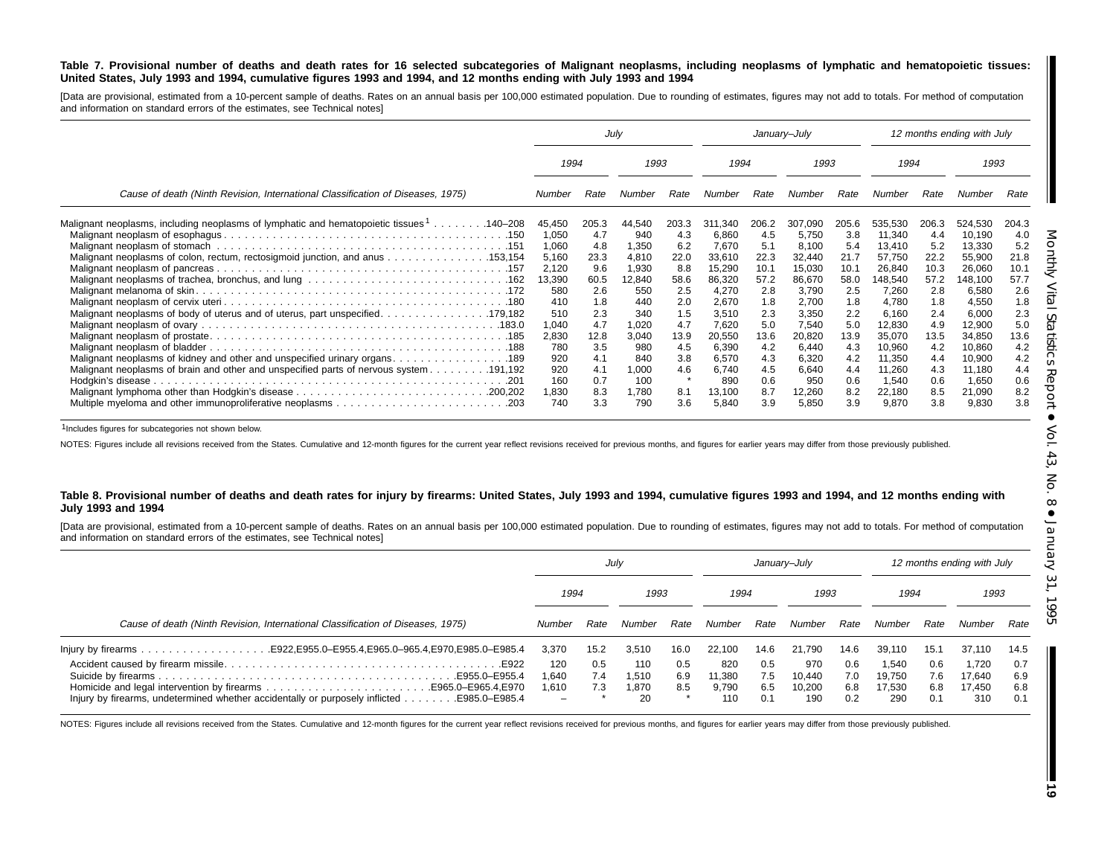#### Table 7. Provisional number of deaths and death rates for 16 selected subcategories of Malignant neoplasms, including neoplasms of lymphatic and hematopoietic tissues: United States, July 1993 and 1994, cumulative figures 1993 and 1994, and 12 months ending with July 1993 and 1994

[Data are provisional, estimated from a 10-percent sample of deaths. Rates on an annual basis per 100,000 estimated population. Due to rounding of estimates, figures may not add to totals. For method of computation and information on standard errors of the estimates, see Technical notes]

|                                                                                                                                                                                                                                                             | July                                                                                        |                                                                                |                                                                                           | January-July                                                                   |                                                                                                       |                                                                                 |                                                                                                       | 12 months ending with July                                                      |                                                                                                           |                                                                                 |                                                                                                           |                                                                                 |
|-------------------------------------------------------------------------------------------------------------------------------------------------------------------------------------------------------------------------------------------------------------|---------------------------------------------------------------------------------------------|--------------------------------------------------------------------------------|-------------------------------------------------------------------------------------------|--------------------------------------------------------------------------------|-------------------------------------------------------------------------------------------------------|---------------------------------------------------------------------------------|-------------------------------------------------------------------------------------------------------|---------------------------------------------------------------------------------|-----------------------------------------------------------------------------------------------------------|---------------------------------------------------------------------------------|-----------------------------------------------------------------------------------------------------------|---------------------------------------------------------------------------------|
|                                                                                                                                                                                                                                                             | 1994<br>1993                                                                                |                                                                                | 1994                                                                                      |                                                                                | 1993                                                                                                  |                                                                                 | 1994                                                                                                  |                                                                                 | 1993                                                                                                      |                                                                                 |                                                                                                           |                                                                                 |
| Cause of death (Ninth Revision, International Classification of Diseases, 1975)                                                                                                                                                                             | Number                                                                                      | Rate                                                                           | Number                                                                                    | Rate                                                                           | Number                                                                                                | Rate                                                                            | Number                                                                                                | Rate                                                                            | Number                                                                                                    | Rate                                                                            | Number                                                                                                    | Rate                                                                            |
| Malignant neoplasms, including neoplasms of lymphatic and hematopoietic tissues 1140–208<br>Malignant neoplasms of colon, rectum, rectosigmoid junction, and anus 153,154<br>Malignant neoplasms of body of uterus and of uterus, part unspecified. 179,182 | 45,450<br>1,050<br>1,060<br>5,160<br>2,120<br>13,390<br>580<br>410<br>510<br>1,040<br>2,830 | 205.3<br>4.7<br>4.8<br>23.3<br>9.6<br>60.5<br>2.6<br>1.8<br>2.3<br>4.7<br>12.8 | 44,540<br>940<br>1,350<br>4,810<br>1,930<br>12,840<br>550<br>440<br>340<br>1,020<br>3,040 | 203.3<br>4.3<br>6.2<br>22.0<br>8.8<br>58.6<br>2.5<br>2.0<br>1.5<br>4.7<br>13.9 | 311.340<br>6,860<br>7,670<br>33,610<br>15,290<br>86,320<br>4,270<br>2,670<br>3,510<br>7.620<br>20,550 | 206.2<br>4.5<br>5.1<br>22.3<br>10.1<br>57.2<br>2.8<br>1.8<br>2.3<br>5.0<br>13.6 | 307,090<br>5,750<br>8,100<br>32,440<br>15.030<br>86,670<br>3,790<br>2,700<br>3,350<br>7,540<br>20,820 | 205.6<br>3.8<br>5.4<br>21.7<br>10.1<br>58.0<br>2.5<br>1.8<br>2.2<br>5.0<br>13.9 | 535,530<br>11,340<br>13,410<br>57,750<br>26,840<br>148,540<br>7,260<br>4,780<br>6,160<br>12,830<br>35,070 | 206.3<br>4.4<br>5.2<br>22.2<br>10.3<br>57.2<br>2.8<br>1.8<br>2.4<br>4.9<br>13.5 | 524,530<br>10,190<br>13,330<br>55,900<br>26,060<br>148,100<br>6,580<br>4,550<br>6,000<br>12,900<br>34,850 | 204.3<br>4.0<br>5.2<br>21.8<br>10.1<br>57.7<br>2.6<br>1.8<br>2.3<br>5.0<br>13.6 |
| Malignant neoplasms of kidney and other and unspecified urinary organs. 189<br>191,192. Malignant neoplasms of brain and other and unspecified parts of nervous system 191,192                                                                              | 780<br>920<br>920<br>160<br>1,830<br>740                                                    | 3.5<br>4.1<br>4.1<br>0.7<br>8.3<br>3.3                                         | 980<br>840<br>1,000<br>100<br>1,780<br>790                                                | 4.5<br>3.8<br>4.6<br>8.1<br>3.6                                                | 6,390<br>6,570<br>6,740<br>890<br>13,100<br>5,840                                                     | 4.2<br>4.3<br>4.5<br>0.6<br>8.7<br>3.9                                          | 6,440<br>6,320<br>6,640<br>950<br>12,260<br>5,850                                                     | 4.3<br>4.2<br>4.4<br>0.6<br>8.2<br>3.9                                          | 10,960<br>11,350<br>11,260<br>1,540<br>22,180<br>9,870                                                    | 4.2<br>4.4<br>4.3<br>0.6<br>8.5<br>3.8                                          | 10,860<br>10,900<br>11,180<br>1,650<br>21,090<br>9,830                                                    | 4.2<br>4.2<br>4.4<br>0.6<br>8.2<br>3.8                                          |

1Includes figures for subcategories not shown below.

NOTES: Figures include all revisions received from the States. Cumulative and 12-month figures for the current year reflect revisions received for previous months, and figures for earlier years may differ from those previo

#### Table 8. Provisional number of deaths and death rates for injury by firearms: United States, July 1993 and 1994, cumulative figures 1993 and 1994, and 12 months ending with **July 1993 and 1994**

[Data are provisional, estimated from a 10-percent sample of deaths. Rates on an annual basis per 100,000 estimated population. Due to rounding of estimates, figures may not add to totals. For method of computation and information on standard errors of the estimates, see Technical notes]

|                                                                                 | July                                              |                   |                             | January-July      |                               |                          |                                | 12 months ending with July |                                  |                          |                                  |                          |
|---------------------------------------------------------------------------------|---------------------------------------------------|-------------------|-----------------------------|-------------------|-------------------------------|--------------------------|--------------------------------|----------------------------|----------------------------------|--------------------------|----------------------------------|--------------------------|
|                                                                                 | 1994<br>1993                                      |                   | 1994                        |                   | 1993                          |                          | 1994                           |                            | 1993                             |                          |                                  |                          |
| Cause of death (Ninth Revision, International Classification of Diseases, 1975) | Number                                            | Rate              | Number                      | Rate              | Number                        | Rate                     | Number                         | Rate                       | Number                           | Rate                     | Number                           | Rate                     |
|                                                                                 | 3.370                                             | 15.2              | 3,510                       | 16.0              | 22.100                        | 14.6                     | 21.790                         | 14.6                       | 39.110                           | 15.1                     | 37,110                           | 14.5                     |
| E955.0-E955.4                                                                   | 120<br>1.640<br>1.610<br>$\overline{\phantom{a}}$ | 0.5<br>7.4<br>7.3 | 110<br>1.510<br>1.870<br>20 | 0.5<br>6.9<br>8.5 | 820<br>11.380<br>9,790<br>110 | 0.5<br>7.5<br>6.5<br>0.1 | 970<br>10.440<br>10,200<br>190 | 0.6<br>7.0<br>6.8<br>0.2   | 1.540<br>19.750<br>17.530<br>290 | 0.6<br>7.6<br>6.8<br>0.1 | 1.720<br>17.640<br>17.450<br>310 | 0.7<br>6.9<br>6.8<br>0.1 |

NOTES: Figures include all revisions received from the States. Cumulative and 12-month figures for the current year reflect revisions received for previous months, and figures for earlier years may differ from those previo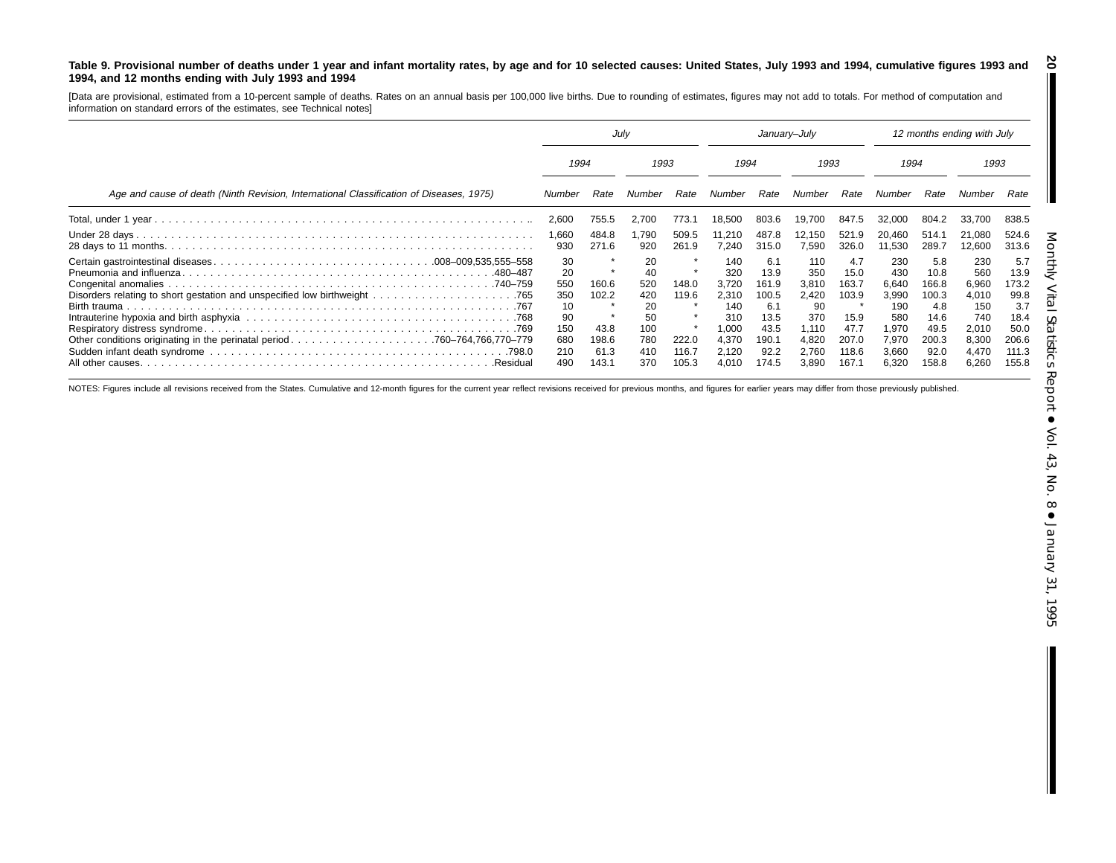#### Table 9. Provisional number of deaths under 1 year and infant mortality rates, by age and for 10 selected causes: United States, July 1993 and 1994, cumulative figures 1993 and **1994, and 12 months ending with July 1993 and 1994 20**

[Data are provisional, estimated from <sup>a</sup> 10-percent sample of deaths. Rates on an annual basis per 100,000 live births. Due to rounding of estimates, figures may not add to totals. For method of computation and information on standard errors of the estimates, see Technical notes]

| July                                              |                                         |                                                   | January-July                     |                                                                       |                                                                       |                                                                      | 12 months ending with July                               |                                                                |                                                                |                                                                |                                                                       |
|---------------------------------------------------|-----------------------------------------|---------------------------------------------------|----------------------------------|-----------------------------------------------------------------------|-----------------------------------------------------------------------|----------------------------------------------------------------------|----------------------------------------------------------|----------------------------------------------------------------|----------------------------------------------------------------|----------------------------------------------------------------|-----------------------------------------------------------------------|
|                                                   | 1993<br>1994                            |                                                   |                                  | 1994                                                                  |                                                                       |                                                                      |                                                          | 1994                                                           |                                                                | 1993                                                           |                                                                       |
| Number                                            | Rate                                    | Number                                            | Rate                             | Number                                                                | Rate                                                                  | Number                                                               | Rate                                                     | Number                                                         | Rate                                                           | Number                                                         | Rate                                                                  |
| 2,600                                             | 755.5                                   | 2,700                                             | 773.1                            | 18,500                                                                | 803.6                                                                 | 19.700                                                               | 847.5                                                    | 32,000                                                         | 804.2                                                          | 33.700                                                         | 838.5                                                                 |
| 1,660<br>930                                      | 484.8<br>271.6                          | .790<br>920                                       | 509.5<br>261.9                   | 11,210<br>7.240                                                       | 487.8<br>315.0                                                        | 12,150<br>7,590                                                      | 521.9<br>326.0                                           | 20.460<br>11,530                                               | 514.1<br>289.7                                                 | 21,080<br>12,600                                               | 524.6<br>313.6                                                        |
| 20<br>550<br>350<br>10<br>90<br>150<br>680<br>210 | 160.6<br>102.2<br>43.8<br>198.6<br>61.3 | 40<br>520<br>420<br>20<br>50<br>100<br>780<br>410 | 148.0<br>119.6<br>222.0<br>116.7 | 140<br>320<br>3.720<br>2,310<br>140<br>310<br>1,000<br>4.370<br>2,120 | 6.1<br>13.9<br>161.9<br>100.5<br>6.1<br>13.5<br>43.5<br>190.1<br>92.2 | 110<br>350<br>3.810<br>2,420<br>90<br>370<br>1.110<br>4.820<br>2.760 | 15.0<br>163.7<br>103.9<br>15.9<br>47.7<br>207.0<br>118.6 | 430<br>6.640<br>3,990<br>190<br>580<br>1,970<br>7.970<br>3,660 | 10.8<br>166.8<br>100.3<br>4.8<br>14.6<br>49.5<br>200.3<br>92.0 | 560<br>6,960<br>4,010<br>150<br>740<br>2,010<br>8,300<br>4,470 | 5.7<br>13.9<br>173.2<br>99.8<br>3.7<br>18.4<br>50.0<br>206.6<br>111.3 |
|                                                   | 30<br>490                               | 143.1                                             | 20<br>370                        | 105.3                                                                 | 4.010                                                                 | 174.5                                                                | 3.890                                                    | 1993<br>4.7<br>167.1                                           | 230<br>6.320                                                   | 5.8<br>158.8                                                   | 230<br>6,260                                                          |

NOTES: Figures include all revisions received from the States. Cumulative and 12-month figures for the current year reflect revisions received for previous months, and figures for earlier years may differ from those previo

П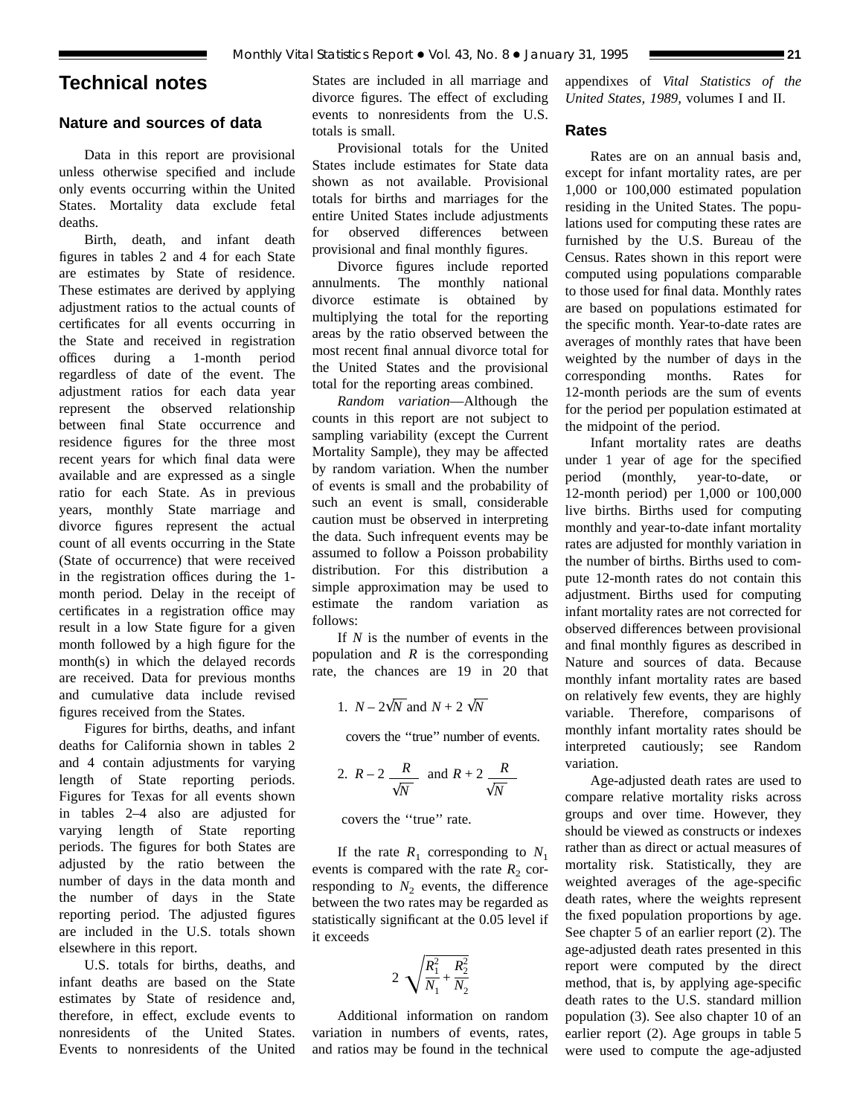## **Technical notes**

## **Nature and sources of data**

Data in this report are provisional unless otherwise specified and include only events occurring within the United States. Mortality data exclude fetal deaths.

Birth, death, and infant death figures in tables 2 and 4 for each State are estimates by State of residence. These estimates are derived by applying adjustment ratios to the actual counts of certificates for all events occurring in the State and received in registration offices during a 1-month period regardless of date of the event. The adjustment ratios for each data year represent the observed relationship between final State occurrence and residence figures for the three most recent years for which final data were available and are expressed as a single ratio for each State. As in previous years, monthly State marriage and divorce figures represent the actual count of all events occurring in the State (State of occurrence) that were received in the registration offices during the 1 month period. Delay in the receipt of certificates in a registration office may result in a low State figure for a given month followed by a high figure for the month(s) in which the delayed records are received. Data for previous months and cumulative data include revised figures received from the States.

Figures for births, deaths, and infant deaths for California shown in tables 2 and 4 contain adjustments for varying length of State reporting periods. Figures for Texas for all events shown in tables 2–4 also are adjusted for varying length of State reporting periods. The figures for both States are adjusted by the ratio between the number of days in the data month and the number of days in the State reporting period. The adjusted figures are included in the U.S. totals shown elsewhere in this report.

U.S. totals for births, deaths, and infant deaths are based on the State estimates by State of residence and, therefore, in effect, exclude events to nonresidents of the United States. Events to nonresidents of the United

States are included in all marriage and divorce figures. The effect of excluding events to nonresidents from the U.S. totals is small.

Provisional totals for the United States include estimates for State data shown as not available. Provisional totals for births and marriages for the entire United States include adjustments for observed differences between provisional and final monthly figures.

Divorce figures include reported annulments. The monthly national divorce estimate is obtained by multiplying the total for the reporting areas by the ratio observed between the most recent final annual divorce total for the United States and the provisional total for the reporting areas combined.

*Random variation*—Although the counts in this report are not subject to sampling variability (except the Current Mortality Sample), they may be affected by random variation. When the number of events is small and the probability of such an event is small, considerable caution must be observed in interpreting the data. Such infrequent events may be assumed to follow a Poisson probability distribution. For this distribution a simple approximation may be used to estimate the random variation as follows:

If *N* is the number of events in the population and *R* is the corresponding rate, the chances are 19 in 20 that

1. 
$$
N - 2\sqrt{N}
$$
 and  $N + 2\sqrt{N}$ 

covers the ''true'' number of events.

2. 
$$
R-2
$$
  $\frac{R}{\sqrt{N}}$  and  $R+2$   $\frac{R}{\sqrt{N}}$ 

covers the ''true'' rate.

If the rate  $R_1$  corresponding to  $N_1$ events is compared with the rate  $R_2$  corresponding to  $N_2$  events, the difference between the two rates may be regarded as statistically significant at the 0.05 level if it exceeds

$$
2\sqrt{\frac{R_1^2}{N_1}+\frac{R_2^2}{N_2}}
$$

Additional information on random variation in numbers of events, rates, and ratios may be found in the technical appendixes of *Vital Statistics of the United States, 1989,* volumes I and II.

## **Rates**

Rates are on an annual basis and, except for infant mortality rates, are per 1,000 or 100,000 estimated population residing in the United States. The populations used for computing these rates are furnished by the U.S. Bureau of the Census. Rates shown in this report were computed using populations comparable to those used for final data. Monthly rates are based on populations estimated for the specific month. Year-to-date rates are averages of monthly rates that have been weighted by the number of days in the corresponding months. Rates for 12-month periods are the sum of events for the period per population estimated at the midpoint of the period.

Infant mortality rates are deaths under 1 year of age for the specified period (monthly, year-to-date, or 12-month period) per 1,000 or 100,000 live births. Births used for computing monthly and year-to-date infant mortality rates are adjusted for monthly variation in the number of births. Births used to compute 12-month rates do not contain this adjustment. Births used for computing infant mortality rates are not corrected for observed differences between provisional and final monthly figures as described in Nature and sources of data. Because monthly infant mortality rates are based on relatively few events, they are highly variable. Therefore, comparisons of monthly infant mortality rates should be interpreted cautiously; see Random variation.

Age-adjusted death rates are used to compare relative mortality risks across groups and over time. However, they should be viewed as constructs or indexes rather than as direct or actual measures of mortality risk. Statistically, they are weighted averages of the age-specific death rates, where the weights represent the fixed population proportions by age. See chapter 5 of an earlier report (2). The age-adjusted death rates presented in this report were computed by the direct method, that is, by applying age-specific death rates to the U.S. standard million population (3). See also chapter 10 of an earlier report (2). Age groups in table 5 were used to compute the age-adjusted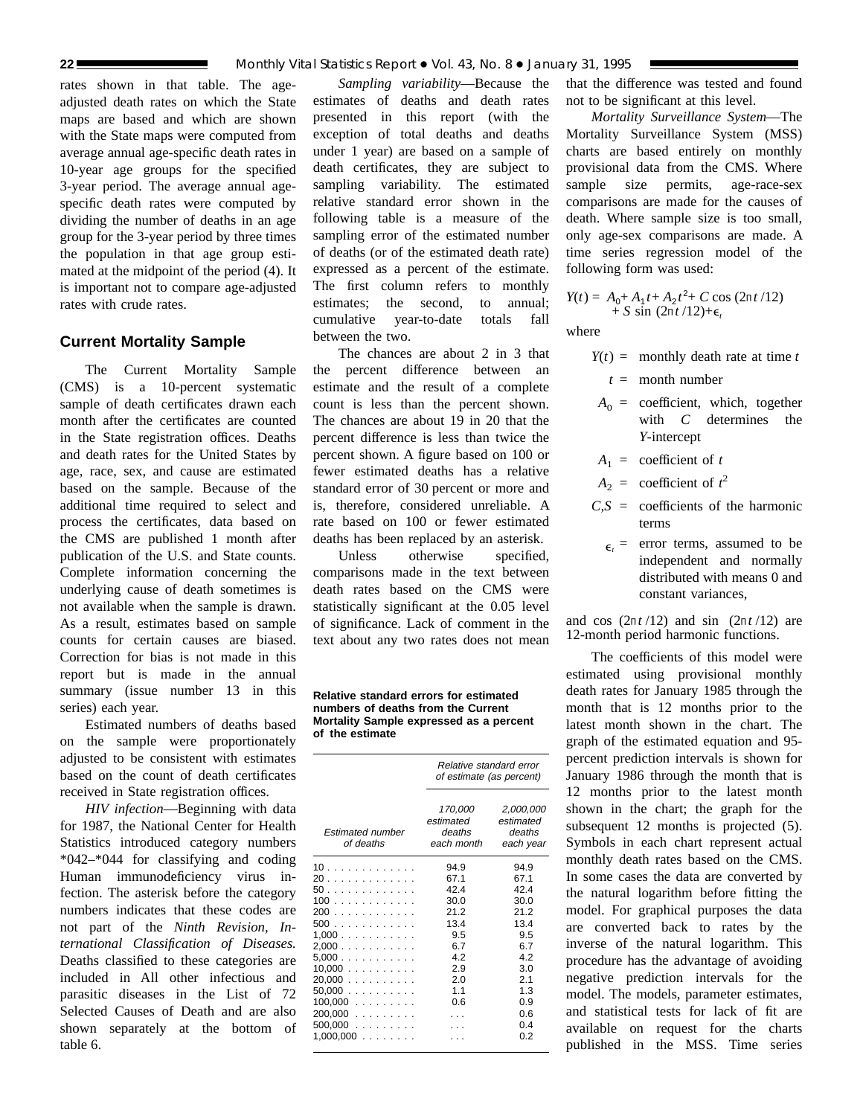rates shown in that table. The ageadjusted death rates on which the State maps are based and which are shown with the State maps were computed from average annual age-specific death rates in 10-year age groups for the specified 3-year period. The average annual agespecific death rates were computed by dividing the number of deaths in an age group for the 3-year period by three times the population in that age group estimated at the midpoint of the period (4). It is important not to compare age-adjusted rates with crude rates.

## **Current Mortality Sample**

The Current Mortality Sample (CMS) is a 10-percent systematic sample of death certificates drawn each month after the certificates are counted in the State registration offices. Deaths and death rates for the United States by age, race, sex, and cause are estimated based on the sample. Because of the additional time required to select and process the certificates, data based on the CMS are published 1 month after publication of the U.S. and State counts. Complete information concerning the underlying cause of death sometimes is not available when the sample is drawn. As a result, estimates based on sample counts for certain causes are biased. Correction for bias is not made in this report but is made in the annual summary (issue number 13 in this series) each year.

Estimated numbers of deaths based on the sample were proportionately adjusted to be consistent with estimates based on the count of death certificates received in State registration offices.

*HIV infection*—Beginning with data for 1987, the National Center for Health Statistics introduced category numbers \*042–\*044 for classifying and coding Human immunodeficiency virus infection. The asterisk before the category numbers indicates that these codes are not part of the *Ninth Revision, International Classification of Diseases.* Deaths classified to these categories are included in All other infectious and parasitic diseases in the List of 72 Selected Causes of Death and are also shown separately at the bottom of table 6.

*Sampling variability*—Because the estimates of deaths and death rates presented in this report (with the exception of total deaths and deaths under 1 year) are based on a sample of death certificates, they are subject to sampling variability. The estimated relative standard error shown in the following table is a measure of the sampling error of the estimated number of deaths (or of the estimated death rate) expressed as a percent of the estimate. The first column refers to monthly estimates; the second, to annual; cumulative year-to-date totals fall between the two.

The chances are about 2 in 3 that the percent difference between an estimate and the result of a complete count is less than the percent shown. The chances are about 19 in 20 that the percent difference is less than twice the percent shown. A figure based on 100 or fewer estimated deaths has a relative standard error of 30 percent or more and is, therefore, considered unreliable. A rate based on 100 or fewer estimated deaths has been replaced by an asterisk.

Unless otherwise specified. comparisons made in the text between death rates based on the CMS were statistically significant at the 0.05 level of significance. Lack of comment in the text about any two rates does not mean

**Relative standard errors for estimated numbers of deaths from the Current Mortality Sample expressed as a percent of the estimate**

|                                                | Relative standard error<br>of estimate (as percent) |                                               |  |  |  |
|------------------------------------------------|-----------------------------------------------------|-----------------------------------------------|--|--|--|
| Estimated number<br>of deaths                  | 170,000<br>estimated<br>deaths<br>each month        | 2,000,000<br>estimated<br>deaths<br>each year |  |  |  |
| 10                                             | 94.9                                                | 94.9                                          |  |  |  |
| 20                                             | 67.1                                                | 67.1                                          |  |  |  |
| 50                                             | 42.4                                                | 42.4                                          |  |  |  |
| 100                                            | 30.0                                                | 30.0                                          |  |  |  |
| 200<br>$\sim$ 100 km s $\sim$ 100 km s $^{-1}$ | 21.2                                                | 21.2                                          |  |  |  |
| 500                                            | 13.4                                                | 13.4                                          |  |  |  |
| 1,000                                          | 9.5                                                 | 9.5                                           |  |  |  |
| 2,000                                          | 6.7                                                 | 6.7                                           |  |  |  |
| 5,000                                          | 4.2                                                 | 42                                            |  |  |  |
| 10,000                                         | 2.9                                                 | 3.0                                           |  |  |  |
| 20,000                                         | 2.0                                                 | 21                                            |  |  |  |
| $50,000$                                       | 1.1                                                 | 1.3                                           |  |  |  |
| $100,000$                                      | 0.6                                                 | 0.9                                           |  |  |  |
| 200,000                                        |                                                     | 0.6                                           |  |  |  |
| $500,000$                                      |                                                     | 0.4                                           |  |  |  |
| $1,000,000$                                    |                                                     | 0.2                                           |  |  |  |

that the difference was tested and found not to be significant at this level.

*Mortality Surveillance System*—The Mortality Surveillance System (MSS) charts are based entirely on monthly provisional data from the CMS. Where sample size permits, age-race-sex comparisons are made for the causes of death. Where sample size is too small, only age-sex comparisons are made. A time series regression model of the following form was used:

$$
Y(t) = A_0 + A_1 t + A_2 t^2 + C \cos (2\pi t / 12) + S \sin (2\pi t / 12) + \epsilon_t
$$

where

- $Y(t) =$  monthly death rate at time *t* 
	- *t* = month number
- $A_0$  = coefficient, which, together with *C* determines the *Y*-intercept
- $A_1$  = coefficient of *t*
- $A_2$  = coefficient of  $t^2$
- $C.S =$  coefficients of the harmonic terms
	- $\epsilon$  = error terms, assumed to be independent and normally distributed with means 0 and constant variances,

and cos  $(2\pi t/12)$  and sin  $(2\pi t/12)$  are 12-month period harmonic functions.

The coefficients of this model were estimated using provisional monthly death rates for January 1985 through the month that is 12 months prior to the latest month shown in the chart. The graph of the estimated equation and 95 percent prediction intervals is shown for January 1986 through the month that is 12 months prior to the latest month shown in the chart; the graph for the subsequent 12 months is projected  $(5)$ . Symbols in each chart represent actual monthly death rates based on the CMS. In some cases the data are converted by the natural logarithm before fitting the model. For graphical purposes the data are converted back to rates by the inverse of the natural logarithm. This procedure has the advantage of avoiding negative prediction intervals for the model. The models, parameter estimates, and statistical tests for lack of fit are available on request for the charts published in the MSS. Time series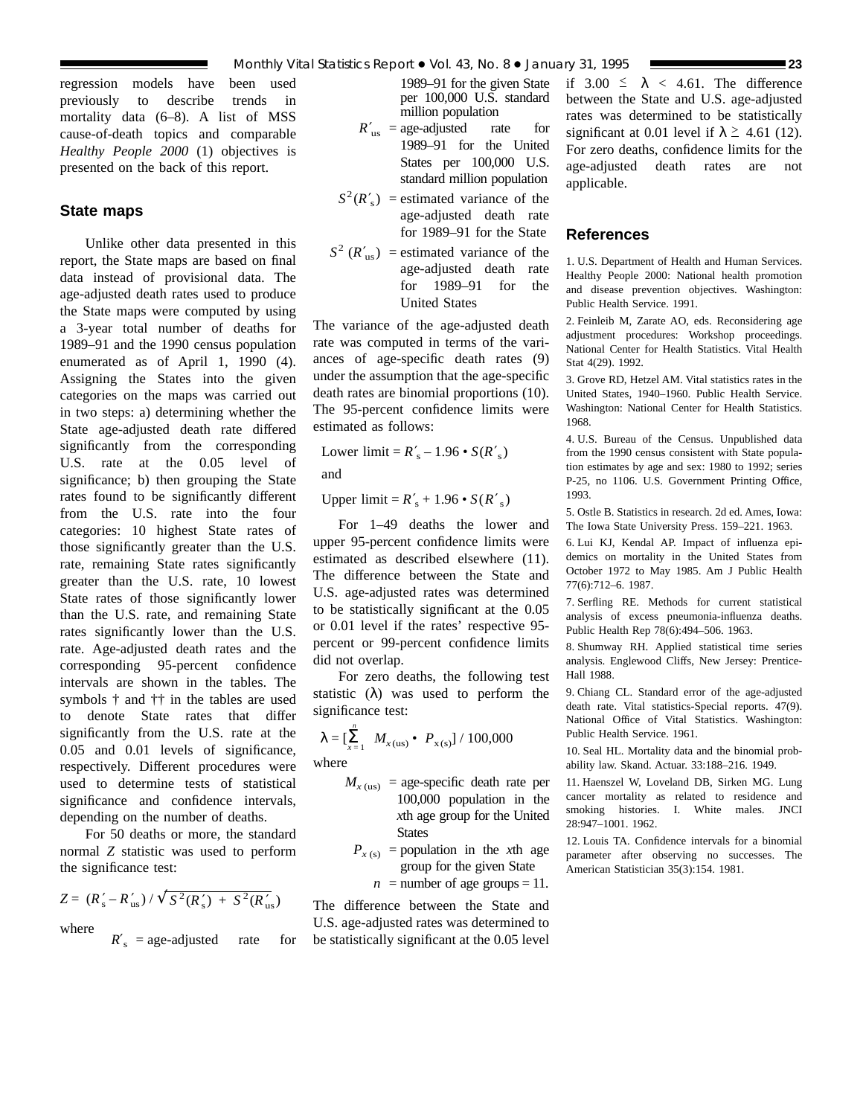regression models have been used previously to describe trends in mortality data (6–8). A list of MSS cause-of-death topics and comparable *Healthy People 2000* (1) objectives is presented on the back of this report.

## **State maps**

Unlike other data presented in this report, the State maps are based on final data instead of provisional data. The age-adjusted death rates used to produce the State maps were computed by using a 3-year total number of deaths for 1989–91 and the 1990 census population enumerated as of April 1, 1990 (4). Assigning the States into the given categories on the maps was carried out in two steps: a) determining whether the State age-adjusted death rate differed significantly from the corresponding U.S. rate at the 0.05 level of significance; b) then grouping the State rates found to be significantly different from the U.S. rate into the four categories: 10 highest State rates of those significantly greater than the U.S. rate, remaining State rates significantly greater than the U.S. rate, 10 lowest State rates of those significantly lower than the U.S. rate, and remaining State rates significantly lower than the U.S. rate. Age-adjusted death rates and the corresponding 95-percent confidence intervals are shown in the tables. The symbols † and †† in the tables are used to denote State rates that differ significantly from the U.S. rate at the 0.05 and 0.01 levels of significance, respectively. Different procedures were used to determine tests of statistical significance and confidence intervals, depending on the number of deaths.

For 50 deaths or more, the standard normal *Z* statistic was used to perform the significance test:

$$
Z = (R'_s - R'_{us}) / \sqrt{S^2(R'_s) + S^2(R'_{us})}
$$

where

 $R'$ <sub>s</sub> = age-adjusted rate for

1989–91 for the given State per 100,000 U.S. standard million population

- $R'_{\text{us}} = \text{age-adjusted}$  rate for 1989–91 for the United States per 100,000 U.S. standard million population
- $S^2(R'_s)$  = estimated variance of the age-adjusted death rate for 1989–91 for the State
- $S^2$  ( $R'_{\text{us}}$ ) = estimated variance of the age-adjusted death rate for 1989–91 for the United States

The variance of the age-adjusted death rate was computed in terms of the variances of age-specific death rates (9) under the assumption that the age-specific death rates are binomial proportions (10). The 95-percent confidence limits were estimated as follows:

Lower limit =  $R'_s - 1.96 \cdot S(R'_s)$ 

and

Upper  $\text{limit} = R'_{\text{s}} + 1.96 \cdot S(R'_{\text{s}})$ 

For 1–49 deaths the lower and upper 95-percent confidence limits were estimated as described elsewhere (11). The difference between the State and U.S. age-adjusted rates was determined to be statistically significant at the 0.05 or 0.01 level if the rates' respective 95 percent or 99-percent confidence limits did not overlap.

For zero deaths, the following test statistic  $(\lambda)$  was used to perform the significance test:

$$
\lambda = \left[\sum_{x=1}^{n} M_{x(\text{us})} \bullet P_{x(\text{s})}\right] / 100,000
$$

where

- $M_{x \text{ (us)}}$  = age-specific death rate per 100,000 population in the *x*th age group for the United **States** 
	- $P_{x(s)}$  = population in the *x*th age group for the given State

 $n =$  number of age groups = 11.

The difference between the State and U.S. age-adjusted rates was determined to be statistically significant at the 0.05 level if  $3.00 \le \lambda < 4.61$ . The difference between the State and U.S. age-adjusted rates was determined to be statistically significant at 0.01 level if  $\lambda \geq 4.61$  (12). For zero deaths, confidence limits for the age-adjusted death rates are not applicable.

## **References**

1. U.S. Department of Health and Human Services. Healthy People 2000: National health promotion and disease prevention objectives. Washington: Public Health Service. 1991.

2. Feinleib M, Zarate AO, eds. Reconsidering age adjustment procedures: Workshop proceedings. National Center for Health Statistics. Vital Health Stat 4(29). 1992.

3. Grove RD, Hetzel AM. Vital statistics rates in the United States, 1940–1960. Public Health Service. Washington: National Center for Health Statistics. 1968.

4. U.S. Bureau of the Census. Unpublished data from the 1990 census consistent with State population estimates by age and sex: 1980 to 1992; series P-25, no 1106. U.S. Government Printing Office, 1993.

5. Ostle B. Statistics in research. 2d ed. Ames, Iowa: The Iowa State University Press. 159–221. 1963.

6. Lui KJ, Kendal AP. Impact of influenza epidemics on mortality in the United States from October 1972 to May 1985. Am J Public Health 77(6):712–6. 1987.

7. Serfling RE. Methods for current statistical analysis of excess pneumonia-influenza deaths. Public Health Rep 78(6):494–506. 1963.

8. Shumway RH. Applied statistical time series analysis. Englewood Cliffs, New Jersey: Prentice-Hall 1988.

9. Chiang CL. Standard error of the age-adjusted death rate. Vital statistics-Special reports. 47(9). National Office of Vital Statistics. Washington: Public Health Service. 1961.

10. Seal HL. Mortality data and the binomial probability law. Skand. Actuar. 33:188–216. 1949.

11. Haenszel W, Loveland DB, Sirken MG. Lung cancer mortality as related to residence and smoking histories. I. White males. JNCI 28:947–1001. 1962.

12. Louis TA. Confidence intervals for a binomial parameter after observing no successes. The American Statistician 35(3):154. 1981.